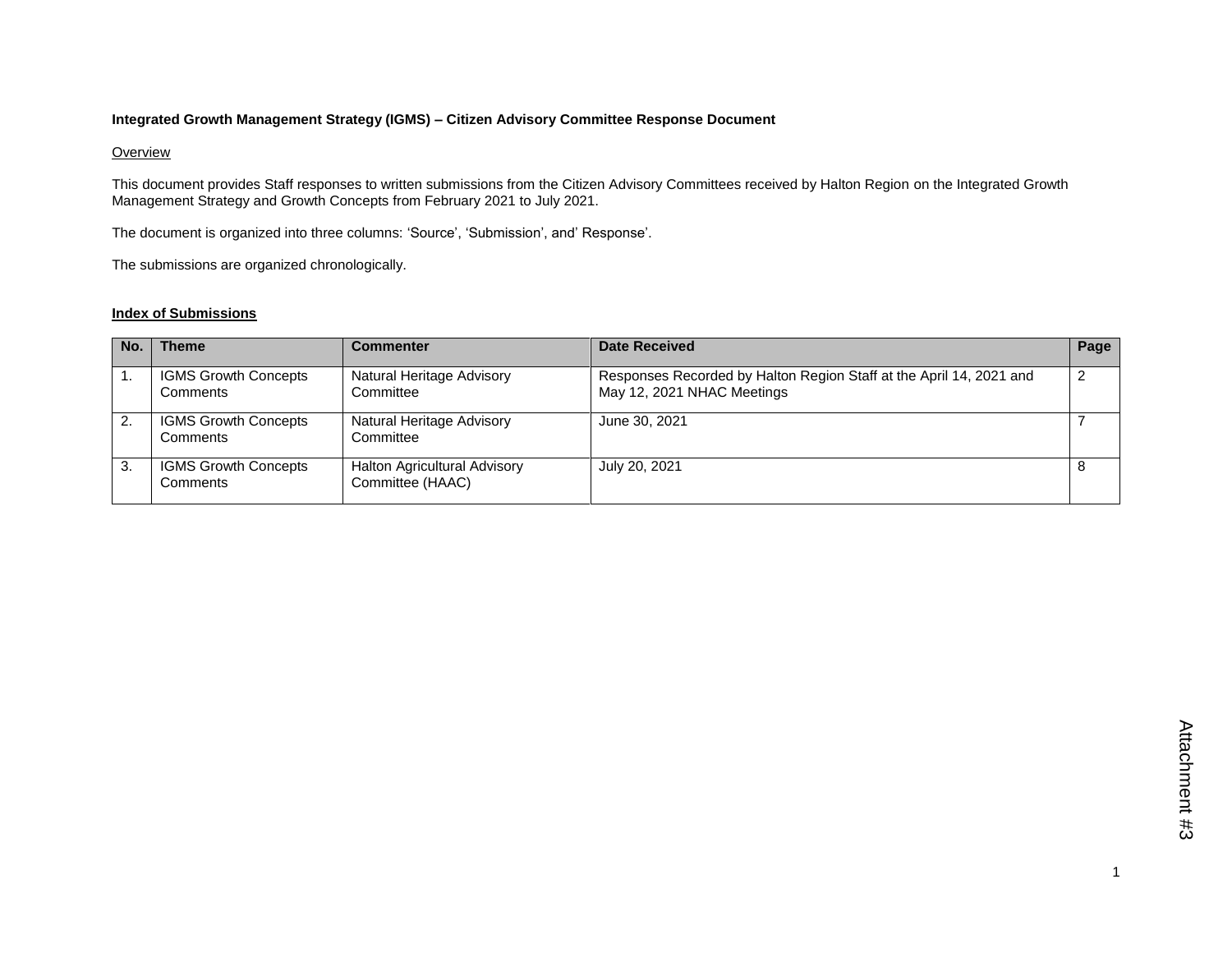## **Integrated Growth Management Strategy (IGMS) – Citizen Advisory Committee Response Document**

## **Overview**

This document provides Staff responses to written submissions from the Citizen Advisory Committees received by Halton Region on the Integrated Growth Management Strategy and Growth Concepts from February 2021 to July 2021.

The document is organized into three columns: 'Source', 'Submission', and' Response'.

The submissions are organized chronologically.

## **Index of Submissions**

| No. | <b>Theme</b>                            | <b>Commenter</b>                                        | Date Received                                                                                     | Page |
|-----|-----------------------------------------|---------------------------------------------------------|---------------------------------------------------------------------------------------------------|------|
|     | <b>IGMS Growth Concepts</b><br>Comments | Natural Heritage Advisory<br>Committee                  | Responses Recorded by Halton Region Staff at the April 14, 2021 and<br>May 12, 2021 NHAC Meetings |      |
| 2.  | <b>IGMS Growth Concepts</b><br>Comments | Natural Heritage Advisory<br>Committee                  | June 30, 2021                                                                                     |      |
| 3.  | <b>IGMS Growth Concepts</b><br>Comments | <b>Halton Agricultural Advisory</b><br>Committee (HAAC) | July 20, 2021                                                                                     |      |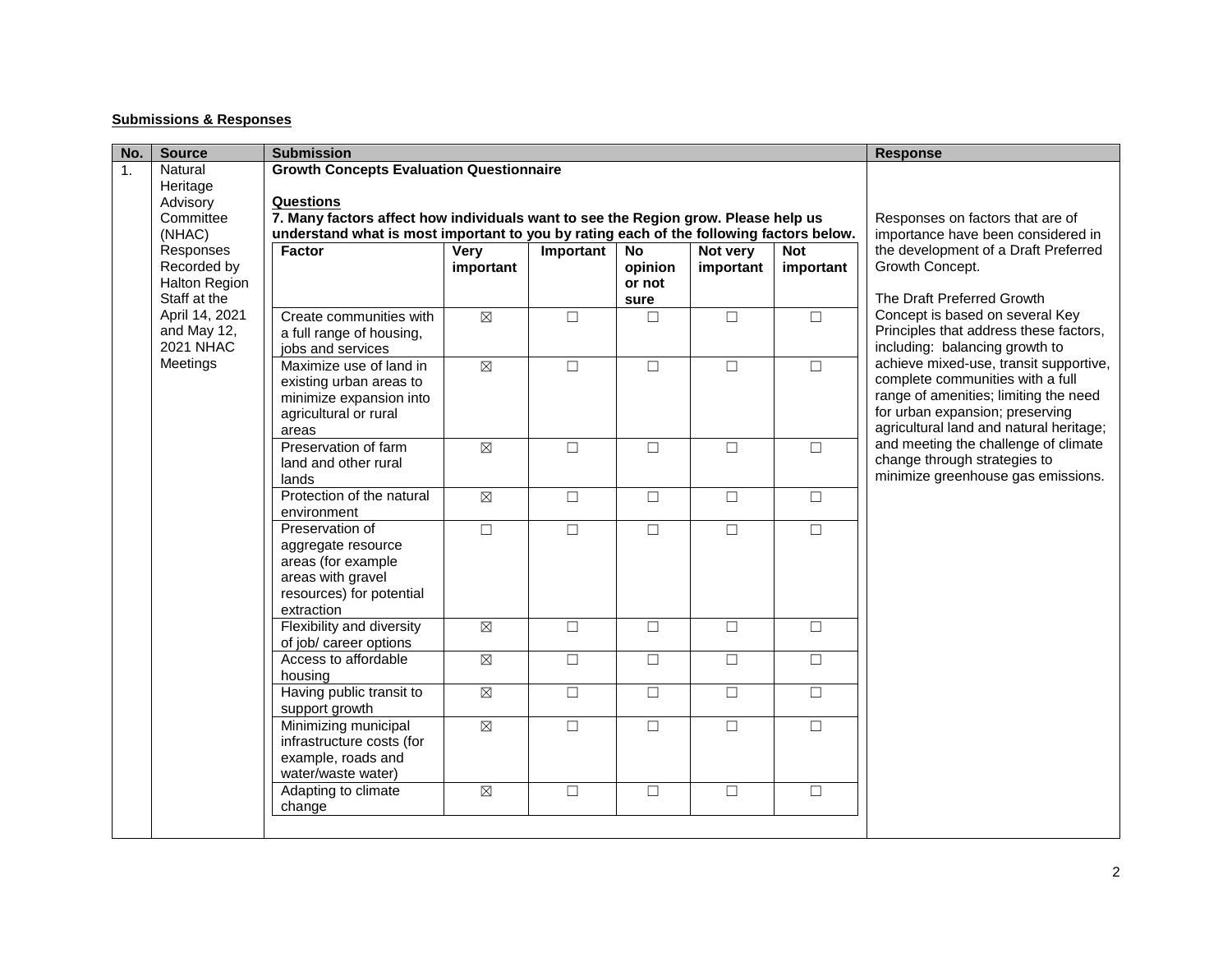## **Submissions & Responses**

| No. | <b>Source</b>                                                                                                                     | <b>Submission</b>                                                                                                                                                                                                                                    |                                                                        | <b>Response</b> |                                        |                       |                         |                                                                                                                                                                                                   |
|-----|-----------------------------------------------------------------------------------------------------------------------------------|------------------------------------------------------------------------------------------------------------------------------------------------------------------------------------------------------------------------------------------------------|------------------------------------------------------------------------|-----------------|----------------------------------------|-----------------------|-------------------------|---------------------------------------------------------------------------------------------------------------------------------------------------------------------------------------------------|
| 1.  | Natural<br>Heritage<br>Advisory<br>Committee<br>(NHAC)                                                                            | <b>Growth Concepts Evaluation Questionnaire</b><br><b>Questions</b><br>7. Many factors affect how individuals want to see the Region grow. Please help us<br>understand what is most important to you by rating each of the following factors below. | Responses on factors that are of<br>importance have been considered in |                 |                                        |                       |                         |                                                                                                                                                                                                   |
|     | Responses<br>Recorded by<br><b>Halton Region</b><br>Staff at the<br>April 14, 2021<br>and May 12,<br><b>2021 NHAC</b><br>Meetings | Factor                                                                                                                                                                                                                                               | Very<br>important                                                      | Important       | <b>No</b><br>opinion<br>or not<br>sure | Not very<br>important | <b>Not</b><br>important | the development of a Draft Preferred<br>Growth Concept.<br>The Draft Preferred Growth                                                                                                             |
|     |                                                                                                                                   | Create communities with<br>a full range of housing,<br>jobs and services                                                                                                                                                                             | $\boxtimes$                                                            | $\Box$          | □                                      | $\Box$                | $\Box$                  | Concept is based on several Key<br>Principles that address these factors,<br>including: balancing growth to                                                                                       |
|     |                                                                                                                                   | Maximize use of land in<br>existing urban areas to<br>minimize expansion into<br>agricultural or rural<br>areas                                                                                                                                      | $\boxtimes$                                                            | $\Box$          | $\Box$                                 | $\Box$                | $\Box$                  | achieve mixed-use, transit supportive,<br>complete communities with a full<br>range of amenities; limiting the need<br>for urban expansion; preserving<br>agricultural land and natural heritage; |
|     |                                                                                                                                   | Preservation of farm<br>land and other rural<br>lands                                                                                                                                                                                                | $\boxtimes$                                                            | $\Box$          | $\Box$                                 | $\Box$                | $\Box$                  | and meeting the challenge of climate<br>change through strategies to<br>minimize greenhouse gas emissions.                                                                                        |
|     |                                                                                                                                   | Protection of the natural<br>environment                                                                                                                                                                                                             | $\boxtimes$                                                            | $\Box$          | $\Box$                                 | $\Box$                | $\Box$                  |                                                                                                                                                                                                   |
|     |                                                                                                                                   | Preservation of<br>aggregate resource<br>areas (for example<br>areas with gravel<br>resources) for potential<br>extraction                                                                                                                           | $\Box$                                                                 | $\Box$          | $\Box$                                 | $\Box$                | $\Box$                  |                                                                                                                                                                                                   |
|     |                                                                                                                                   | Flexibility and diversity<br>of job/ career options                                                                                                                                                                                                  | $\boxtimes$                                                            | $\Box$          | $\Box$                                 | $\Box$                | $\Box$                  |                                                                                                                                                                                                   |
|     |                                                                                                                                   | Access to affordable<br>housing                                                                                                                                                                                                                      | $\boxtimes$                                                            | $\Box$          | $\Box$                                 | $\Box$                | $\Box$                  |                                                                                                                                                                                                   |
|     |                                                                                                                                   | Having public transit to<br>support growth                                                                                                                                                                                                           | $\boxtimes$                                                            | $\Box$          | $\Box$                                 | $\Box$                | $\Box$                  |                                                                                                                                                                                                   |
|     |                                                                                                                                   | Minimizing municipal<br>infrastructure costs (for<br>example, roads and<br>water/waste water)                                                                                                                                                        | $\boxtimes$                                                            | $\Box$          | $\Box$                                 | $\Box$                | $\Box$                  |                                                                                                                                                                                                   |
|     |                                                                                                                                   | Adapting to climate<br>change                                                                                                                                                                                                                        | $\boxtimes$                                                            | $\Box$          | $\Box$                                 | $\Box$                | $\Box$                  |                                                                                                                                                                                                   |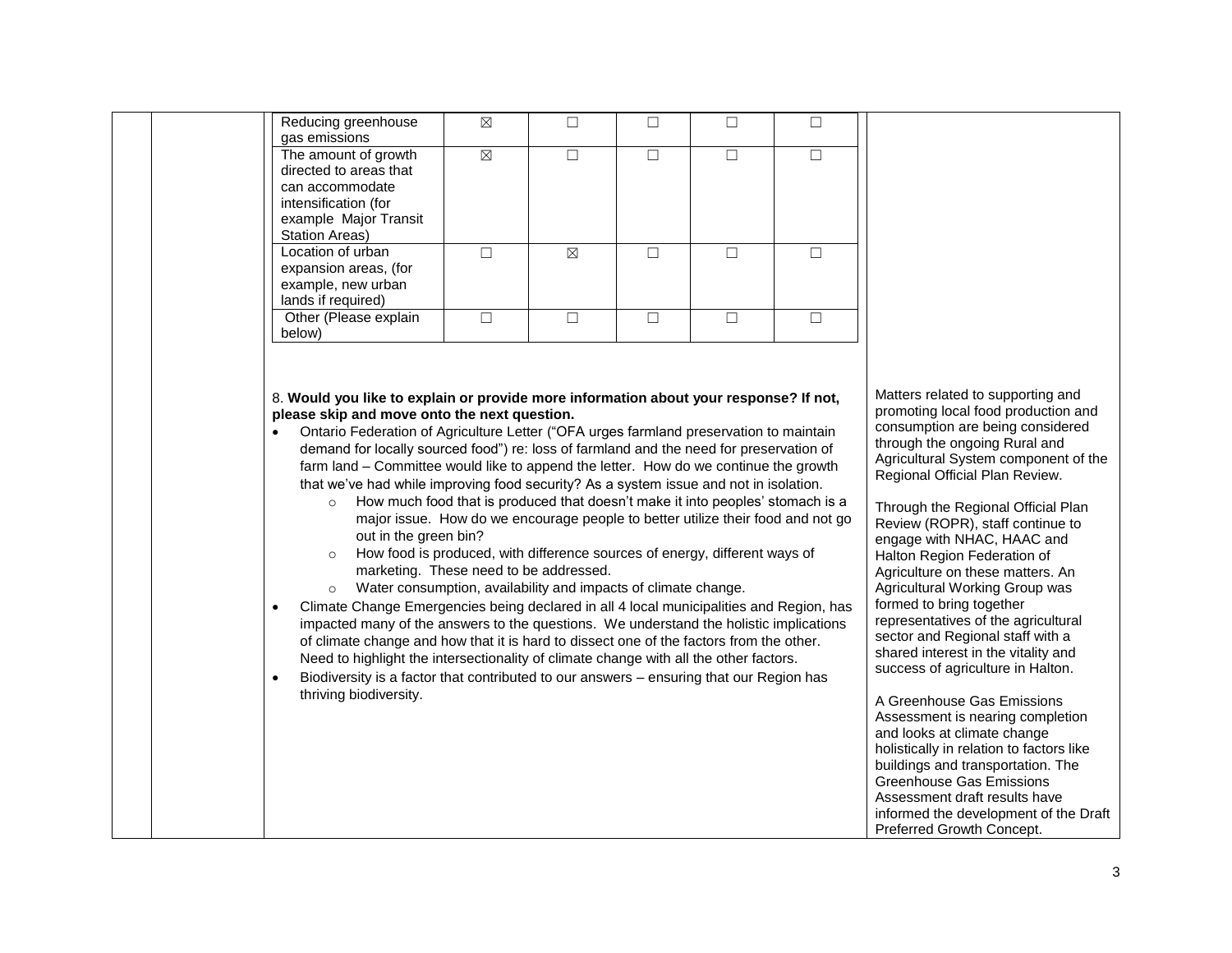|                        | Reducing greenhouse<br>gas emissions                                                                                                                                                                                                                                                                                                                                                                                                                                                                                                                                                                                                                                                                                                                                                                                                                                                                                                                                                                                                                                                                                                                                                                                                                                                                                                                                                                                               | $\boxtimes$ | $\Box$      | $\Box$ | $\Box$ | $\Box$            |                                                                                                                                                                                                                                                                                                                                                                                                                                                                                                                                                                                                                                                                                                                                                                                                                                                                                                                                                     |
|------------------------|------------------------------------------------------------------------------------------------------------------------------------------------------------------------------------------------------------------------------------------------------------------------------------------------------------------------------------------------------------------------------------------------------------------------------------------------------------------------------------------------------------------------------------------------------------------------------------------------------------------------------------------------------------------------------------------------------------------------------------------------------------------------------------------------------------------------------------------------------------------------------------------------------------------------------------------------------------------------------------------------------------------------------------------------------------------------------------------------------------------------------------------------------------------------------------------------------------------------------------------------------------------------------------------------------------------------------------------------------------------------------------------------------------------------------------|-------------|-------------|--------|--------|-------------------|-----------------------------------------------------------------------------------------------------------------------------------------------------------------------------------------------------------------------------------------------------------------------------------------------------------------------------------------------------------------------------------------------------------------------------------------------------------------------------------------------------------------------------------------------------------------------------------------------------------------------------------------------------------------------------------------------------------------------------------------------------------------------------------------------------------------------------------------------------------------------------------------------------------------------------------------------------|
|                        | The amount of growth<br>directed to areas that<br>can accommodate<br>intensification (for<br>example Major Transit<br><b>Station Areas)</b>                                                                                                                                                                                                                                                                                                                                                                                                                                                                                                                                                                                                                                                                                                                                                                                                                                                                                                                                                                                                                                                                                                                                                                                                                                                                                        | $\boxtimes$ | $\Box$      | $\Box$ | $\Box$ | $\overline{\Box}$ |                                                                                                                                                                                                                                                                                                                                                                                                                                                                                                                                                                                                                                                                                                                                                                                                                                                                                                                                                     |
|                        | Location of urban<br>expansion areas, (for<br>example, new urban<br>lands if required)                                                                                                                                                                                                                                                                                                                                                                                                                                                                                                                                                                                                                                                                                                                                                                                                                                                                                                                                                                                                                                                                                                                                                                                                                                                                                                                                             | $\Box$      | $\boxtimes$ | $\Box$ | $\Box$ | $\Box$            |                                                                                                                                                                                                                                                                                                                                                                                                                                                                                                                                                                                                                                                                                                                                                                                                                                                                                                                                                     |
| below)                 | Other (Please explain                                                                                                                                                                                                                                                                                                                                                                                                                                                                                                                                                                                                                                                                                                                                                                                                                                                                                                                                                                                                                                                                                                                                                                                                                                                                                                                                                                                                              | $\Box$      | $\Box$      | $\Box$ | $\Box$ | $\Box$            |                                                                                                                                                                                                                                                                                                                                                                                                                                                                                                                                                                                                                                                                                                                                                                                                                                                                                                                                                     |
| $\bullet$<br>$\bullet$ | 8. Would you like to explain or provide more information about your response? If not,<br>please skip and move onto the next question.<br>Ontario Federation of Agriculture Letter ("OFA urges farmland preservation to maintain<br>demand for locally sourced food") re: loss of farmland and the need for preservation of<br>farm land - Committee would like to append the letter. How do we continue the growth<br>that we've had while improving food security? As a system issue and not in isolation.<br>How much food that is produced that doesn't make it into peoples' stomach is a<br>$\circ$<br>major issue. How do we encourage people to better utilize their food and not go<br>out in the green bin?<br>How food is produced, with difference sources of energy, different ways of<br>$\circ$<br>marketing. These need to be addressed.<br>Water consumption, availability and impacts of climate change.<br>$\circ$<br>Climate Change Emergencies being declared in all 4 local municipalities and Region, has<br>impacted many of the answers to the questions. We understand the holistic implications<br>of climate change and how that it is hard to dissect one of the factors from the other.<br>Need to highlight the intersectionality of climate change with all the other factors.<br>Biodiversity is a factor that contributed to our answers - ensuring that our Region has<br>thriving biodiversity. |             |             |        |        |                   | Matters related to supporting and<br>promoting local food production and<br>consumption are being considered<br>through the ongoing Rural and<br>Agricultural System component of the<br>Regional Official Plan Review.<br>Through the Regional Official Plan<br>Review (ROPR), staff continue to<br>engage with NHAC, HAAC and<br>Halton Region Federation of<br>Agriculture on these matters. An<br>Agricultural Working Group was<br>formed to bring together<br>representatives of the agricultural<br>sector and Regional staff with a<br>shared interest in the vitality and<br>success of agriculture in Halton.<br>A Greenhouse Gas Emissions<br>Assessment is nearing completion<br>and looks at climate change<br>holistically in relation to factors like<br>buildings and transportation. The<br><b>Greenhouse Gas Emissions</b><br>Assessment draft results have<br>informed the development of the Draft<br>Preferred Growth Concept. |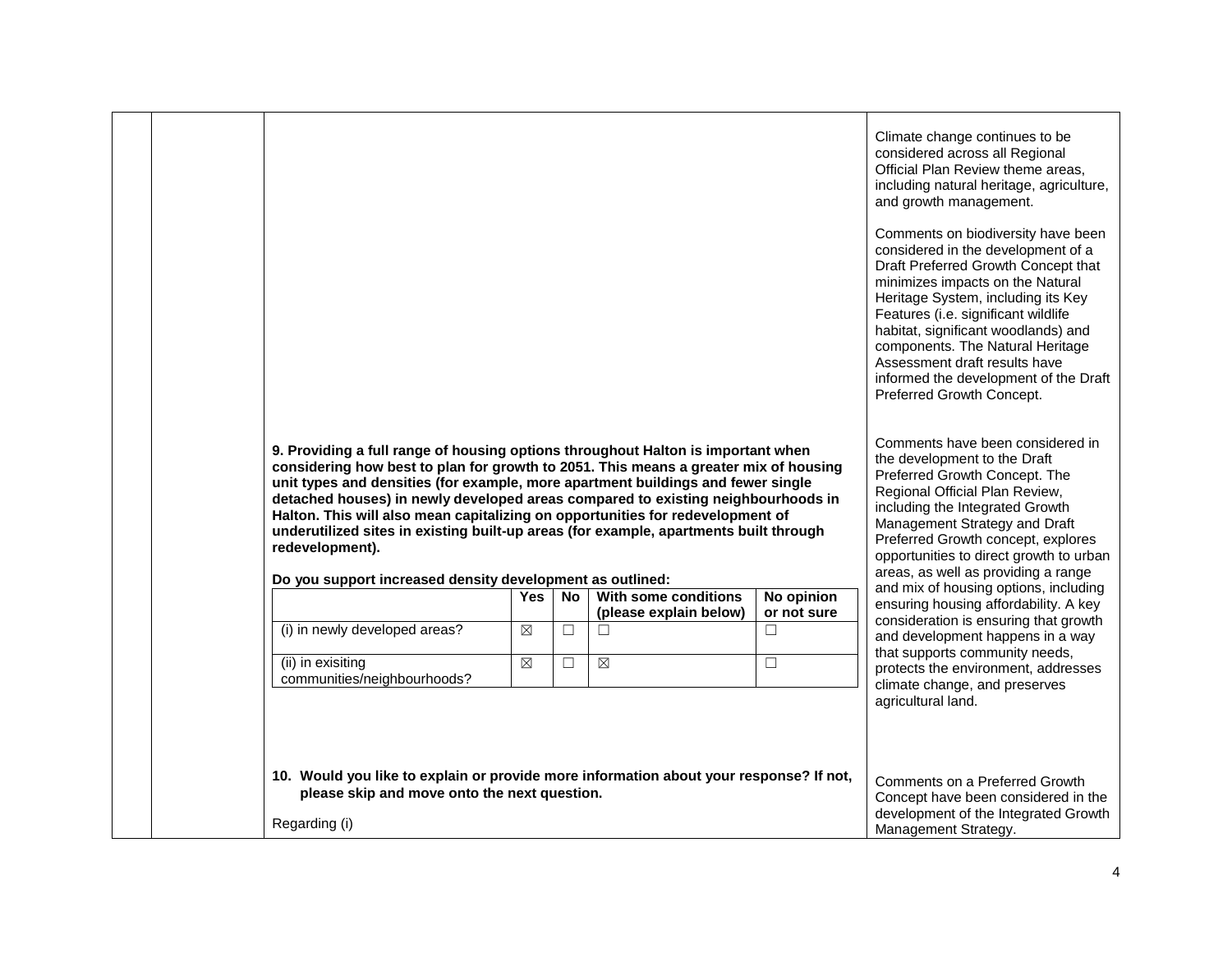| 9. Providing a full range of housing options throughout Halton is important when<br>considering how best to plan for growth to 2051. This means a greater mix of housing<br>unit types and densities (for example, more apartment buildings and fewer single<br>detached houses) in newly developed areas compared to existing neighbourhoods in<br>Halton. This will also mean capitalizing on opportunities for redevelopment of<br>underutilized sites in existing built-up areas (for example, apartments built through<br>redevelopment). |            |     |                                  |                           | Climate change continues to be<br>considered across all Regional<br>Official Plan Review theme areas,<br>including natural heritage, agriculture,<br>and growth management.<br>Comments on biodiversity have been<br>considered in the development of a<br>Draft Preferred Growth Concept that<br>minimizes impacts on the Natural<br>Heritage System, including its Key<br>Features (i.e. significant wildlife<br>habitat, significant woodlands) and<br>components. The Natural Heritage<br>Assessment draft results have<br>informed the development of the Draft<br>Preferred Growth Concept.<br>Comments have been considered in<br>the development to the Draft<br>Preferred Growth Concept. The<br>Regional Official Plan Review,<br>including the Integrated Growth<br>Management Strategy and Draft<br>Preferred Growth concept, explores<br>opportunities to direct growth to urban |
|------------------------------------------------------------------------------------------------------------------------------------------------------------------------------------------------------------------------------------------------------------------------------------------------------------------------------------------------------------------------------------------------------------------------------------------------------------------------------------------------------------------------------------------------|------------|-----|----------------------------------|---------------------------|-----------------------------------------------------------------------------------------------------------------------------------------------------------------------------------------------------------------------------------------------------------------------------------------------------------------------------------------------------------------------------------------------------------------------------------------------------------------------------------------------------------------------------------------------------------------------------------------------------------------------------------------------------------------------------------------------------------------------------------------------------------------------------------------------------------------------------------------------------------------------------------------------|
|                                                                                                                                                                                                                                                                                                                                                                                                                                                                                                                                                |            |     |                                  |                           |                                                                                                                                                                                                                                                                                                                                                                                                                                                                                                                                                                                                                                                                                                                                                                                                                                                                                               |
| Do you support increased density development as outlined:                                                                                                                                                                                                                                                                                                                                                                                                                                                                                      |            |     |                                  |                           | areas, as well as providing a range                                                                                                                                                                                                                                                                                                                                                                                                                                                                                                                                                                                                                                                                                                                                                                                                                                                           |
|                                                                                                                                                                                                                                                                                                                                                                                                                                                                                                                                                | <b>Yes</b> | No. | With some conditions             | No opinion<br>or not sure | and mix of housing options, including<br>ensuring housing affordability. A key                                                                                                                                                                                                                                                                                                                                                                                                                                                                                                                                                                                                                                                                                                                                                                                                                |
| (i) in newly developed areas?                                                                                                                                                                                                                                                                                                                                                                                                                                                                                                                  | ⊠          | □   | (please explain below)<br>$\Box$ | $\Box$                    | consideration is ensuring that growth<br>and development happens in a way                                                                                                                                                                                                                                                                                                                                                                                                                                                                                                                                                                                                                                                                                                                                                                                                                     |
| (ii) in exisiting<br>communities/neighbourhoods?                                                                                                                                                                                                                                                                                                                                                                                                                                                                                               | ⊠          | □   | $\boxtimes$                      | $\Box$                    | that supports community needs,<br>protects the environment, addresses<br>climate change, and preserves                                                                                                                                                                                                                                                                                                                                                                                                                                                                                                                                                                                                                                                                                                                                                                                        |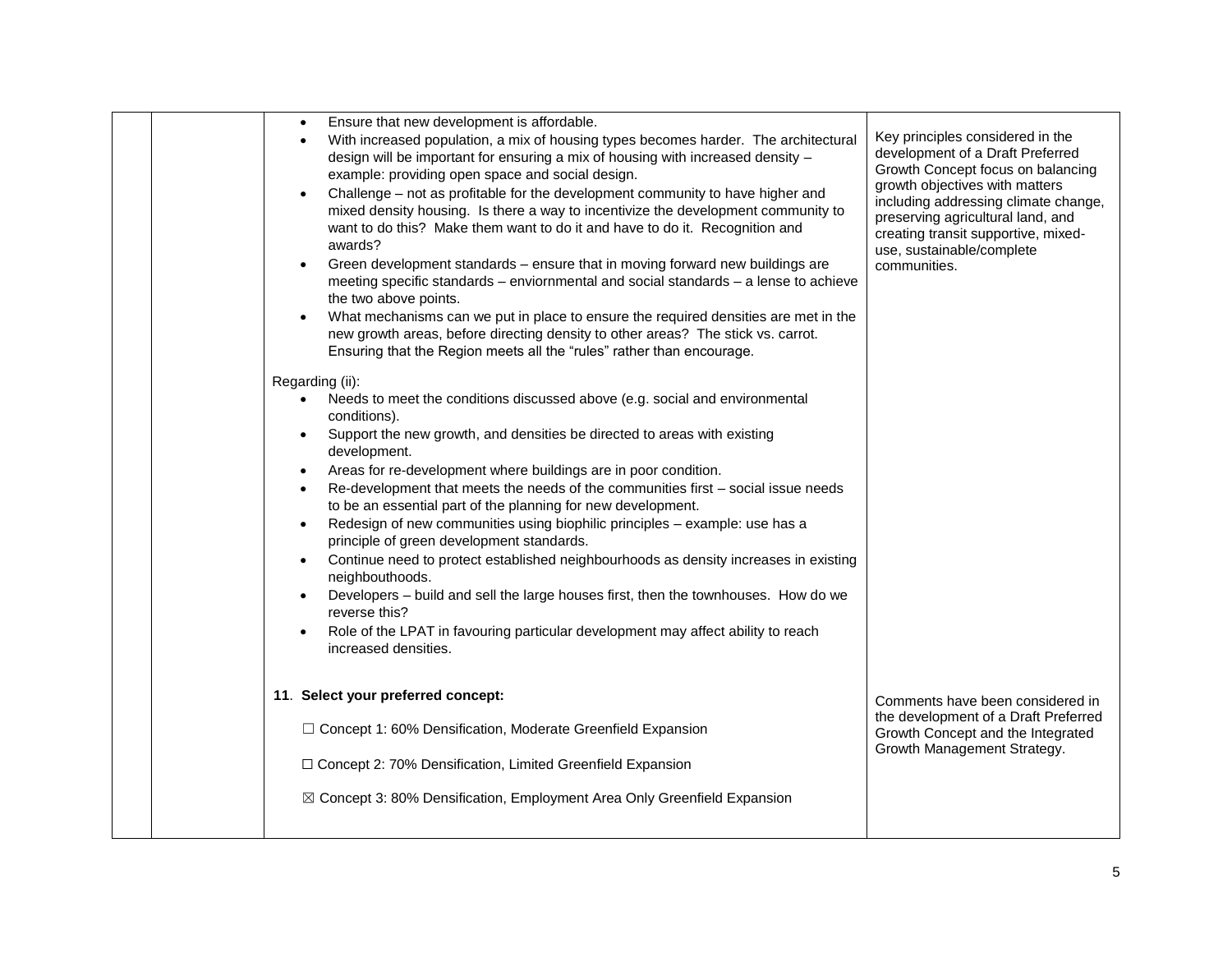|  | Ensure that new development is affordable.<br>With increased population, a mix of housing types becomes harder. The architectural<br>design will be important for ensuring a mix of housing with increased density -<br>example: providing open space and social design.<br>Challenge – not as profitable for the development community to have higher and<br>mixed density housing. Is there a way to incentivize the development community to<br>want to do this? Make them want to do it and have to do it. Recognition and<br>awards?<br>Green development standards - ensure that in moving forward new buildings are<br>meeting specific standards - enviornmental and social standards - a lense to achieve<br>the two above points.<br>What mechanisms can we put in place to ensure the required densities are met in the<br>new growth areas, before directing density to other areas? The stick vs. carrot.<br>Ensuring that the Region meets all the "rules" rather than encourage.<br>Regarding (ii):<br>Needs to meet the conditions discussed above (e.g. social and environmental<br>$\bullet$<br>conditions).<br>Support the new growth, and densities be directed to areas with existing<br>$\bullet$<br>development.<br>Areas for re-development where buildings are in poor condition.<br>Re-development that meets the needs of the communities first - social issue needs<br>to be an essential part of the planning for new development.<br>Redesign of new communities using biophilic principles - example: use has a<br>principle of green development standards.<br>Continue need to protect established neighbourhoods as density increases in existing<br>neighbouthoods.<br>Developers – build and sell the large houses first, then the townhouses. How do we<br>reverse this?<br>Role of the LPAT in favouring particular development may affect ability to reach<br>increased densities. | Key principles considered in the<br>development of a Draft Preferred<br>Growth Concept focus on balancing<br>growth objectives with matters<br>including addressing climate change,<br>preserving agricultural land, and<br>creating transit supportive, mixed-<br>use, sustainable/complete<br>communities. |
|--|---------------------------------------------------------------------------------------------------------------------------------------------------------------------------------------------------------------------------------------------------------------------------------------------------------------------------------------------------------------------------------------------------------------------------------------------------------------------------------------------------------------------------------------------------------------------------------------------------------------------------------------------------------------------------------------------------------------------------------------------------------------------------------------------------------------------------------------------------------------------------------------------------------------------------------------------------------------------------------------------------------------------------------------------------------------------------------------------------------------------------------------------------------------------------------------------------------------------------------------------------------------------------------------------------------------------------------------------------------------------------------------------------------------------------------------------------------------------------------------------------------------------------------------------------------------------------------------------------------------------------------------------------------------------------------------------------------------------------------------------------------------------------------------------------------------------------------------------------------------------------------------------------------------------------|--------------------------------------------------------------------------------------------------------------------------------------------------------------------------------------------------------------------------------------------------------------------------------------------------------------|
|  | 11. Select your preferred concept:<br>□ Concept 1: 60% Densification, Moderate Greenfield Expansion<br>□ Concept 2: 70% Densification, Limited Greenfield Expansion<br>⊠ Concept 3: 80% Densification, Employment Area Only Greenfield Expansion                                                                                                                                                                                                                                                                                                                                                                                                                                                                                                                                                                                                                                                                                                                                                                                                                                                                                                                                                                                                                                                                                                                                                                                                                                                                                                                                                                                                                                                                                                                                                                                                                                                                          | Comments have been considered in<br>the development of a Draft Preferred<br>Growth Concept and the Integrated<br>Growth Management Strategy.                                                                                                                                                                 |
|  |                                                                                                                                                                                                                                                                                                                                                                                                                                                                                                                                                                                                                                                                                                                                                                                                                                                                                                                                                                                                                                                                                                                                                                                                                                                                                                                                                                                                                                                                                                                                                                                                                                                                                                                                                                                                                                                                                                                           |                                                                                                                                                                                                                                                                                                              |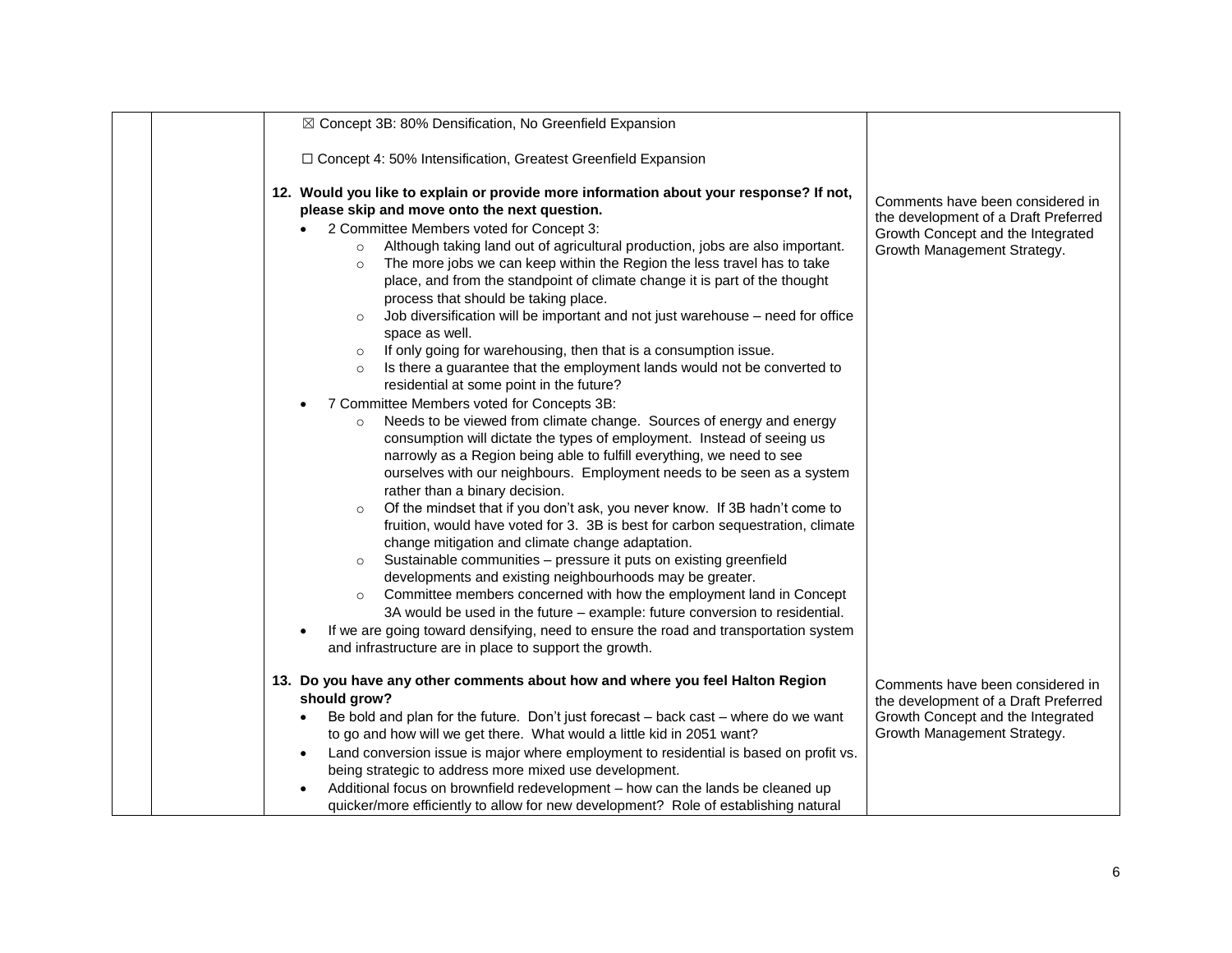| ⊠ Concept 3B: 80% Densification, No Greenfield Expansion                                                                                                                                                                                                                                                                                                                                                                                                                                                                                                                                                                                                                                                                                                                                                                                                                                                                                                                                                                                                                                                                                                                                                                                                                                                                                                                                                                                                                                                                                                                                                                                                                                                                                                                                                                                                                                 |                                                                                                                                              |
|------------------------------------------------------------------------------------------------------------------------------------------------------------------------------------------------------------------------------------------------------------------------------------------------------------------------------------------------------------------------------------------------------------------------------------------------------------------------------------------------------------------------------------------------------------------------------------------------------------------------------------------------------------------------------------------------------------------------------------------------------------------------------------------------------------------------------------------------------------------------------------------------------------------------------------------------------------------------------------------------------------------------------------------------------------------------------------------------------------------------------------------------------------------------------------------------------------------------------------------------------------------------------------------------------------------------------------------------------------------------------------------------------------------------------------------------------------------------------------------------------------------------------------------------------------------------------------------------------------------------------------------------------------------------------------------------------------------------------------------------------------------------------------------------------------------------------------------------------------------------------------------|----------------------------------------------------------------------------------------------------------------------------------------------|
| □ Concept 4: 50% Intensification, Greatest Greenfield Expansion                                                                                                                                                                                                                                                                                                                                                                                                                                                                                                                                                                                                                                                                                                                                                                                                                                                                                                                                                                                                                                                                                                                                                                                                                                                                                                                                                                                                                                                                                                                                                                                                                                                                                                                                                                                                                          |                                                                                                                                              |
| 12. Would you like to explain or provide more information about your response? If not,<br>please skip and move onto the next question.<br>2 Committee Members voted for Concept 3:<br>Although taking land out of agricultural production, jobs are also important.<br>The more jobs we can keep within the Region the less travel has to take<br>$\circ$<br>place, and from the standpoint of climate change it is part of the thought<br>process that should be taking place.<br>Job diversification will be important and not just warehouse - need for office<br>$\circ$<br>space as well.<br>If only going for warehousing, then that is a consumption issue.<br>Is there a guarantee that the employment lands would not be converted to<br>$\circ$<br>residential at some point in the future?<br>7 Committee Members voted for Concepts 3B:<br>Needs to be viewed from climate change. Sources of energy and energy<br>$\circ$<br>consumption will dictate the types of employment. Instead of seeing us<br>narrowly as a Region being able to fulfill everything, we need to see<br>ourselves with our neighbours. Employment needs to be seen as a system<br>rather than a binary decision.<br>Of the mindset that if you don't ask, you never know. If 3B hadn't come to<br>$\circ$<br>fruition, would have voted for 3. 3B is best for carbon sequestration, climate<br>change mitigation and climate change adaptation.<br>Sustainable communities - pressure it puts on existing greenfield<br>developments and existing neighbourhoods may be greater.<br>Committee members concerned with how the employment land in Concept<br>$\circ$<br>3A would be used in the future - example: future conversion to residential.<br>If we are going toward densifying, need to ensure the road and transportation system<br>and infrastructure are in place to support the growth. | Comments have been considered in<br>the development of a Draft Preferred<br>Growth Concept and the Integrated<br>Growth Management Strategy. |
| 13. Do you have any other comments about how and where you feel Halton Region<br>should grow?                                                                                                                                                                                                                                                                                                                                                                                                                                                                                                                                                                                                                                                                                                                                                                                                                                                                                                                                                                                                                                                                                                                                                                                                                                                                                                                                                                                                                                                                                                                                                                                                                                                                                                                                                                                            | Comments have been considered in                                                                                                             |
| Be bold and plan for the future. Don't just forecast - back cast - where do we want                                                                                                                                                                                                                                                                                                                                                                                                                                                                                                                                                                                                                                                                                                                                                                                                                                                                                                                                                                                                                                                                                                                                                                                                                                                                                                                                                                                                                                                                                                                                                                                                                                                                                                                                                                                                      | the development of a Draft Preferred<br>Growth Concept and the Integrated                                                                    |
| to go and how will we get there. What would a little kid in 2051 want?<br>Land conversion issue is major where employment to residential is based on profit vs.                                                                                                                                                                                                                                                                                                                                                                                                                                                                                                                                                                                                                                                                                                                                                                                                                                                                                                                                                                                                                                                                                                                                                                                                                                                                                                                                                                                                                                                                                                                                                                                                                                                                                                                          | Growth Management Strategy.                                                                                                                  |
| being strategic to address more mixed use development.<br>Additional focus on brownfield redevelopment - how can the lands be cleaned up                                                                                                                                                                                                                                                                                                                                                                                                                                                                                                                                                                                                                                                                                                                                                                                                                                                                                                                                                                                                                                                                                                                                                                                                                                                                                                                                                                                                                                                                                                                                                                                                                                                                                                                                                 |                                                                                                                                              |
| quicker/more efficiently to allow for new development? Role of establishing natural                                                                                                                                                                                                                                                                                                                                                                                                                                                                                                                                                                                                                                                                                                                                                                                                                                                                                                                                                                                                                                                                                                                                                                                                                                                                                                                                                                                                                                                                                                                                                                                                                                                                                                                                                                                                      |                                                                                                                                              |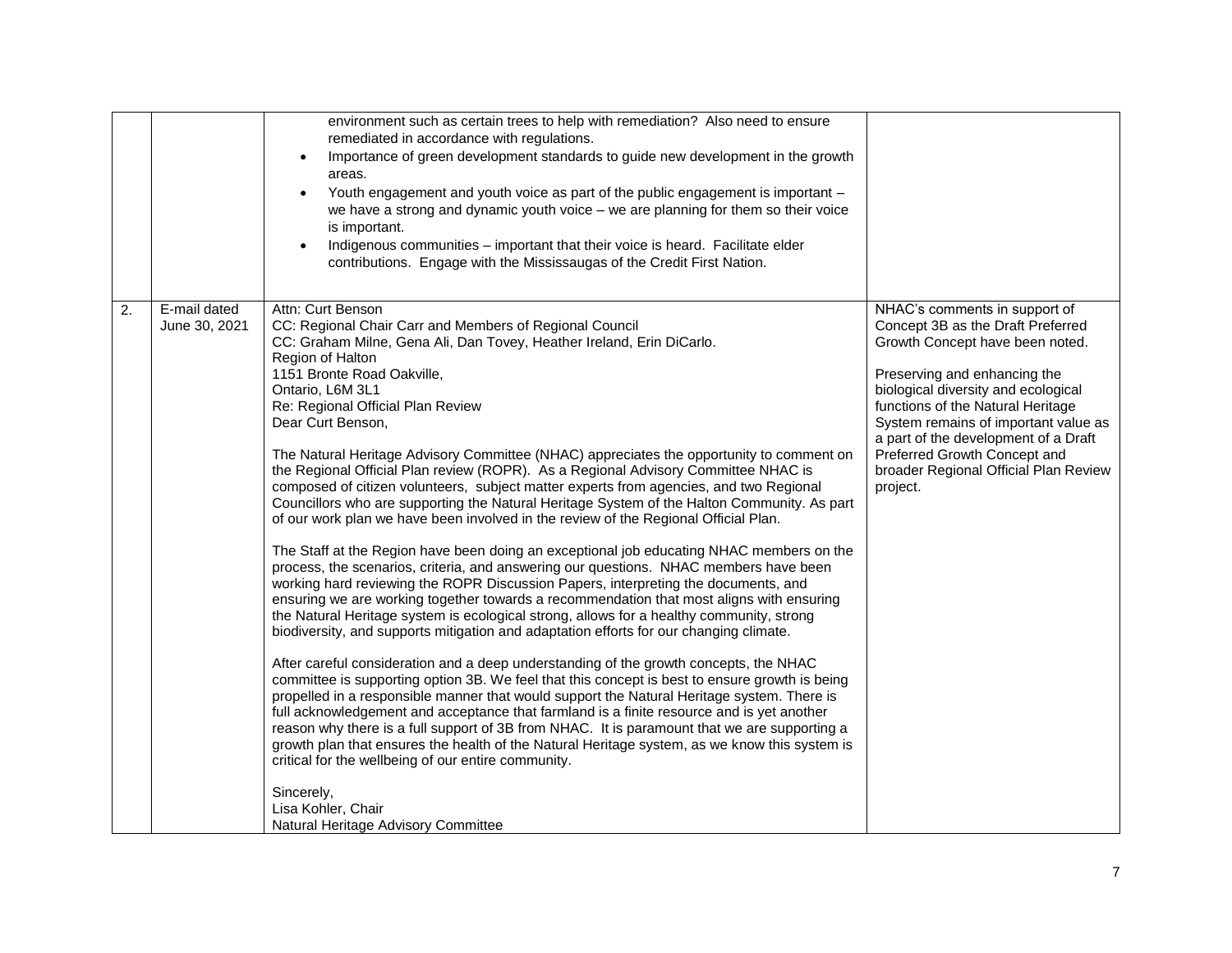|    |                               | environment such as certain trees to help with remediation? Also need to ensure<br>remediated in accordance with regulations.<br>Importance of green development standards to guide new development in the growth<br>areas.<br>Youth engagement and youth voice as part of the public engagement is important -<br>we have a strong and dynamic youth voice $-$ we are planning for them so their voice<br>is important.<br>Indigenous communities – important that their voice is heard. Facilitate elder<br>contributions. Engage with the Mississaugas of the Credit First Nation.                                                                                                                                                                                                                                                                                                                                                                                                                                                                                                                                                                                                                                                                                                                                                                                                                                                                                                                                                                                                                                                                                                                                                                                                                                                                                                                                                                                                                                                         |                                                                                                                                                                                                                                                                                                                                                                                        |
|----|-------------------------------|-----------------------------------------------------------------------------------------------------------------------------------------------------------------------------------------------------------------------------------------------------------------------------------------------------------------------------------------------------------------------------------------------------------------------------------------------------------------------------------------------------------------------------------------------------------------------------------------------------------------------------------------------------------------------------------------------------------------------------------------------------------------------------------------------------------------------------------------------------------------------------------------------------------------------------------------------------------------------------------------------------------------------------------------------------------------------------------------------------------------------------------------------------------------------------------------------------------------------------------------------------------------------------------------------------------------------------------------------------------------------------------------------------------------------------------------------------------------------------------------------------------------------------------------------------------------------------------------------------------------------------------------------------------------------------------------------------------------------------------------------------------------------------------------------------------------------------------------------------------------------------------------------------------------------------------------------------------------------------------------------------------------------------------------------|----------------------------------------------------------------------------------------------------------------------------------------------------------------------------------------------------------------------------------------------------------------------------------------------------------------------------------------------------------------------------------------|
| 2. | E-mail dated<br>June 30, 2021 | Attn: Curt Benson<br>CC: Regional Chair Carr and Members of Regional Council<br>CC: Graham Milne, Gena Ali, Dan Tovey, Heather Ireland, Erin DiCarlo.<br>Region of Halton<br>1151 Bronte Road Oakville,<br>Ontario, L6M 3L1<br>Re: Regional Official Plan Review<br>Dear Curt Benson,<br>The Natural Heritage Advisory Committee (NHAC) appreciates the opportunity to comment on<br>the Regional Official Plan review (ROPR). As a Regional Advisory Committee NHAC is<br>composed of citizen volunteers, subject matter experts from agencies, and two Regional<br>Councillors who are supporting the Natural Heritage System of the Halton Community. As part<br>of our work plan we have been involved in the review of the Regional Official Plan.<br>The Staff at the Region have been doing an exceptional job educating NHAC members on the<br>process, the scenarios, criteria, and answering our questions. NHAC members have been<br>working hard reviewing the ROPR Discussion Papers, interpreting the documents, and<br>ensuring we are working together towards a recommendation that most aligns with ensuring<br>the Natural Heritage system is ecological strong, allows for a healthy community, strong<br>biodiversity, and supports mitigation and adaptation efforts for our changing climate.<br>After careful consideration and a deep understanding of the growth concepts, the NHAC<br>committee is supporting option 3B. We feel that this concept is best to ensure growth is being<br>propelled in a responsible manner that would support the Natural Heritage system. There is<br>full acknowledgement and acceptance that farmland is a finite resource and is yet another<br>reason why there is a full support of 3B from NHAC. It is paramount that we are supporting a<br>growth plan that ensures the health of the Natural Heritage system, as we know this system is<br>critical for the wellbeing of our entire community.<br>Sincerely,<br>Lisa Kohler, Chair<br>Natural Heritage Advisory Committee | NHAC's comments in support of<br>Concept 3B as the Draft Preferred<br>Growth Concept have been noted.<br>Preserving and enhancing the<br>biological diversity and ecological<br>functions of the Natural Heritage<br>System remains of important value as<br>a part of the development of a Draft<br>Preferred Growth Concept and<br>broader Regional Official Plan Review<br>project. |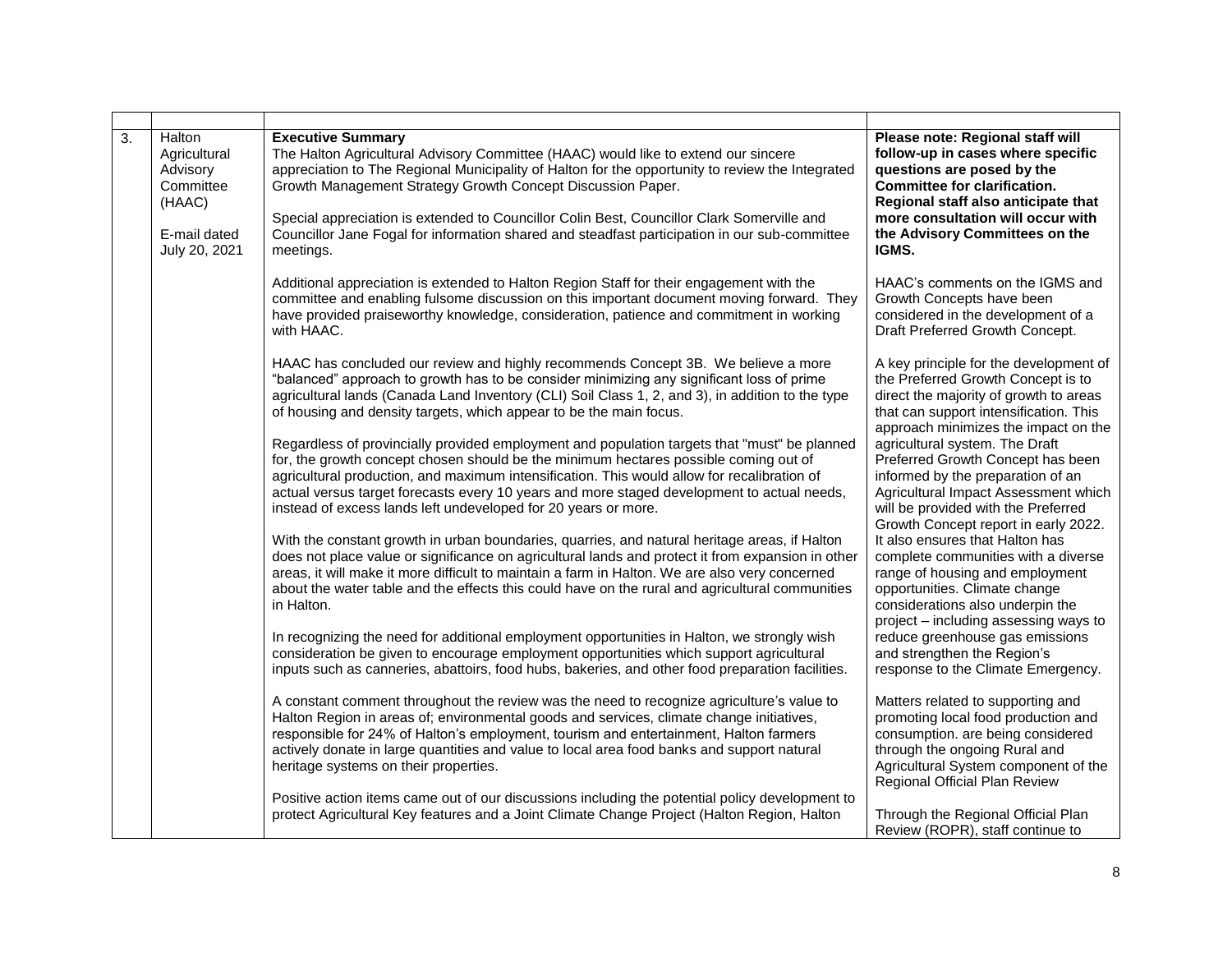| 3. | Halton<br>Agricultural<br>Advisory<br>Committee<br>(HAAC)<br>E-mail dated<br>July 20, 2021 | <b>Executive Summary</b><br>The Halton Agricultural Advisory Committee (HAAC) would like to extend our sincere<br>appreciation to The Regional Municipality of Halton for the opportunity to review the Integrated<br>Growth Management Strategy Growth Concept Discussion Paper.<br>Special appreciation is extended to Councillor Colin Best, Councillor Clark Somerville and<br>Councillor Jane Fogal for information shared and steadfast participation in our sub-committee<br>meetings. | Please note: Regional staff will<br>follow-up in cases where specific<br>questions are posed by the<br><b>Committee for clarification.</b><br>Regional staff also anticipate that<br>more consultation will occur with<br>the Advisory Committees on the<br>IGMS. |
|----|--------------------------------------------------------------------------------------------|-----------------------------------------------------------------------------------------------------------------------------------------------------------------------------------------------------------------------------------------------------------------------------------------------------------------------------------------------------------------------------------------------------------------------------------------------------------------------------------------------|-------------------------------------------------------------------------------------------------------------------------------------------------------------------------------------------------------------------------------------------------------------------|
|    |                                                                                            | Additional appreciation is extended to Halton Region Staff for their engagement with the<br>committee and enabling fulsome discussion on this important document moving forward. They<br>have provided praiseworthy knowledge, consideration, patience and commitment in working<br>with HAAC.                                                                                                                                                                                                | HAAC's comments on the IGMS and<br>Growth Concepts have been<br>considered in the development of a<br>Draft Preferred Growth Concept.                                                                                                                             |
|    |                                                                                            | HAAC has concluded our review and highly recommends Concept 3B. We believe a more<br>"balanced" approach to growth has to be consider minimizing any significant loss of prime<br>agricultural lands (Canada Land Inventory (CLI) Soil Class 1, 2, and 3), in addition to the type<br>of housing and density targets, which appear to be the main focus.                                                                                                                                      | A key principle for the development of<br>the Preferred Growth Concept is to<br>direct the majority of growth to areas<br>that can support intensification. This<br>approach minimizes the impact on the                                                          |
|    |                                                                                            | Regardless of provincially provided employment and population targets that "must" be planned<br>for, the growth concept chosen should be the minimum hectares possible coming out of<br>agricultural production, and maximum intensification. This would allow for recalibration of<br>actual versus target forecasts every 10 years and more staged development to actual needs,<br>instead of excess lands left undeveloped for 20 years or more.                                           | agricultural system. The Draft<br>Preferred Growth Concept has been<br>informed by the preparation of an<br>Agricultural Impact Assessment which<br>will be provided with the Preferred                                                                           |
|    |                                                                                            | With the constant growth in urban boundaries, quarries, and natural heritage areas, if Halton<br>does not place value or significance on agricultural lands and protect it from expansion in other<br>areas, it will make it more difficult to maintain a farm in Halton. We are also very concerned<br>about the water table and the effects this could have on the rural and agricultural communities<br>in Halton.                                                                         | Growth Concept report in early 2022.<br>It also ensures that Halton has<br>complete communities with a diverse<br>range of housing and employment<br>opportunities. Climate change<br>considerations also underpin the<br>project - including assessing ways to   |
|    |                                                                                            | In recognizing the need for additional employment opportunities in Halton, we strongly wish<br>consideration be given to encourage employment opportunities which support agricultural<br>inputs such as canneries, abattoirs, food hubs, bakeries, and other food preparation facilities.                                                                                                                                                                                                    | reduce greenhouse gas emissions<br>and strengthen the Region's<br>response to the Climate Emergency.                                                                                                                                                              |
|    |                                                                                            | A constant comment throughout the review was the need to recognize agriculture's value to<br>Halton Region in areas of; environmental goods and services, climate change initiatives,<br>responsible for 24% of Halton's employment, tourism and entertainment, Halton farmers<br>actively donate in large quantities and value to local area food banks and support natural<br>heritage systems on their properties.                                                                         | Matters related to supporting and<br>promoting local food production and<br>consumption. are being considered<br>through the ongoing Rural and<br>Agricultural System component of the<br>Regional Official Plan Review                                           |
|    |                                                                                            | Positive action items came out of our discussions including the potential policy development to<br>protect Agricultural Key features and a Joint Climate Change Project (Halton Region, Halton                                                                                                                                                                                                                                                                                                | Through the Regional Official Plan<br>Review (ROPR), staff continue to                                                                                                                                                                                            |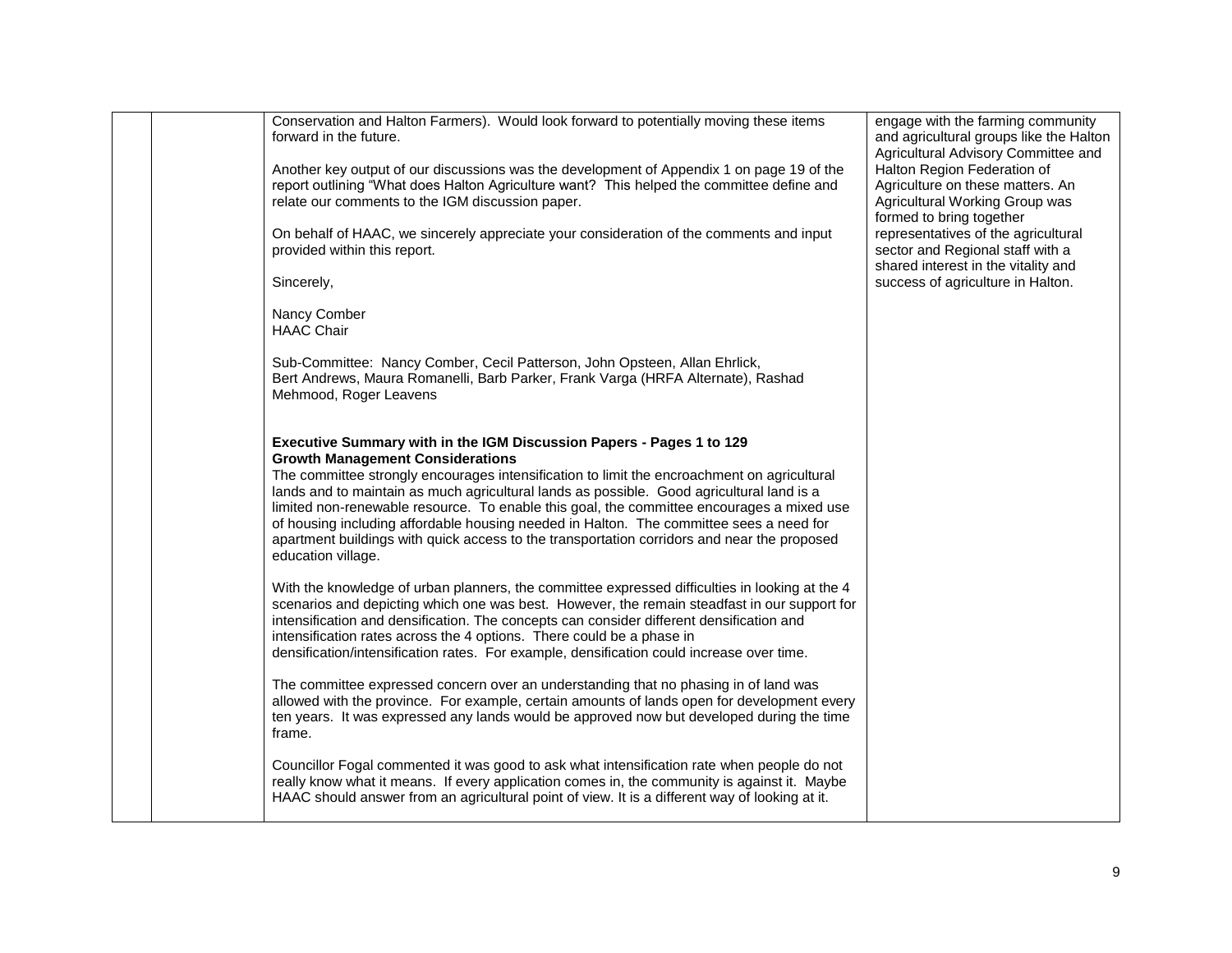| Conservation and Halton Farmers). Would look forward to potentially moving these items<br>forward in the future.                                                                                                                                                                                                                                                                                                                                                                                                                                                                                                         | engage with the farming community<br>and agricultural groups like the Halton<br>Agricultural Advisory Committee and |
|--------------------------------------------------------------------------------------------------------------------------------------------------------------------------------------------------------------------------------------------------------------------------------------------------------------------------------------------------------------------------------------------------------------------------------------------------------------------------------------------------------------------------------------------------------------------------------------------------------------------------|---------------------------------------------------------------------------------------------------------------------|
| Another key output of our discussions was the development of Appendix 1 on page 19 of the<br>report outlining "What does Halton Agriculture want? This helped the committee define and<br>relate our comments to the IGM discussion paper.                                                                                                                                                                                                                                                                                                                                                                               | Halton Region Federation of<br>Agriculture on these matters. An<br>Agricultural Working Group was                   |
| On behalf of HAAC, we sincerely appreciate your consideration of the comments and input                                                                                                                                                                                                                                                                                                                                                                                                                                                                                                                                  | formed to bring together<br>representatives of the agricultural                                                     |
| provided within this report.<br>Sincerely,                                                                                                                                                                                                                                                                                                                                                                                                                                                                                                                                                                               | sector and Regional staff with a<br>shared interest in the vitality and<br>success of agriculture in Halton.        |
| Nancy Comber<br><b>HAAC Chair</b>                                                                                                                                                                                                                                                                                                                                                                                                                                                                                                                                                                                        |                                                                                                                     |
| Sub-Committee: Nancy Comber, Cecil Patterson, John Opsteen, Allan Ehrlick,<br>Bert Andrews, Maura Romanelli, Barb Parker, Frank Varga (HRFA Alternate), Rashad<br>Mehmood, Roger Leavens                                                                                                                                                                                                                                                                                                                                                                                                                                 |                                                                                                                     |
| Executive Summary with in the IGM Discussion Papers - Pages 1 to 129<br><b>Growth Management Considerations</b><br>The committee strongly encourages intensification to limit the encroachment on agricultural<br>lands and to maintain as much agricultural lands as possible. Good agricultural land is a<br>limited non-renewable resource. To enable this goal, the committee encourages a mixed use<br>of housing including affordable housing needed in Halton. The committee sees a need for<br>apartment buildings with quick access to the transportation corridors and near the proposed<br>education village. |                                                                                                                     |
| With the knowledge of urban planners, the committee expressed difficulties in looking at the 4<br>scenarios and depicting which one was best. However, the remain steadfast in our support for<br>intensification and densification. The concepts can consider different densification and<br>intensification rates across the 4 options. There could be a phase in<br>densification/intensification rates. For example, densification could increase over time.                                                                                                                                                         |                                                                                                                     |
| The committee expressed concern over an understanding that no phasing in of land was<br>allowed with the province. For example, certain amounts of lands open for development every<br>ten years. It was expressed any lands would be approved now but developed during the time<br>frame.                                                                                                                                                                                                                                                                                                                               |                                                                                                                     |
| Councillor Fogal commented it was good to ask what intensification rate when people do not<br>really know what it means. If every application comes in, the community is against it. Maybe<br>HAAC should answer from an agricultural point of view. It is a different way of looking at it.                                                                                                                                                                                                                                                                                                                             |                                                                                                                     |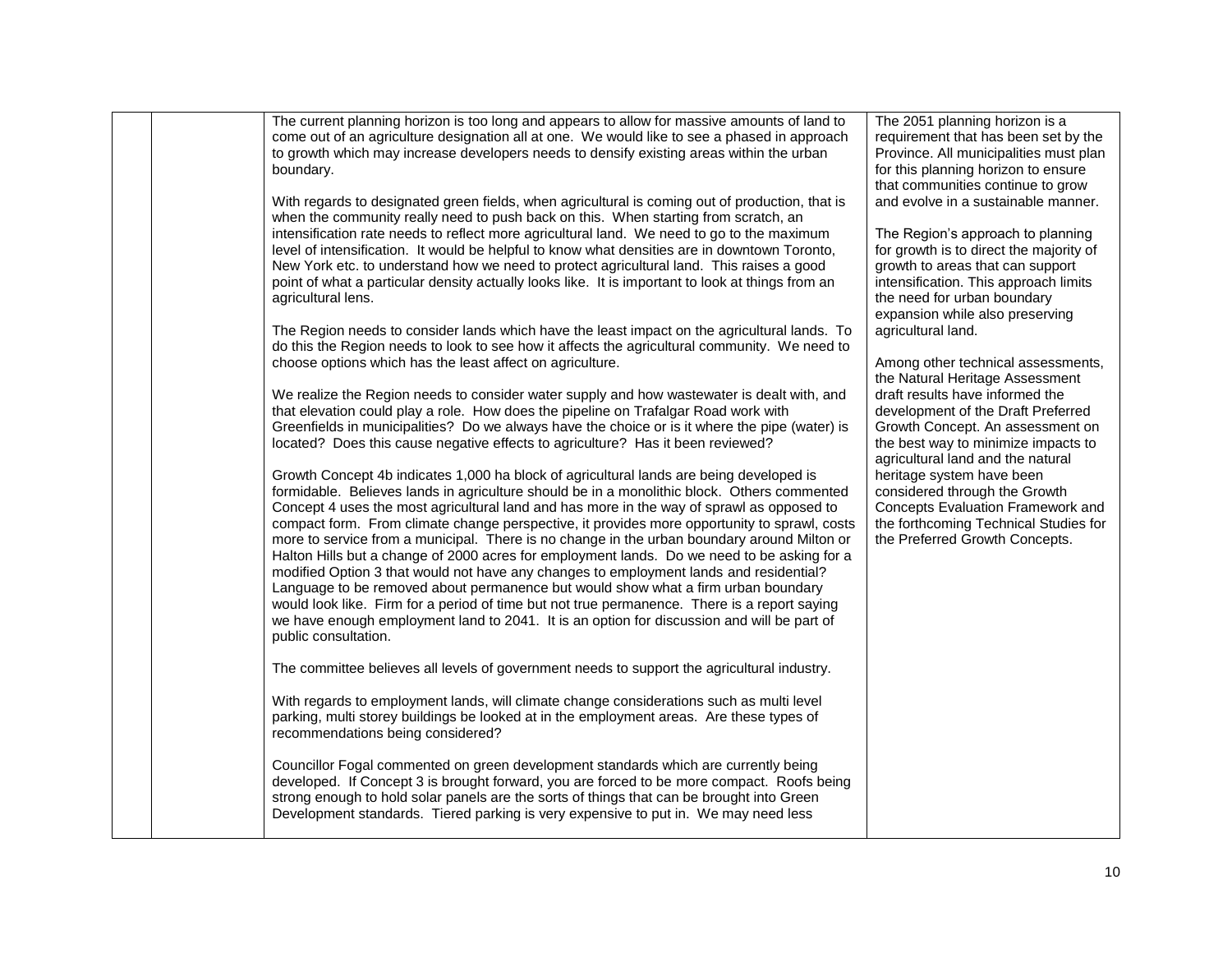|                      | The current planning horizon is too long and appears to allow for massive amounts of land to                                                                                      | The 2051 planning horizon is a                                          |
|----------------------|-----------------------------------------------------------------------------------------------------------------------------------------------------------------------------------|-------------------------------------------------------------------------|
|                      | come out of an agriculture designation all at one. We would like to see a phased in approach                                                                                      | requirement that has been set by the                                    |
|                      | to growth which may increase developers needs to densify existing areas within the urban                                                                                          | Province. All municipalities must plan                                  |
| boundary.            |                                                                                                                                                                                   | for this planning horizon to ensure                                     |
|                      |                                                                                                                                                                                   | that communities continue to grow                                       |
|                      | With regards to designated green fields, when agricultural is coming out of production, that is                                                                                   | and evolve in a sustainable manner.                                     |
|                      | when the community really need to push back on this. When starting from scratch, an                                                                                               |                                                                         |
|                      | intensification rate needs to reflect more agricultural land. We need to go to the maximum                                                                                        | The Region's approach to planning                                       |
|                      | level of intensification. It would be helpful to know what densities are in downtown Toronto,                                                                                     | for growth is to direct the majority of                                 |
|                      | New York etc. to understand how we need to protect agricultural land. This raises a good                                                                                          | growth to areas that can support                                        |
|                      | point of what a particular density actually looks like. It is important to look at things from an                                                                                 | intensification. This approach limits                                   |
| agricultural lens.   |                                                                                                                                                                                   | the need for urban boundary                                             |
|                      |                                                                                                                                                                                   | expansion while also preserving                                         |
|                      | The Region needs to consider lands which have the least impact on the agricultural lands. To                                                                                      | agricultural land.                                                      |
|                      | do this the Region needs to look to see how it affects the agricultural community. We need to                                                                                     |                                                                         |
|                      | choose options which has the least affect on agriculture.                                                                                                                         | Among other technical assessments,                                      |
|                      |                                                                                                                                                                                   | the Natural Heritage Assessment                                         |
|                      | We realize the Region needs to consider water supply and how wastewater is dealt with, and                                                                                        | draft results have informed the                                         |
|                      | that elevation could play a role. How does the pipeline on Trafalgar Road work with                                                                                               | development of the Draft Preferred                                      |
|                      | Greenfields in municipalities? Do we always have the choice or is it where the pipe (water) is<br>located? Does this cause negative effects to agriculture? Has it been reviewed? | Growth Concept. An assessment on<br>the best way to minimize impacts to |
|                      |                                                                                                                                                                                   | agricultural land and the natural                                       |
|                      | Growth Concept 4b indicates 1,000 ha block of agricultural lands are being developed is                                                                                           | heritage system have been                                               |
|                      | formidable. Believes lands in agriculture should be in a monolithic block. Others commented                                                                                       | considered through the Growth                                           |
|                      | Concept 4 uses the most agricultural land and has more in the way of sprawl as opposed to                                                                                         | <b>Concepts Evaluation Framework and</b>                                |
|                      | compact form. From climate change perspective, it provides more opportunity to sprawl, costs                                                                                      | the forthcoming Technical Studies for                                   |
|                      | more to service from a municipal. There is no change in the urban boundary around Milton or                                                                                       | the Preferred Growth Concepts.                                          |
|                      | Halton Hills but a change of 2000 acres for employment lands. Do we need to be asking for a                                                                                       |                                                                         |
|                      | modified Option 3 that would not have any changes to employment lands and residential?                                                                                            |                                                                         |
|                      | Language to be removed about permanence but would show what a firm urban boundary                                                                                                 |                                                                         |
|                      | would look like. Firm for a period of time but not true permanence. There is a report saying                                                                                      |                                                                         |
|                      | we have enough employment land to 2041. It is an option for discussion and will be part of                                                                                        |                                                                         |
| public consultation. |                                                                                                                                                                                   |                                                                         |
|                      |                                                                                                                                                                                   |                                                                         |
|                      | The committee believes all levels of government needs to support the agricultural industry.                                                                                       |                                                                         |
|                      |                                                                                                                                                                                   |                                                                         |
|                      | With regards to employment lands, will climate change considerations such as multi level                                                                                          |                                                                         |
|                      | parking, multi storey buildings be looked at in the employment areas. Are these types of                                                                                          |                                                                         |
|                      | recommendations being considered?                                                                                                                                                 |                                                                         |
|                      | Councillor Fogal commented on green development standards which are currently being                                                                                               |                                                                         |
|                      | developed. If Concept 3 is brought forward, you are forced to be more compact. Roofs being                                                                                        |                                                                         |
|                      | strong enough to hold solar panels are the sorts of things that can be brought into Green                                                                                         |                                                                         |
|                      | Development standards. Tiered parking is very expensive to put in. We may need less                                                                                               |                                                                         |
|                      |                                                                                                                                                                                   |                                                                         |
|                      |                                                                                                                                                                                   |                                                                         |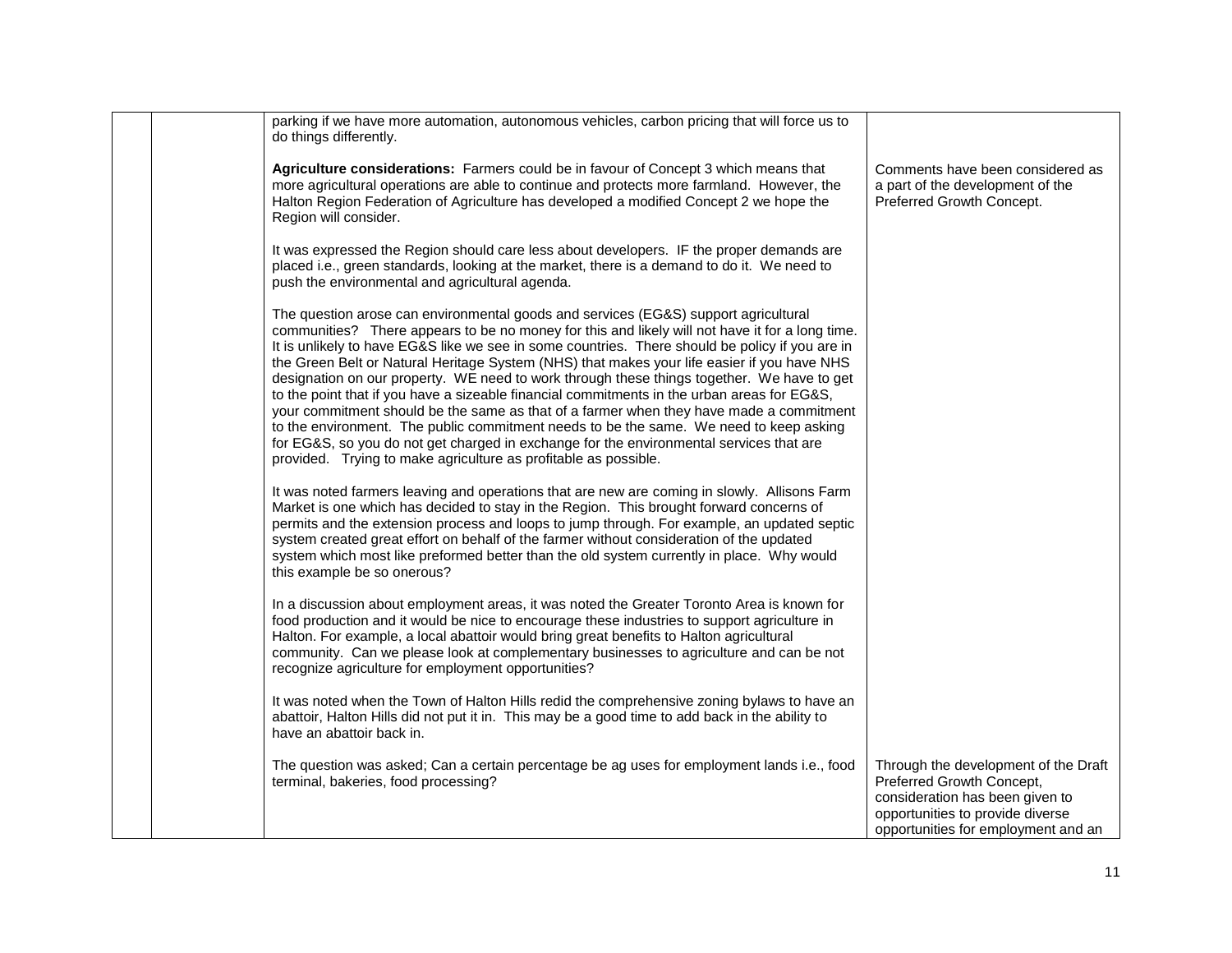| parking if we have more automation, autonomous vehicles, carbon pricing that will force us to<br>do things differently.                                                                                                                                                                                                                                                                                                                                                                                                                                                                                                                                                                                                                                                                                                                                                                                                                  |                                                                                                                                                                                 |
|------------------------------------------------------------------------------------------------------------------------------------------------------------------------------------------------------------------------------------------------------------------------------------------------------------------------------------------------------------------------------------------------------------------------------------------------------------------------------------------------------------------------------------------------------------------------------------------------------------------------------------------------------------------------------------------------------------------------------------------------------------------------------------------------------------------------------------------------------------------------------------------------------------------------------------------|---------------------------------------------------------------------------------------------------------------------------------------------------------------------------------|
| Agriculture considerations: Farmers could be in favour of Concept 3 which means that<br>more agricultural operations are able to continue and protects more farmland. However, the<br>Halton Region Federation of Agriculture has developed a modified Concept 2 we hope the<br>Region will consider.                                                                                                                                                                                                                                                                                                                                                                                                                                                                                                                                                                                                                                    | Comments have been considered as<br>a part of the development of the<br>Preferred Growth Concept.                                                                               |
| It was expressed the Region should care less about developers. IF the proper demands are<br>placed i.e., green standards, looking at the market, there is a demand to do it. We need to<br>push the environmental and agricultural agenda.                                                                                                                                                                                                                                                                                                                                                                                                                                                                                                                                                                                                                                                                                               |                                                                                                                                                                                 |
| The question arose can environmental goods and services (EG&S) support agricultural<br>communities? There appears to be no money for this and likely will not have it for a long time.<br>It is unlikely to have EG&S like we see in some countries. There should be policy if you are in<br>the Green Belt or Natural Heritage System (NHS) that makes your life easier if you have NHS<br>designation on our property. WE need to work through these things together. We have to get<br>to the point that if you have a sizeable financial commitments in the urban areas for EG&S,<br>your commitment should be the same as that of a farmer when they have made a commitment<br>to the environment. The public commitment needs to be the same. We need to keep asking<br>for EG&S, so you do not get charged in exchange for the environmental services that are<br>provided. Trying to make agriculture as profitable as possible. |                                                                                                                                                                                 |
| It was noted farmers leaving and operations that are new are coming in slowly. Allisons Farm<br>Market is one which has decided to stay in the Region. This brought forward concerns of<br>permits and the extension process and loops to jump through. For example, an updated septic<br>system created great effort on behalf of the farmer without consideration of the updated<br>system which most like preformed better than the old system currently in place. Why would<br>this example be so onerous?                                                                                                                                                                                                                                                                                                                                                                                                                           |                                                                                                                                                                                 |
| In a discussion about employment areas, it was noted the Greater Toronto Area is known for<br>food production and it would be nice to encourage these industries to support agriculture in<br>Halton. For example, a local abattoir would bring great benefits to Halton agricultural<br>community. Can we please look at complementary businesses to agriculture and can be not<br>recognize agriculture for employment opportunities?                                                                                                                                                                                                                                                                                                                                                                                                                                                                                                  |                                                                                                                                                                                 |
| It was noted when the Town of Halton Hills redid the comprehensive zoning bylaws to have an<br>abattoir, Halton Hills did not put it in. This may be a good time to add back in the ability to<br>have an abattoir back in.                                                                                                                                                                                                                                                                                                                                                                                                                                                                                                                                                                                                                                                                                                              |                                                                                                                                                                                 |
| The question was asked; Can a certain percentage be ag uses for employment lands i.e., food<br>terminal, bakeries, food processing?                                                                                                                                                                                                                                                                                                                                                                                                                                                                                                                                                                                                                                                                                                                                                                                                      | Through the development of the Draft<br>Preferred Growth Concept,<br>consideration has been given to<br>opportunities to provide diverse<br>opportunities for employment and an |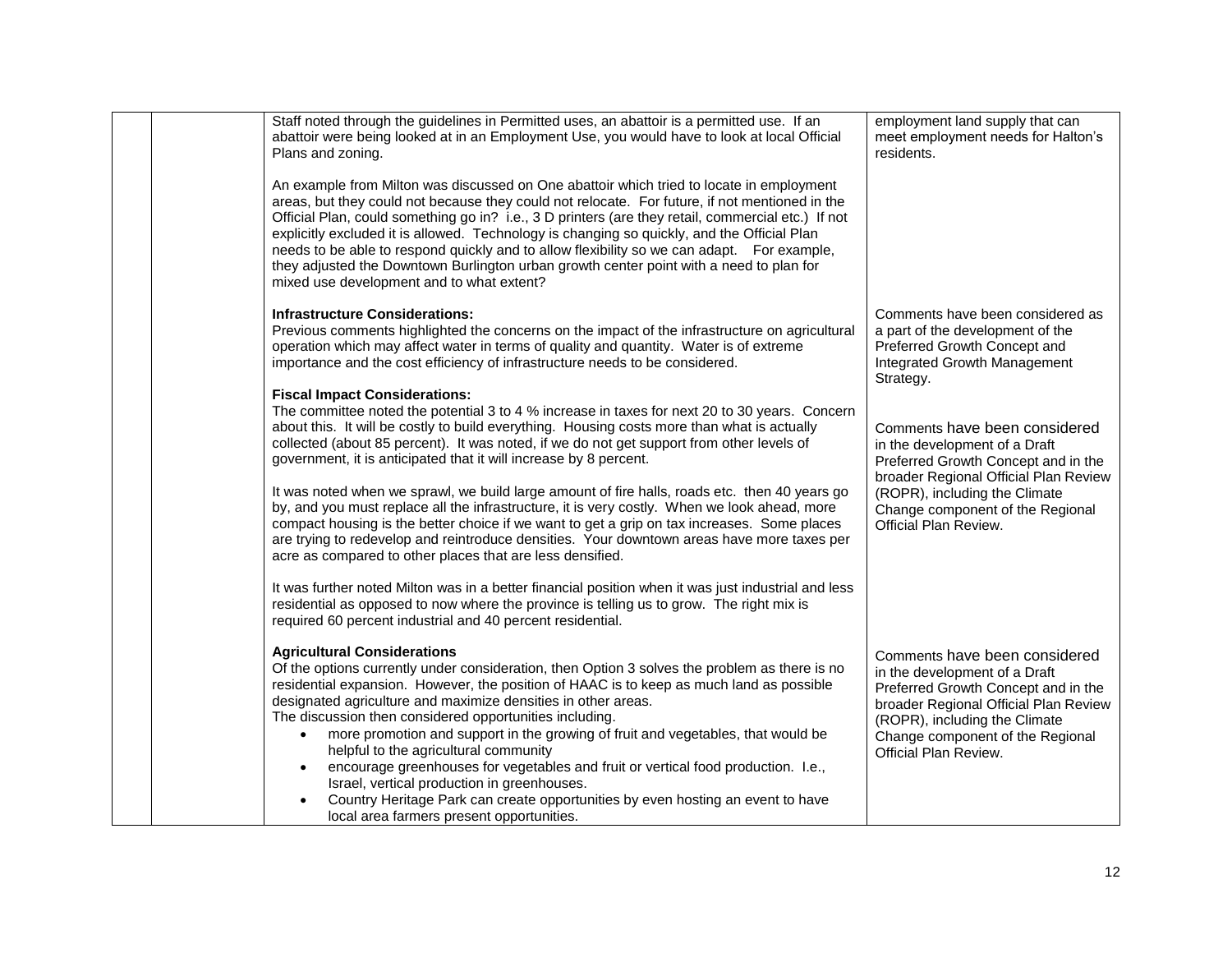|  | Staff noted through the guidelines in Permitted uses, an abattoir is a permitted use. If an<br>abattoir were being looked at in an Employment Use, you would have to look at local Official<br>Plans and zoning.                                                                                                                                                                                                                                                                                                                                                                                                                                                                                                             | employment land supply that can<br>meet employment needs for Halton's<br>residents.                                                                                                                                                          |
|--|------------------------------------------------------------------------------------------------------------------------------------------------------------------------------------------------------------------------------------------------------------------------------------------------------------------------------------------------------------------------------------------------------------------------------------------------------------------------------------------------------------------------------------------------------------------------------------------------------------------------------------------------------------------------------------------------------------------------------|----------------------------------------------------------------------------------------------------------------------------------------------------------------------------------------------------------------------------------------------|
|  | An example from Milton was discussed on One abattoir which tried to locate in employment<br>areas, but they could not because they could not relocate. For future, if not mentioned in the<br>Official Plan, could something go in? i.e., 3 D printers (are they retail, commercial etc.) If not<br>explicitly excluded it is allowed. Technology is changing so quickly, and the Official Plan<br>needs to be able to respond quickly and to allow flexibility so we can adapt.  For example,<br>they adjusted the Downtown Burlington urban growth center point with a need to plan for<br>mixed use development and to what extent?                                                                                       |                                                                                                                                                                                                                                              |
|  | <b>Infrastructure Considerations:</b>                                                                                                                                                                                                                                                                                                                                                                                                                                                                                                                                                                                                                                                                                        | Comments have been considered as                                                                                                                                                                                                             |
|  | Previous comments highlighted the concerns on the impact of the infrastructure on agricultural<br>operation which may affect water in terms of quality and quantity. Water is of extreme<br>importance and the cost efficiency of infrastructure needs to be considered.                                                                                                                                                                                                                                                                                                                                                                                                                                                     | a part of the development of the<br>Preferred Growth Concept and<br>Integrated Growth Management<br>Strategy.                                                                                                                                |
|  | <b>Fiscal Impact Considerations:</b>                                                                                                                                                                                                                                                                                                                                                                                                                                                                                                                                                                                                                                                                                         |                                                                                                                                                                                                                                              |
|  | The committee noted the potential 3 to 4 % increase in taxes for next 20 to 30 years. Concern<br>about this. It will be costly to build everything. Housing costs more than what is actually<br>collected (about 85 percent). It was noted, if we do not get support from other levels of<br>government, it is anticipated that it will increase by 8 percent.                                                                                                                                                                                                                                                                                                                                                               | Comments have been considered<br>in the development of a Draft<br>Preferred Growth Concept and in the<br>broader Regional Official Plan Review                                                                                               |
|  | It was noted when we sprawl, we build large amount of fire halls, roads etc. then 40 years go<br>by, and you must replace all the infrastructure, it is very costly. When we look ahead, more<br>compact housing is the better choice if we want to get a grip on tax increases. Some places<br>are trying to redevelop and reintroduce densities. Your downtown areas have more taxes per<br>acre as compared to other places that are less densified.                                                                                                                                                                                                                                                                      | (ROPR), including the Climate<br>Change component of the Regional<br>Official Plan Review.                                                                                                                                                   |
|  | It was further noted Milton was in a better financial position when it was just industrial and less<br>residential as opposed to now where the province is telling us to grow. The right mix is<br>required 60 percent industrial and 40 percent residential.                                                                                                                                                                                                                                                                                                                                                                                                                                                                |                                                                                                                                                                                                                                              |
|  | <b>Agricultural Considerations</b><br>Of the options currently under consideration, then Option 3 solves the problem as there is no<br>residential expansion. However, the position of HAAC is to keep as much land as possible<br>designated agriculture and maximize densities in other areas.<br>The discussion then considered opportunities including.<br>more promotion and support in the growing of fruit and vegetables, that would be<br>$\bullet$<br>helpful to the agricultural community<br>encourage greenhouses for vegetables and fruit or vertical food production. I.e.,<br>Israel, vertical production in greenhouses.<br>Country Heritage Park can create opportunities by even hosting an event to have | Comments have been considered<br>in the development of a Draft<br>Preferred Growth Concept and in the<br>broader Regional Official Plan Review<br>(ROPR), including the Climate<br>Change component of the Regional<br>Official Plan Review. |
|  | local area farmers present opportunities.                                                                                                                                                                                                                                                                                                                                                                                                                                                                                                                                                                                                                                                                                    |                                                                                                                                                                                                                                              |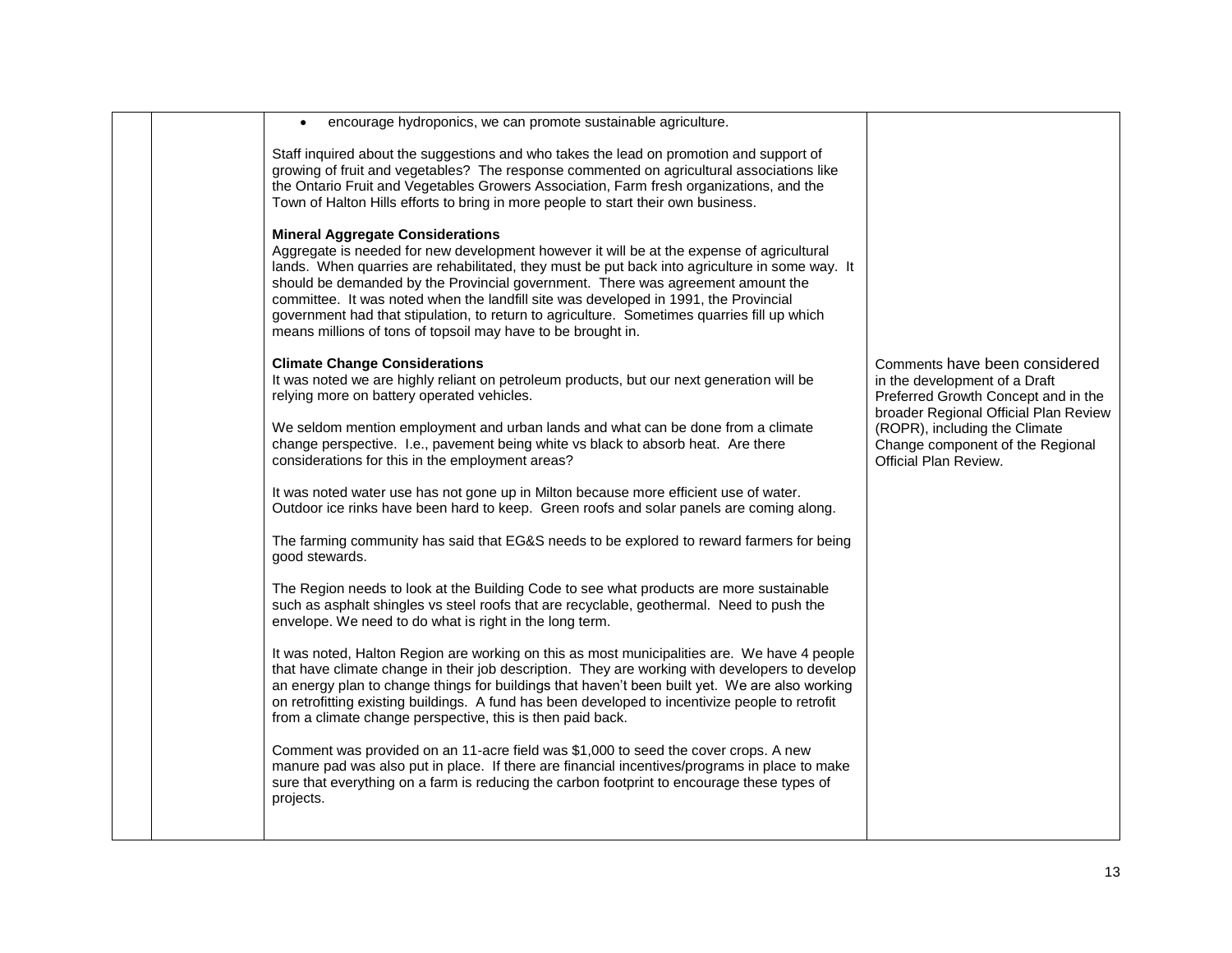|  | encourage hydroponics, we can promote sustainable agriculture.                                                                                                                                                                                                                                                                                                                                                                                                                                                                                                                   |                                                                                                                                     |
|--|----------------------------------------------------------------------------------------------------------------------------------------------------------------------------------------------------------------------------------------------------------------------------------------------------------------------------------------------------------------------------------------------------------------------------------------------------------------------------------------------------------------------------------------------------------------------------------|-------------------------------------------------------------------------------------------------------------------------------------|
|  | Staff inquired about the suggestions and who takes the lead on promotion and support of<br>growing of fruit and vegetables? The response commented on agricultural associations like<br>the Ontario Fruit and Vegetables Growers Association, Farm fresh organizations, and the<br>Town of Halton Hills efforts to bring in more people to start their own business.                                                                                                                                                                                                             |                                                                                                                                     |
|  | <b>Mineral Aggregate Considerations</b><br>Aggregate is needed for new development however it will be at the expense of agricultural<br>lands. When quarries are rehabilitated, they must be put back into agriculture in some way. It<br>should be demanded by the Provincial government. There was agreement amount the<br>committee. It was noted when the landfill site was developed in 1991, the Provincial<br>government had that stipulation, to return to agriculture. Sometimes quarries fill up which<br>means millions of tons of topsoil may have to be brought in. |                                                                                                                                     |
|  | <b>Climate Change Considerations</b><br>It was noted we are highly reliant on petroleum products, but our next generation will be<br>relying more on battery operated vehicles.                                                                                                                                                                                                                                                                                                                                                                                                  | Comments have been considered<br>in the development of a Draft<br>Preferred Growth Concept and in the                               |
|  | We seldom mention employment and urban lands and what can be done from a climate<br>change perspective. I.e., pavement being white vs black to absorb heat. Are there<br>considerations for this in the employment areas?                                                                                                                                                                                                                                                                                                                                                        | broader Regional Official Plan Review<br>(ROPR), including the Climate<br>Change component of the Regional<br>Official Plan Review. |
|  | It was noted water use has not gone up in Milton because more efficient use of water.<br>Outdoor ice rinks have been hard to keep. Green roofs and solar panels are coming along.                                                                                                                                                                                                                                                                                                                                                                                                |                                                                                                                                     |
|  | The farming community has said that EG&S needs to be explored to reward farmers for being<br>good stewards.                                                                                                                                                                                                                                                                                                                                                                                                                                                                      |                                                                                                                                     |
|  | The Region needs to look at the Building Code to see what products are more sustainable<br>such as asphalt shingles vs steel roofs that are recyclable, geothermal. Need to push the<br>envelope. We need to do what is right in the long term.                                                                                                                                                                                                                                                                                                                                  |                                                                                                                                     |
|  | It was noted, Halton Region are working on this as most municipalities are. We have 4 people<br>that have climate change in their job description. They are working with developers to develop<br>an energy plan to change things for buildings that haven't been built yet. We are also working<br>on retrofitting existing buildings. A fund has been developed to incentivize people to retrofit<br>from a climate change perspective, this is then paid back.                                                                                                                |                                                                                                                                     |
|  | Comment was provided on an 11-acre field was \$1,000 to seed the cover crops. A new<br>manure pad was also put in place. If there are financial incentives/programs in place to make<br>sure that everything on a farm is reducing the carbon footprint to encourage these types of<br>projects.                                                                                                                                                                                                                                                                                 |                                                                                                                                     |
|  |                                                                                                                                                                                                                                                                                                                                                                                                                                                                                                                                                                                  |                                                                                                                                     |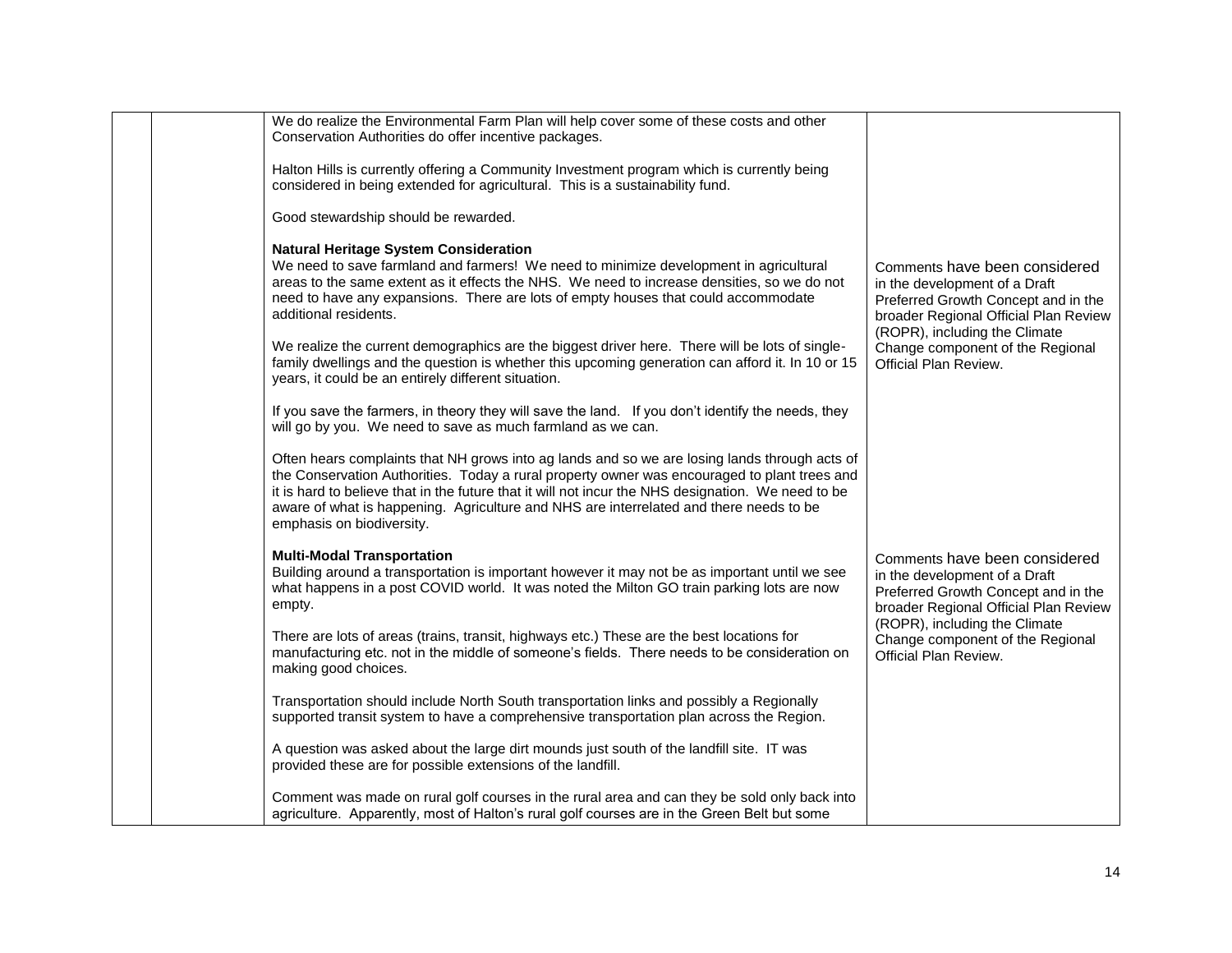| We do realize the Environmental Farm Plan will help cover some of these costs and other<br>Conservation Authorities do offer incentive packages.                                                                                                                                                                                                                                                                           |                                                                                                                                                |
|----------------------------------------------------------------------------------------------------------------------------------------------------------------------------------------------------------------------------------------------------------------------------------------------------------------------------------------------------------------------------------------------------------------------------|------------------------------------------------------------------------------------------------------------------------------------------------|
| Halton Hills is currently offering a Community Investment program which is currently being<br>considered in being extended for agricultural. This is a sustainability fund.                                                                                                                                                                                                                                                |                                                                                                                                                |
| Good stewardship should be rewarded.                                                                                                                                                                                                                                                                                                                                                                                       |                                                                                                                                                |
| <b>Natural Heritage System Consideration</b><br>We need to save farmland and farmers! We need to minimize development in agricultural<br>areas to the same extent as it effects the NHS. We need to increase densities, so we do not<br>need to have any expansions. There are lots of empty houses that could accommodate<br>additional residents.                                                                        | Comments have been considered<br>in the development of a Draft<br>Preferred Growth Concept and in the<br>broader Regional Official Plan Review |
| We realize the current demographics are the biggest driver here. There will be lots of single-<br>family dwellings and the question is whether this upcoming generation can afford it. In 10 or 15<br>years, it could be an entirely different situation.                                                                                                                                                                  | (ROPR), including the Climate<br>Change component of the Regional<br>Official Plan Review.                                                     |
| If you save the farmers, in theory they will save the land. If you don't identify the needs, they<br>will go by you. We need to save as much farmland as we can.                                                                                                                                                                                                                                                           |                                                                                                                                                |
| Often hears complaints that NH grows into ag lands and so we are losing lands through acts of<br>the Conservation Authorities. Today a rural property owner was encouraged to plant trees and<br>it is hard to believe that in the future that it will not incur the NHS designation. We need to be<br>aware of what is happening. Agriculture and NHS are interrelated and there needs to be<br>emphasis on biodiversity. |                                                                                                                                                |
| <b>Multi-Modal Transportation</b><br>Building around a transportation is important however it may not be as important until we see<br>what happens in a post COVID world. It was noted the Milton GO train parking lots are now<br>empty.                                                                                                                                                                                  | Comments have been considered<br>in the development of a Draft<br>Preferred Growth Concept and in the<br>broader Regional Official Plan Review |
| There are lots of areas (trains, transit, highways etc.) These are the best locations for<br>manufacturing etc. not in the middle of someone's fields. There needs to be consideration on<br>making good choices.                                                                                                                                                                                                          | (ROPR), including the Climate<br>Change component of the Regional<br>Official Plan Review.                                                     |
| Transportation should include North South transportation links and possibly a Regionally<br>supported transit system to have a comprehensive transportation plan across the Region.                                                                                                                                                                                                                                        |                                                                                                                                                |
| A question was asked about the large dirt mounds just south of the landfill site. IT was<br>provided these are for possible extensions of the landfill.                                                                                                                                                                                                                                                                    |                                                                                                                                                |
| Comment was made on rural golf courses in the rural area and can they be sold only back into<br>agriculture. Apparently, most of Halton's rural golf courses are in the Green Belt but some                                                                                                                                                                                                                                |                                                                                                                                                |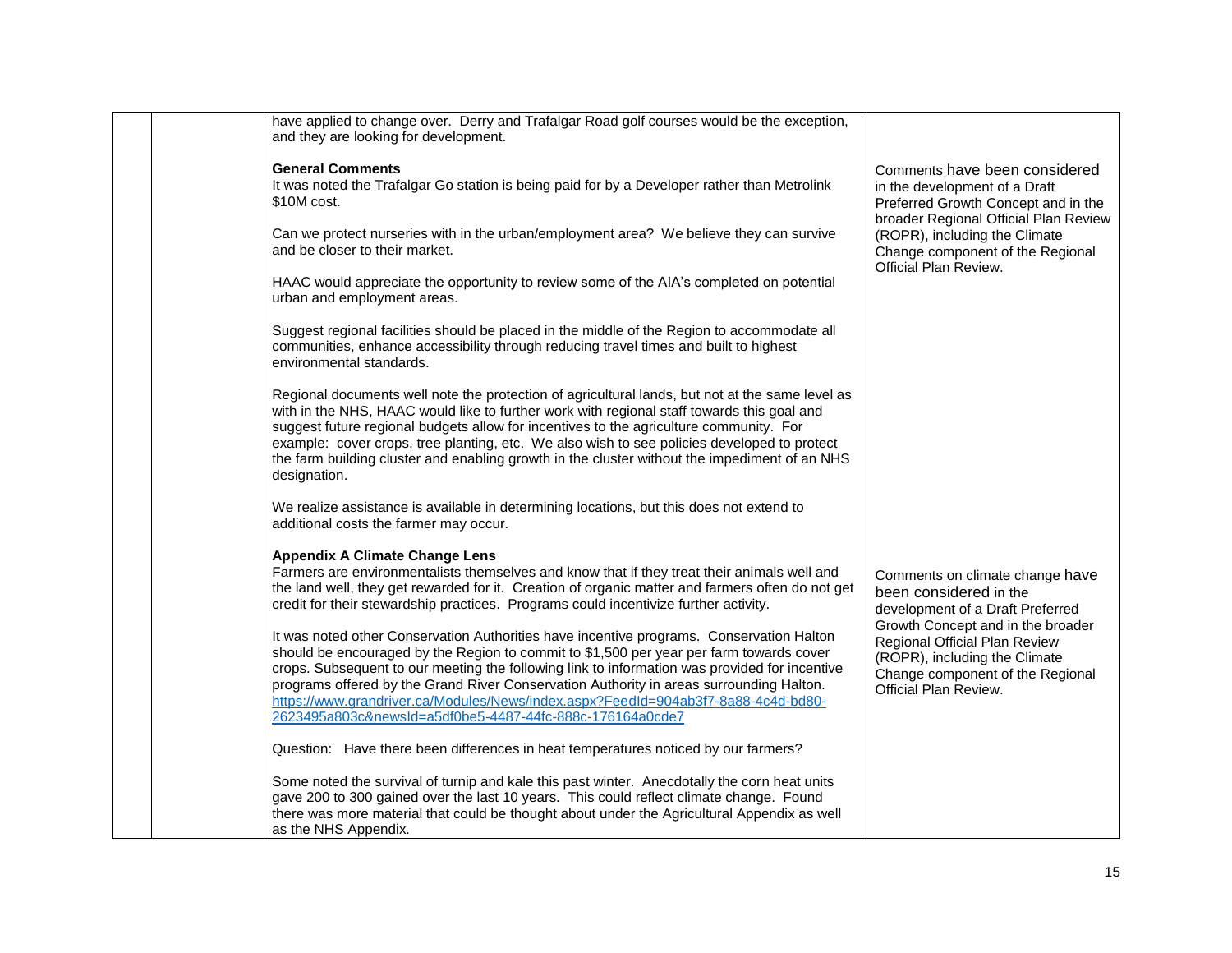| have applied to change over. Derry and Trafalgar Road golf courses would be the exception,<br>and they are looking for development.                                                                                                                                                                                                                                                                                                                                                                                              |                                                                                                                                                                  |
|----------------------------------------------------------------------------------------------------------------------------------------------------------------------------------------------------------------------------------------------------------------------------------------------------------------------------------------------------------------------------------------------------------------------------------------------------------------------------------------------------------------------------------|------------------------------------------------------------------------------------------------------------------------------------------------------------------|
| <b>General Comments</b><br>It was noted the Trafalgar Go station is being paid for by a Developer rather than Metrolink<br>\$10M cost.                                                                                                                                                                                                                                                                                                                                                                                           | Comments have been considered<br>in the development of a Draft<br>Preferred Growth Concept and in the                                                            |
| Can we protect nurseries with in the urban/employment area? We believe they can survive<br>and be closer to their market.                                                                                                                                                                                                                                                                                                                                                                                                        | broader Regional Official Plan Review<br>(ROPR), including the Climate<br>Change component of the Regional<br>Official Plan Review.                              |
| HAAC would appreciate the opportunity to review some of the AIA's completed on potential<br>urban and employment areas.                                                                                                                                                                                                                                                                                                                                                                                                          |                                                                                                                                                                  |
| Suggest regional facilities should be placed in the middle of the Region to accommodate all<br>communities, enhance accessibility through reducing travel times and built to highest<br>environmental standards.                                                                                                                                                                                                                                                                                                                 |                                                                                                                                                                  |
| Regional documents well note the protection of agricultural lands, but not at the same level as<br>with in the NHS, HAAC would like to further work with regional staff towards this goal and<br>suggest future regional budgets allow for incentives to the agriculture community. For<br>example: cover crops, tree planting, etc. We also wish to see policies developed to protect<br>the farm building cluster and enabling growth in the cluster without the impediment of an NHS<br>designation.                          |                                                                                                                                                                  |
| We realize assistance is available in determining locations, but this does not extend to<br>additional costs the farmer may occur.                                                                                                                                                                                                                                                                                                                                                                                               |                                                                                                                                                                  |
| <b>Appendix A Climate Change Lens</b><br>Farmers are environmentalists themselves and know that if they treat their animals well and<br>the land well, they get rewarded for it. Creation of organic matter and farmers often do not get<br>credit for their stewardship practices. Programs could incentivize further activity.                                                                                                                                                                                                 | Comments on climate change have<br>been considered in the<br>development of a Draft Preferred                                                                    |
| It was noted other Conservation Authorities have incentive programs. Conservation Halton<br>should be encouraged by the Region to commit to \$1,500 per year per farm towards cover<br>crops. Subsequent to our meeting the following link to information was provided for incentive<br>programs offered by the Grand River Conservation Authority in areas surrounding Halton.<br>https://www.grandriver.ca/Modules/News/index.aspx?FeedId=904ab3f7-8a88-4c4d-bd80-<br>2623495a803c&newsId=a5df0be5-4487-44fc-888c-176164a0cde7 | Growth Concept and in the broader<br>Regional Official Plan Review<br>(ROPR), including the Climate<br>Change component of the Regional<br>Official Plan Review. |
| Question: Have there been differences in heat temperatures noticed by our farmers?                                                                                                                                                                                                                                                                                                                                                                                                                                               |                                                                                                                                                                  |
| Some noted the survival of turnip and kale this past winter. Anecdotally the corn heat units<br>gave 200 to 300 gained over the last 10 years. This could reflect climate change. Found<br>there was more material that could be thought about under the Agricultural Appendix as well<br>as the NHS Appendix.                                                                                                                                                                                                                   |                                                                                                                                                                  |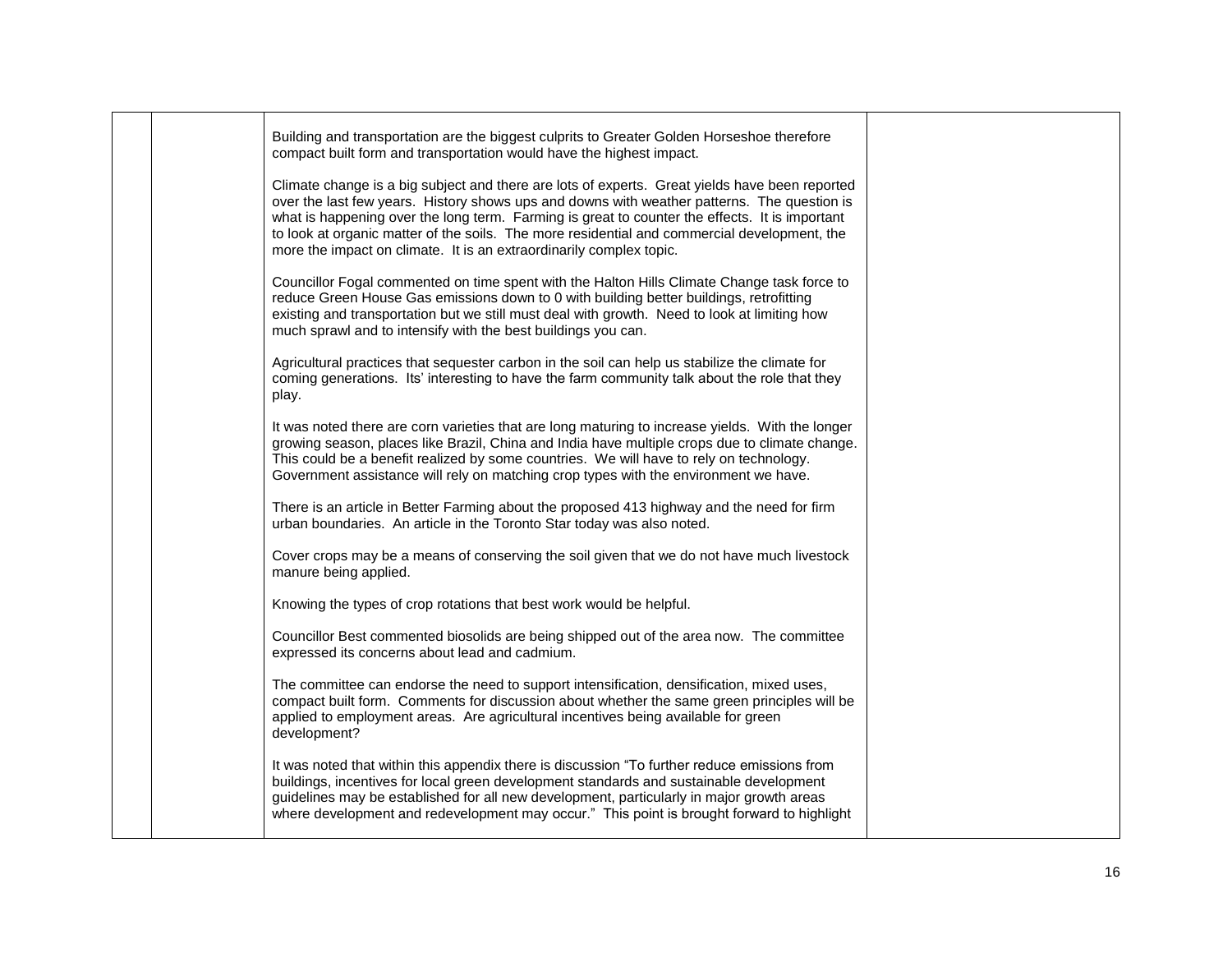|  | Building and transportation are the biggest culprits to Greater Golden Horseshoe therefore<br>compact built form and transportation would have the highest impact.                                                                                                                                                                                                                                                                                                     |  |
|--|------------------------------------------------------------------------------------------------------------------------------------------------------------------------------------------------------------------------------------------------------------------------------------------------------------------------------------------------------------------------------------------------------------------------------------------------------------------------|--|
|  | Climate change is a big subject and there are lots of experts. Great yields have been reported<br>over the last few years. History shows ups and downs with weather patterns. The question is<br>what is happening over the long term. Farming is great to counter the effects. It is important<br>to look at organic matter of the soils. The more residential and commercial development, the<br>more the impact on climate. It is an extraordinarily complex topic. |  |
|  | Councillor Fogal commented on time spent with the Halton Hills Climate Change task force to<br>reduce Green House Gas emissions down to 0 with building better buildings, retrofitting<br>existing and transportation but we still must deal with growth. Need to look at limiting how<br>much sprawl and to intensify with the best buildings you can.                                                                                                                |  |
|  | Agricultural practices that sequester carbon in the soil can help us stabilize the climate for<br>coming generations. Its' interesting to have the farm community talk about the role that they<br>play.                                                                                                                                                                                                                                                               |  |
|  | It was noted there are corn varieties that are long maturing to increase yields. With the longer<br>growing season, places like Brazil, China and India have multiple crops due to climate change.<br>This could be a benefit realized by some countries. We will have to rely on technology.<br>Government assistance will rely on matching crop types with the environment we have.                                                                                  |  |
|  | There is an article in Better Farming about the proposed 413 highway and the need for firm<br>urban boundaries. An article in the Toronto Star today was also noted.                                                                                                                                                                                                                                                                                                   |  |
|  | Cover crops may be a means of conserving the soil given that we do not have much livestock<br>manure being applied.                                                                                                                                                                                                                                                                                                                                                    |  |
|  | Knowing the types of crop rotations that best work would be helpful.                                                                                                                                                                                                                                                                                                                                                                                                   |  |
|  | Councillor Best commented biosolids are being shipped out of the area now. The committee<br>expressed its concerns about lead and cadmium.                                                                                                                                                                                                                                                                                                                             |  |
|  | The committee can endorse the need to support intensification, densification, mixed uses,<br>compact built form. Comments for discussion about whether the same green principles will be<br>applied to employment areas. Are agricultural incentives being available for green<br>development?                                                                                                                                                                         |  |
|  | It was noted that within this appendix there is discussion "To further reduce emissions from<br>buildings, incentives for local green development standards and sustainable development<br>guidelines may be established for all new development, particularly in major growth areas<br>where development and redevelopment may occur." This point is brought forward to highlight                                                                                     |  |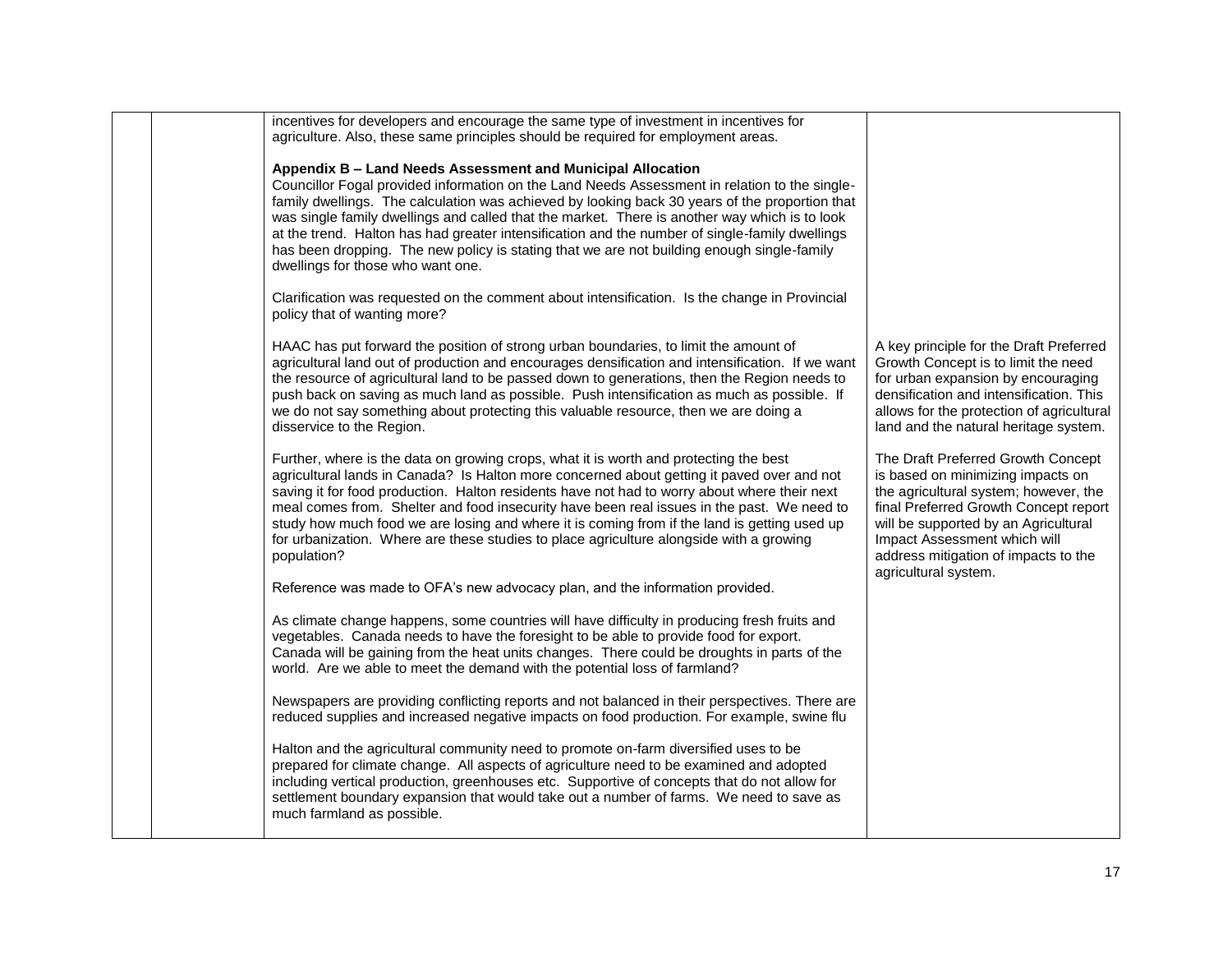|             | incentives for developers and encourage the same type of investment in incentives for<br>agriculture. Also, these same principles should be required for employment areas.                                                                                                                                                                                                                                                                                                                                                                                                                           |                                                                                                                                                                                                                                                                                                   |
|-------------|------------------------------------------------------------------------------------------------------------------------------------------------------------------------------------------------------------------------------------------------------------------------------------------------------------------------------------------------------------------------------------------------------------------------------------------------------------------------------------------------------------------------------------------------------------------------------------------------------|---------------------------------------------------------------------------------------------------------------------------------------------------------------------------------------------------------------------------------------------------------------------------------------------------|
|             | Appendix B - Land Needs Assessment and Municipal Allocation<br>Councillor Fogal provided information on the Land Needs Assessment in relation to the single-<br>family dwellings. The calculation was achieved by looking back 30 years of the proportion that<br>was single family dwellings and called that the market. There is another way which is to look<br>at the trend. Halton has had greater intensification and the number of single-family dwellings<br>has been dropping. The new policy is stating that we are not building enough single-family<br>dwellings for those who want one. |                                                                                                                                                                                                                                                                                                   |
|             | Clarification was requested on the comment about intensification. Is the change in Provincial<br>policy that of wanting more?                                                                                                                                                                                                                                                                                                                                                                                                                                                                        |                                                                                                                                                                                                                                                                                                   |
|             | HAAC has put forward the position of strong urban boundaries, to limit the amount of<br>agricultural land out of production and encourages densification and intensification. If we want<br>the resource of agricultural land to be passed down to generations, then the Region needs to<br>push back on saving as much land as possible. Push intensification as much as possible. If<br>we do not say something about protecting this valuable resource, then we are doing a<br>disservice to the Region.                                                                                          | A key principle for the Draft Preferred<br>Growth Concept is to limit the need<br>for urban expansion by encouraging<br>densification and intensification. This<br>allows for the protection of agricultural<br>land and the natural heritage system.                                             |
| population? | Further, where is the data on growing crops, what it is worth and protecting the best<br>agricultural lands in Canada? Is Halton more concerned about getting it paved over and not<br>saving it for food production. Halton residents have not had to worry about where their next<br>meal comes from. Shelter and food insecurity have been real issues in the past. We need to<br>study how much food we are losing and where it is coming from if the land is getting used up<br>for urbanization. Where are these studies to place agriculture alongside with a growing                         | The Draft Preferred Growth Concept<br>is based on minimizing impacts on<br>the agricultural system; however, the<br>final Preferred Growth Concept report<br>will be supported by an Agricultural<br>Impact Assessment which will<br>address mitigation of impacts to the<br>agricultural system. |
|             | Reference was made to OFA's new advocacy plan, and the information provided.                                                                                                                                                                                                                                                                                                                                                                                                                                                                                                                         |                                                                                                                                                                                                                                                                                                   |
|             | As climate change happens, some countries will have difficulty in producing fresh fruits and<br>vegetables. Canada needs to have the foresight to be able to provide food for export.<br>Canada will be gaining from the heat units changes. There could be droughts in parts of the<br>world. Are we able to meet the demand with the potential loss of farmland?                                                                                                                                                                                                                                   |                                                                                                                                                                                                                                                                                                   |
|             | Newspapers are providing conflicting reports and not balanced in their perspectives. There are<br>reduced supplies and increased negative impacts on food production. For example, swine flu                                                                                                                                                                                                                                                                                                                                                                                                         |                                                                                                                                                                                                                                                                                                   |
|             | Halton and the agricultural community need to promote on-farm diversified uses to be<br>prepared for climate change. All aspects of agriculture need to be examined and adopted<br>including vertical production, greenhouses etc. Supportive of concepts that do not allow for<br>settlement boundary expansion that would take out a number of farms. We need to save as<br>much farmland as possible.                                                                                                                                                                                             |                                                                                                                                                                                                                                                                                                   |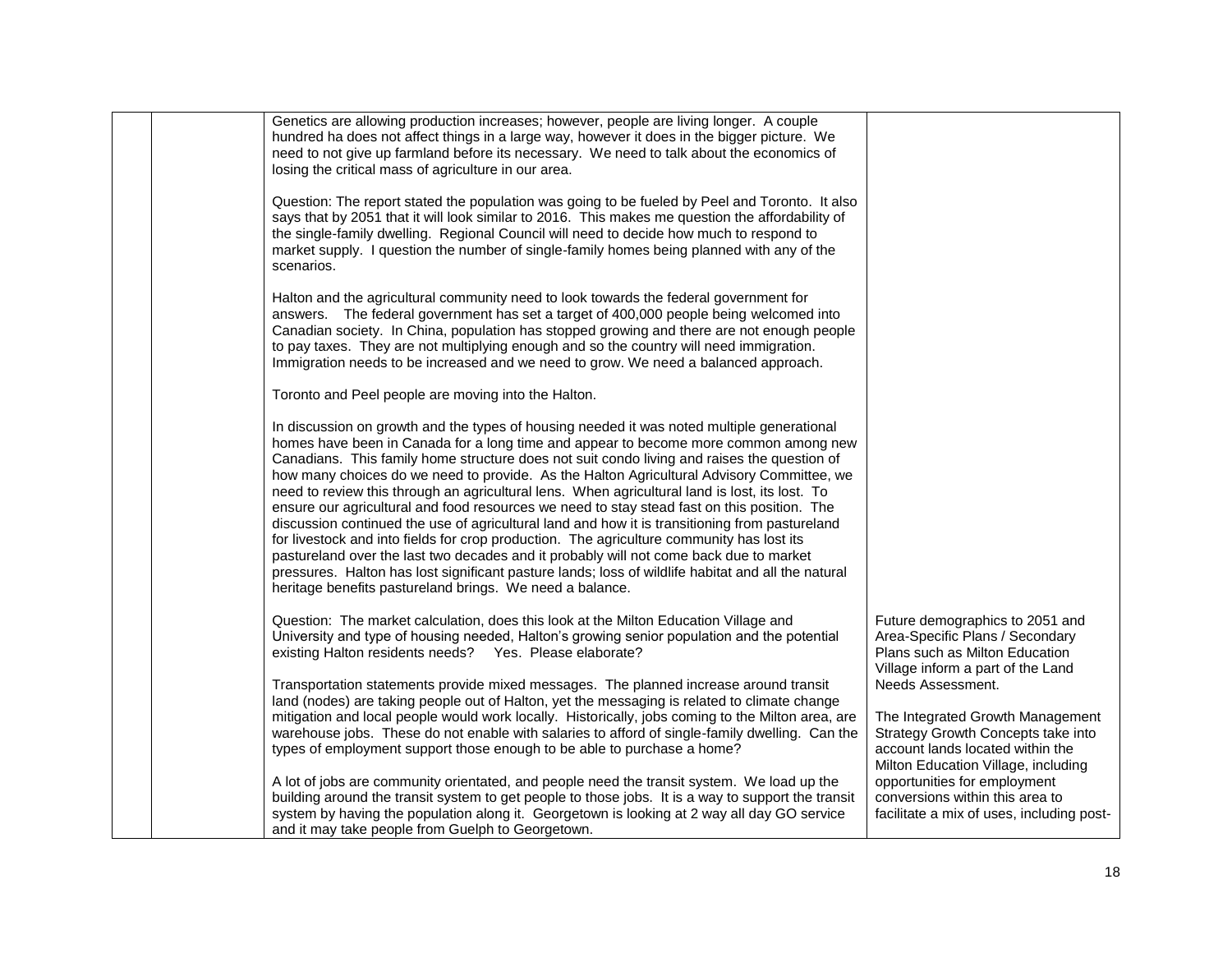| Genetics are allowing production increases; however, people are living longer. A couple<br>hundred ha does not affect things in a large way, however it does in the bigger picture. We<br>need to not give up farmland before its necessary. We need to talk about the economics of<br>losing the critical mass of agriculture in our area.                                                                                                                                                                                                                                                                                                                                                                                                                                                                                                                                                                                                                                                                                                |                                                                                                                                                                        |
|--------------------------------------------------------------------------------------------------------------------------------------------------------------------------------------------------------------------------------------------------------------------------------------------------------------------------------------------------------------------------------------------------------------------------------------------------------------------------------------------------------------------------------------------------------------------------------------------------------------------------------------------------------------------------------------------------------------------------------------------------------------------------------------------------------------------------------------------------------------------------------------------------------------------------------------------------------------------------------------------------------------------------------------------|------------------------------------------------------------------------------------------------------------------------------------------------------------------------|
| Question: The report stated the population was going to be fueled by Peel and Toronto. It also<br>says that by 2051 that it will look similar to 2016. This makes me question the affordability of<br>the single-family dwelling. Regional Council will need to decide how much to respond to<br>market supply. I question the number of single-family homes being planned with any of the<br>scenarios.                                                                                                                                                                                                                                                                                                                                                                                                                                                                                                                                                                                                                                   |                                                                                                                                                                        |
| Halton and the agricultural community need to look towards the federal government for<br>answers. The federal government has set a target of 400,000 people being welcomed into<br>Canadian society. In China, population has stopped growing and there are not enough people<br>to pay taxes. They are not multiplying enough and so the country will need immigration.<br>Immigration needs to be increased and we need to grow. We need a balanced approach.                                                                                                                                                                                                                                                                                                                                                                                                                                                                                                                                                                            |                                                                                                                                                                        |
| Toronto and Peel people are moving into the Halton.                                                                                                                                                                                                                                                                                                                                                                                                                                                                                                                                                                                                                                                                                                                                                                                                                                                                                                                                                                                        |                                                                                                                                                                        |
| In discussion on growth and the types of housing needed it was noted multiple generational<br>homes have been in Canada for a long time and appear to become more common among new<br>Canadians. This family home structure does not suit condo living and raises the question of<br>how many choices do we need to provide. As the Halton Agricultural Advisory Committee, we<br>need to review this through an agricultural lens. When agricultural land is lost, its lost. To<br>ensure our agricultural and food resources we need to stay stead fast on this position. The<br>discussion continued the use of agricultural land and how it is transitioning from pastureland<br>for livestock and into fields for crop production. The agriculture community has lost its<br>pastureland over the last two decades and it probably will not come back due to market<br>pressures. Halton has lost significant pasture lands; loss of wildlife habitat and all the natural<br>heritage benefits pastureland brings. We need a balance. |                                                                                                                                                                        |
| Question: The market calculation, does this look at the Milton Education Village and<br>University and type of housing needed, Halton's growing senior population and the potential<br>existing Halton residents needs?  Yes. Please elaborate?                                                                                                                                                                                                                                                                                                                                                                                                                                                                                                                                                                                                                                                                                                                                                                                            | Future demographics to 2051 and<br>Area-Specific Plans / Secondary<br>Plans such as Milton Education<br>Village inform a part of the Land                              |
| Transportation statements provide mixed messages. The planned increase around transit<br>land (nodes) are taking people out of Halton, yet the messaging is related to climate change<br>mitigation and local people would work locally. Historically, jobs coming to the Milton area, are<br>warehouse jobs. These do not enable with salaries to afford of single-family dwelling. Can the<br>types of employment support those enough to be able to purchase a home?                                                                                                                                                                                                                                                                                                                                                                                                                                                                                                                                                                    | Needs Assessment.<br>The Integrated Growth Management<br>Strategy Growth Concepts take into<br>account lands located within the<br>Milton Education Village, including |
| A lot of jobs are community orientated, and people need the transit system. We load up the<br>building around the transit system to get people to those jobs. It is a way to support the transit<br>system by having the population along it. Georgetown is looking at 2 way all day GO service<br>and it may take people from Guelph to Georgetown.                                                                                                                                                                                                                                                                                                                                                                                                                                                                                                                                                                                                                                                                                       | opportunities for employment<br>conversions within this area to<br>facilitate a mix of uses, including post-                                                           |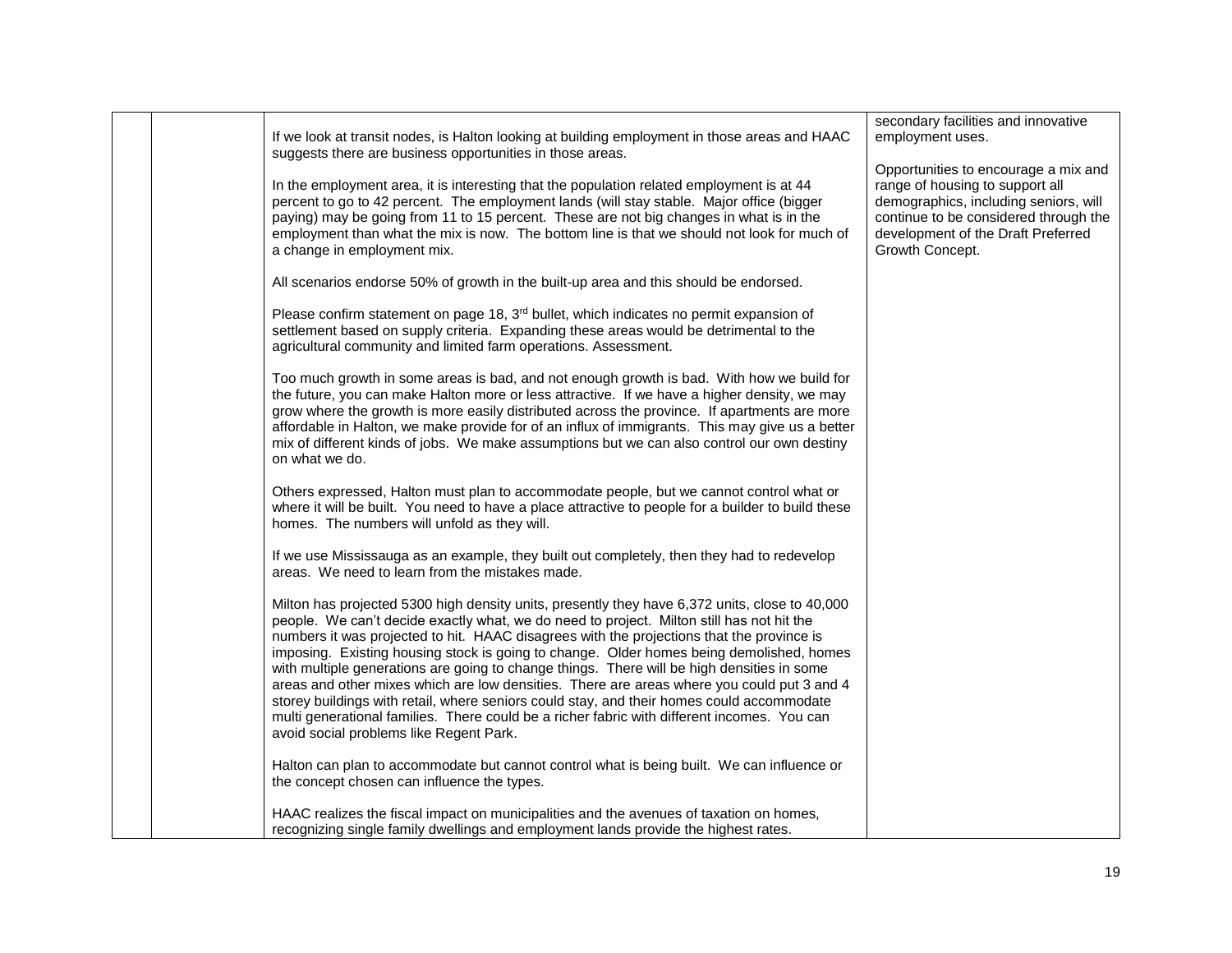|  | If we look at transit nodes, is Halton looking at building employment in those areas and HAAC<br>suggests there are business opportunities in those areas.                                                                                                                                                                                                                                                                                                                                                                                                                                                                                                                                                                                                                                                              | secondary facilities and innovative<br>employment uses.                                                                                                                                                            |
|--|-------------------------------------------------------------------------------------------------------------------------------------------------------------------------------------------------------------------------------------------------------------------------------------------------------------------------------------------------------------------------------------------------------------------------------------------------------------------------------------------------------------------------------------------------------------------------------------------------------------------------------------------------------------------------------------------------------------------------------------------------------------------------------------------------------------------------|--------------------------------------------------------------------------------------------------------------------------------------------------------------------------------------------------------------------|
|  | In the employment area, it is interesting that the population related employment is at 44<br>percent to go to 42 percent. The employment lands (will stay stable. Major office (bigger<br>paying) may be going from 11 to 15 percent. These are not big changes in what is in the<br>employment than what the mix is now. The bottom line is that we should not look for much of<br>a change in employment mix.                                                                                                                                                                                                                                                                                                                                                                                                         | Opportunities to encourage a mix and<br>range of housing to support all<br>demographics, including seniors, will<br>continue to be considered through the<br>development of the Draft Preferred<br>Growth Concept. |
|  | All scenarios endorse 50% of growth in the built-up area and this should be endorsed.                                                                                                                                                                                                                                                                                                                                                                                                                                                                                                                                                                                                                                                                                                                                   |                                                                                                                                                                                                                    |
|  | Please confirm statement on page 18, 3 <sup>rd</sup> bullet, which indicates no permit expansion of<br>settlement based on supply criteria. Expanding these areas would be detrimental to the<br>agricultural community and limited farm operations. Assessment.                                                                                                                                                                                                                                                                                                                                                                                                                                                                                                                                                        |                                                                                                                                                                                                                    |
|  | Too much growth in some areas is bad, and not enough growth is bad. With how we build for<br>the future, you can make Halton more or less attractive. If we have a higher density, we may<br>grow where the growth is more easily distributed across the province. If apartments are more<br>affordable in Halton, we make provide for of an influx of immigrants. This may give us a better<br>mix of different kinds of jobs. We make assumptions but we can also control our own destiny<br>on what we do.                                                                                                                                                                                                                                                                                                           |                                                                                                                                                                                                                    |
|  | Others expressed, Halton must plan to accommodate people, but we cannot control what or<br>where it will be built. You need to have a place attractive to people for a builder to build these<br>homes. The numbers will unfold as they will.                                                                                                                                                                                                                                                                                                                                                                                                                                                                                                                                                                           |                                                                                                                                                                                                                    |
|  | If we use Mississauga as an example, they built out completely, then they had to redevelop<br>areas. We need to learn from the mistakes made.                                                                                                                                                                                                                                                                                                                                                                                                                                                                                                                                                                                                                                                                           |                                                                                                                                                                                                                    |
|  | Milton has projected 5300 high density units, presently they have 6,372 units, close to 40,000<br>people. We can't decide exactly what, we do need to project. Milton still has not hit the<br>numbers it was projected to hit. HAAC disagrees with the projections that the province is<br>imposing. Existing housing stock is going to change. Older homes being demolished, homes<br>with multiple generations are going to change things. There will be high densities in some<br>areas and other mixes which are low densities. There are areas where you could put 3 and 4<br>storey buildings with retail, where seniors could stay, and their homes could accommodate<br>multi generational families. There could be a richer fabric with different incomes. You can<br>avoid social problems like Regent Park. |                                                                                                                                                                                                                    |
|  | Halton can plan to accommodate but cannot control what is being built. We can influence or<br>the concept chosen can influence the types.                                                                                                                                                                                                                                                                                                                                                                                                                                                                                                                                                                                                                                                                               |                                                                                                                                                                                                                    |
|  | HAAC realizes the fiscal impact on municipalities and the avenues of taxation on homes,<br>recognizing single family dwellings and employment lands provide the highest rates.                                                                                                                                                                                                                                                                                                                                                                                                                                                                                                                                                                                                                                          |                                                                                                                                                                                                                    |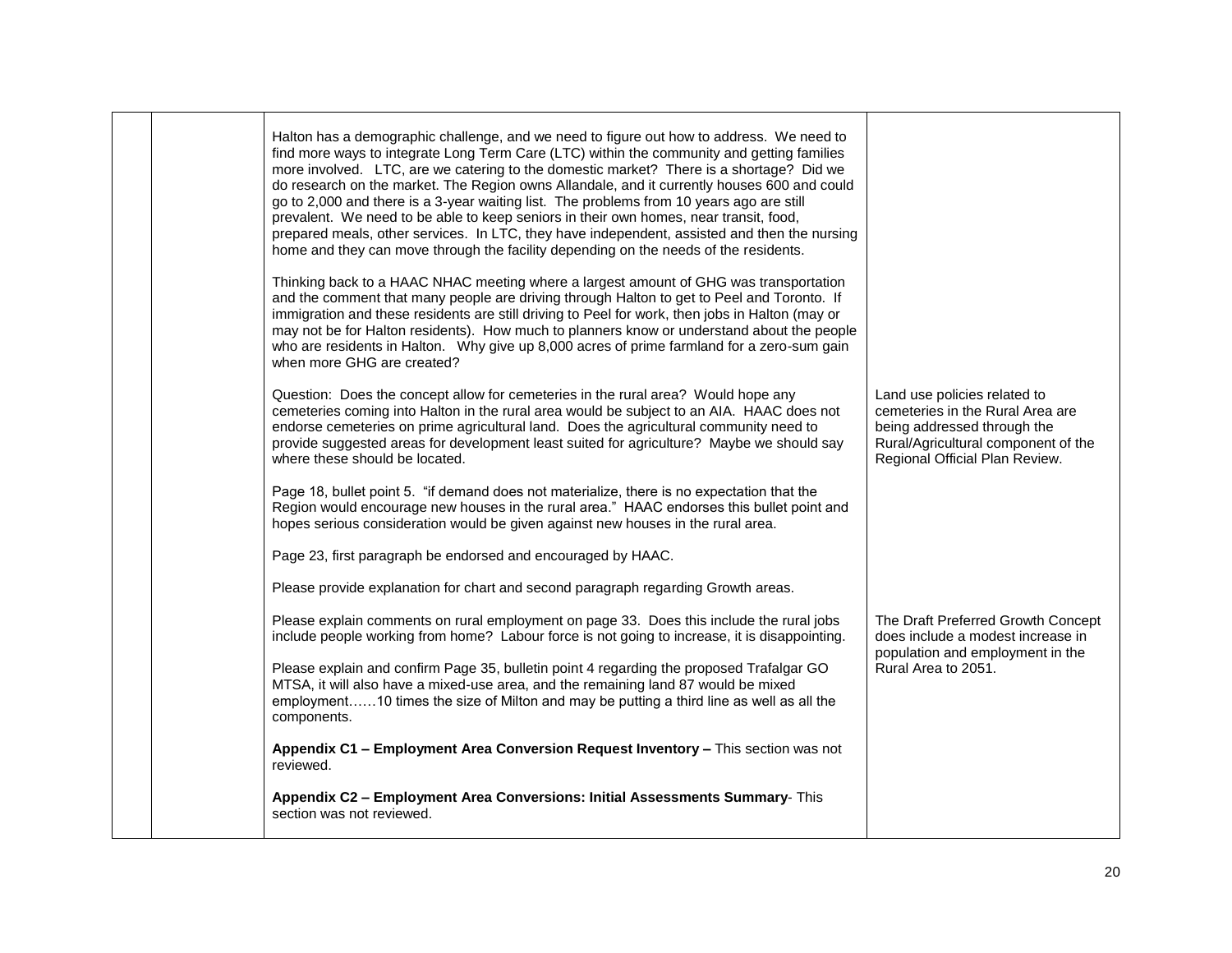| Halton has a demographic challenge, and we need to figure out how to address. We need to<br>find more ways to integrate Long Term Care (LTC) within the community and getting families<br>more involved. LTC, are we catering to the domestic market? There is a shortage? Did we<br>do research on the market. The Region owns Allandale, and it currently houses 600 and could<br>go to 2,000 and there is a 3-year waiting list. The problems from 10 years ago are still<br>prevalent. We need to be able to keep seniors in their own homes, near transit, food,<br>prepared meals, other services. In LTC, they have independent, assisted and then the nursing<br>home and they can move through the facility depending on the needs of the residents. |                                                                                                                                                                          |
|---------------------------------------------------------------------------------------------------------------------------------------------------------------------------------------------------------------------------------------------------------------------------------------------------------------------------------------------------------------------------------------------------------------------------------------------------------------------------------------------------------------------------------------------------------------------------------------------------------------------------------------------------------------------------------------------------------------------------------------------------------------|--------------------------------------------------------------------------------------------------------------------------------------------------------------------------|
| Thinking back to a HAAC NHAC meeting where a largest amount of GHG was transportation<br>and the comment that many people are driving through Halton to get to Peel and Toronto. If<br>immigration and these residents are still driving to Peel for work, then jobs in Halton (may or<br>may not be for Halton residents). How much to planners know or understand about the people<br>who are residents in Halton. Why give up 8,000 acres of prime farmland for a zero-sum gain<br>when more GHG are created?                                                                                                                                                                                                                                              |                                                                                                                                                                          |
| Question: Does the concept allow for cemeteries in the rural area? Would hope any<br>cemeteries coming into Halton in the rural area would be subject to an AIA. HAAC does not<br>endorse cemeteries on prime agricultural land. Does the agricultural community need to<br>provide suggested areas for development least suited for agriculture? Maybe we should say<br>where these should be located.                                                                                                                                                                                                                                                                                                                                                       | Land use policies related to<br>cemeteries in the Rural Area are<br>being addressed through the<br>Rural/Agricultural component of the<br>Regional Official Plan Review. |
| Page 18, bullet point 5. "if demand does not materialize, there is no expectation that the<br>Region would encourage new houses in the rural area." HAAC endorses this bullet point and<br>hopes serious consideration would be given against new houses in the rural area.                                                                                                                                                                                                                                                                                                                                                                                                                                                                                   |                                                                                                                                                                          |
| Page 23, first paragraph be endorsed and encouraged by HAAC.                                                                                                                                                                                                                                                                                                                                                                                                                                                                                                                                                                                                                                                                                                  |                                                                                                                                                                          |
| Please provide explanation for chart and second paragraph regarding Growth areas.                                                                                                                                                                                                                                                                                                                                                                                                                                                                                                                                                                                                                                                                             |                                                                                                                                                                          |
| Please explain comments on rural employment on page 33. Does this include the rural jobs<br>include people working from home? Labour force is not going to increase, it is disappointing.                                                                                                                                                                                                                                                                                                                                                                                                                                                                                                                                                                     | The Draft Preferred Growth Concept<br>does include a modest increase in<br>population and employment in the                                                              |
| Please explain and confirm Page 35, bulletin point 4 regarding the proposed Trafalgar GO<br>MTSA, it will also have a mixed-use area, and the remaining land 87 would be mixed<br>employment10 times the size of Milton and may be putting a third line as well as all the<br>components.                                                                                                                                                                                                                                                                                                                                                                                                                                                                     | Rural Area to 2051.                                                                                                                                                      |
| Appendix C1 - Employment Area Conversion Request Inventory - This section was not<br>reviewed.                                                                                                                                                                                                                                                                                                                                                                                                                                                                                                                                                                                                                                                                |                                                                                                                                                                          |
| Appendix C2 - Employment Area Conversions: Initial Assessments Summary- This<br>section was not reviewed.                                                                                                                                                                                                                                                                                                                                                                                                                                                                                                                                                                                                                                                     |                                                                                                                                                                          |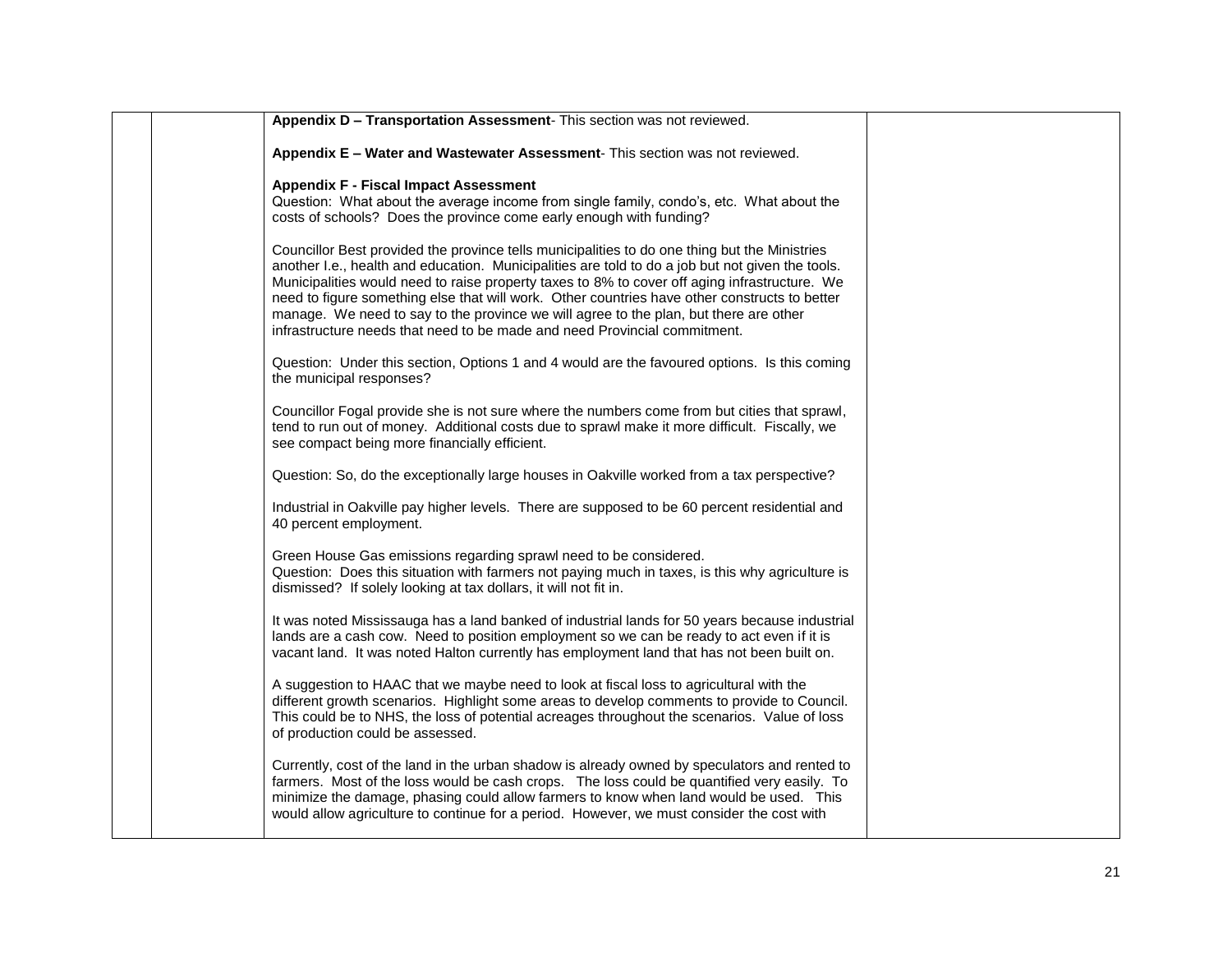| Appendix E - Water and Wastewater Assessment- This section was not reviewed.<br><b>Appendix F - Fiscal Impact Assessment</b><br>Question: What about the average income from single family, condo's, etc. What about the<br>costs of schools? Does the province come early enough with funding?<br>Councillor Best provided the province tells municipalities to do one thing but the Ministries<br>another I.e., health and education. Municipalities are told to do a job but not given the tools.<br>Municipalities would need to raise property taxes to 8% to cover off aging infrastructure. We<br>need to figure something else that will work. Other countries have other constructs to better<br>manage. We need to say to the province we will agree to the plan, but there are other<br>infrastructure needs that need to be made and need Provincial commitment.<br>Question: Under this section, Options 1 and 4 would are the favoured options. Is this coming<br>the municipal responses?<br>Councillor Fogal provide she is not sure where the numbers come from but cities that sprawl,<br>tend to run out of money. Additional costs due to sprawl make it more difficult. Fiscally, we<br>see compact being more financially efficient.<br>Question: So, do the exceptionally large houses in Oakville worked from a tax perspective?<br>Industrial in Oakville pay higher levels. There are supposed to be 60 percent residential and<br>40 percent employment.<br>Green House Gas emissions regarding sprawl need to be considered.<br>Question: Does this situation with farmers not paying much in taxes, is this why agriculture is<br>dismissed? If solely looking at tax dollars, it will not fit in.<br>It was noted Mississauga has a land banked of industrial lands for 50 years because industrial<br>lands are a cash cow. Need to position employment so we can be ready to act even if it is<br>vacant land. It was noted Halton currently has employment land that has not been built on.<br>A suggestion to HAAC that we maybe need to look at fiscal loss to agricultural with the<br>different growth scenarios. Highlight some areas to develop comments to provide to Council.<br>This could be to NHS, the loss of potential acreages throughout the scenarios. Value of loss<br>of production could be assessed.<br>Currently, cost of the land in the urban shadow is already owned by speculators and rented to<br>farmers. Most of the loss would be cash crops. The loss could be quantified very easily. To<br>minimize the damage, phasing could allow farmers to know when land would be used. This<br>would allow agriculture to continue for a period. However, we must consider the cost with |                                                                        |  |
|---------------------------------------------------------------------------------------------------------------------------------------------------------------------------------------------------------------------------------------------------------------------------------------------------------------------------------------------------------------------------------------------------------------------------------------------------------------------------------------------------------------------------------------------------------------------------------------------------------------------------------------------------------------------------------------------------------------------------------------------------------------------------------------------------------------------------------------------------------------------------------------------------------------------------------------------------------------------------------------------------------------------------------------------------------------------------------------------------------------------------------------------------------------------------------------------------------------------------------------------------------------------------------------------------------------------------------------------------------------------------------------------------------------------------------------------------------------------------------------------------------------------------------------------------------------------------------------------------------------------------------------------------------------------------------------------------------------------------------------------------------------------------------------------------------------------------------------------------------------------------------------------------------------------------------------------------------------------------------------------------------------------------------------------------------------------------------------------------------------------------------------------------------------------------------------------------------------------------------------------------------------------------------------------------------------------------------------------------------------------------------------------------------------------------------------------------------------------------------------------------------------------------------------------------------------------------------------------------------------------------------------------------------------------------------------------------------------------------------------------------|------------------------------------------------------------------------|--|
|                                                                                                                                                                                                                                                                                                                                                                                                                                                                                                                                                                                                                                                                                                                                                                                                                                                                                                                                                                                                                                                                                                                                                                                                                                                                                                                                                                                                                                                                                                                                                                                                                                                                                                                                                                                                                                                                                                                                                                                                                                                                                                                                                                                                                                                                                                                                                                                                                                                                                                                                                                                                                                                                                                                                                   | Appendix D - Transportation Assessment- This section was not reviewed. |  |
|                                                                                                                                                                                                                                                                                                                                                                                                                                                                                                                                                                                                                                                                                                                                                                                                                                                                                                                                                                                                                                                                                                                                                                                                                                                                                                                                                                                                                                                                                                                                                                                                                                                                                                                                                                                                                                                                                                                                                                                                                                                                                                                                                                                                                                                                                                                                                                                                                                                                                                                                                                                                                                                                                                                                                   |                                                                        |  |
|                                                                                                                                                                                                                                                                                                                                                                                                                                                                                                                                                                                                                                                                                                                                                                                                                                                                                                                                                                                                                                                                                                                                                                                                                                                                                                                                                                                                                                                                                                                                                                                                                                                                                                                                                                                                                                                                                                                                                                                                                                                                                                                                                                                                                                                                                                                                                                                                                                                                                                                                                                                                                                                                                                                                                   |                                                                        |  |
|                                                                                                                                                                                                                                                                                                                                                                                                                                                                                                                                                                                                                                                                                                                                                                                                                                                                                                                                                                                                                                                                                                                                                                                                                                                                                                                                                                                                                                                                                                                                                                                                                                                                                                                                                                                                                                                                                                                                                                                                                                                                                                                                                                                                                                                                                                                                                                                                                                                                                                                                                                                                                                                                                                                                                   |                                                                        |  |
|                                                                                                                                                                                                                                                                                                                                                                                                                                                                                                                                                                                                                                                                                                                                                                                                                                                                                                                                                                                                                                                                                                                                                                                                                                                                                                                                                                                                                                                                                                                                                                                                                                                                                                                                                                                                                                                                                                                                                                                                                                                                                                                                                                                                                                                                                                                                                                                                                                                                                                                                                                                                                                                                                                                                                   |                                                                        |  |
|                                                                                                                                                                                                                                                                                                                                                                                                                                                                                                                                                                                                                                                                                                                                                                                                                                                                                                                                                                                                                                                                                                                                                                                                                                                                                                                                                                                                                                                                                                                                                                                                                                                                                                                                                                                                                                                                                                                                                                                                                                                                                                                                                                                                                                                                                                                                                                                                                                                                                                                                                                                                                                                                                                                                                   |                                                                        |  |
|                                                                                                                                                                                                                                                                                                                                                                                                                                                                                                                                                                                                                                                                                                                                                                                                                                                                                                                                                                                                                                                                                                                                                                                                                                                                                                                                                                                                                                                                                                                                                                                                                                                                                                                                                                                                                                                                                                                                                                                                                                                                                                                                                                                                                                                                                                                                                                                                                                                                                                                                                                                                                                                                                                                                                   |                                                                        |  |
|                                                                                                                                                                                                                                                                                                                                                                                                                                                                                                                                                                                                                                                                                                                                                                                                                                                                                                                                                                                                                                                                                                                                                                                                                                                                                                                                                                                                                                                                                                                                                                                                                                                                                                                                                                                                                                                                                                                                                                                                                                                                                                                                                                                                                                                                                                                                                                                                                                                                                                                                                                                                                                                                                                                                                   |                                                                        |  |
|                                                                                                                                                                                                                                                                                                                                                                                                                                                                                                                                                                                                                                                                                                                                                                                                                                                                                                                                                                                                                                                                                                                                                                                                                                                                                                                                                                                                                                                                                                                                                                                                                                                                                                                                                                                                                                                                                                                                                                                                                                                                                                                                                                                                                                                                                                                                                                                                                                                                                                                                                                                                                                                                                                                                                   |                                                                        |  |
|                                                                                                                                                                                                                                                                                                                                                                                                                                                                                                                                                                                                                                                                                                                                                                                                                                                                                                                                                                                                                                                                                                                                                                                                                                                                                                                                                                                                                                                                                                                                                                                                                                                                                                                                                                                                                                                                                                                                                                                                                                                                                                                                                                                                                                                                                                                                                                                                                                                                                                                                                                                                                                                                                                                                                   |                                                                        |  |
|                                                                                                                                                                                                                                                                                                                                                                                                                                                                                                                                                                                                                                                                                                                                                                                                                                                                                                                                                                                                                                                                                                                                                                                                                                                                                                                                                                                                                                                                                                                                                                                                                                                                                                                                                                                                                                                                                                                                                                                                                                                                                                                                                                                                                                                                                                                                                                                                                                                                                                                                                                                                                                                                                                                                                   |                                                                        |  |
|                                                                                                                                                                                                                                                                                                                                                                                                                                                                                                                                                                                                                                                                                                                                                                                                                                                                                                                                                                                                                                                                                                                                                                                                                                                                                                                                                                                                                                                                                                                                                                                                                                                                                                                                                                                                                                                                                                                                                                                                                                                                                                                                                                                                                                                                                                                                                                                                                                                                                                                                                                                                                                                                                                                                                   |                                                                        |  |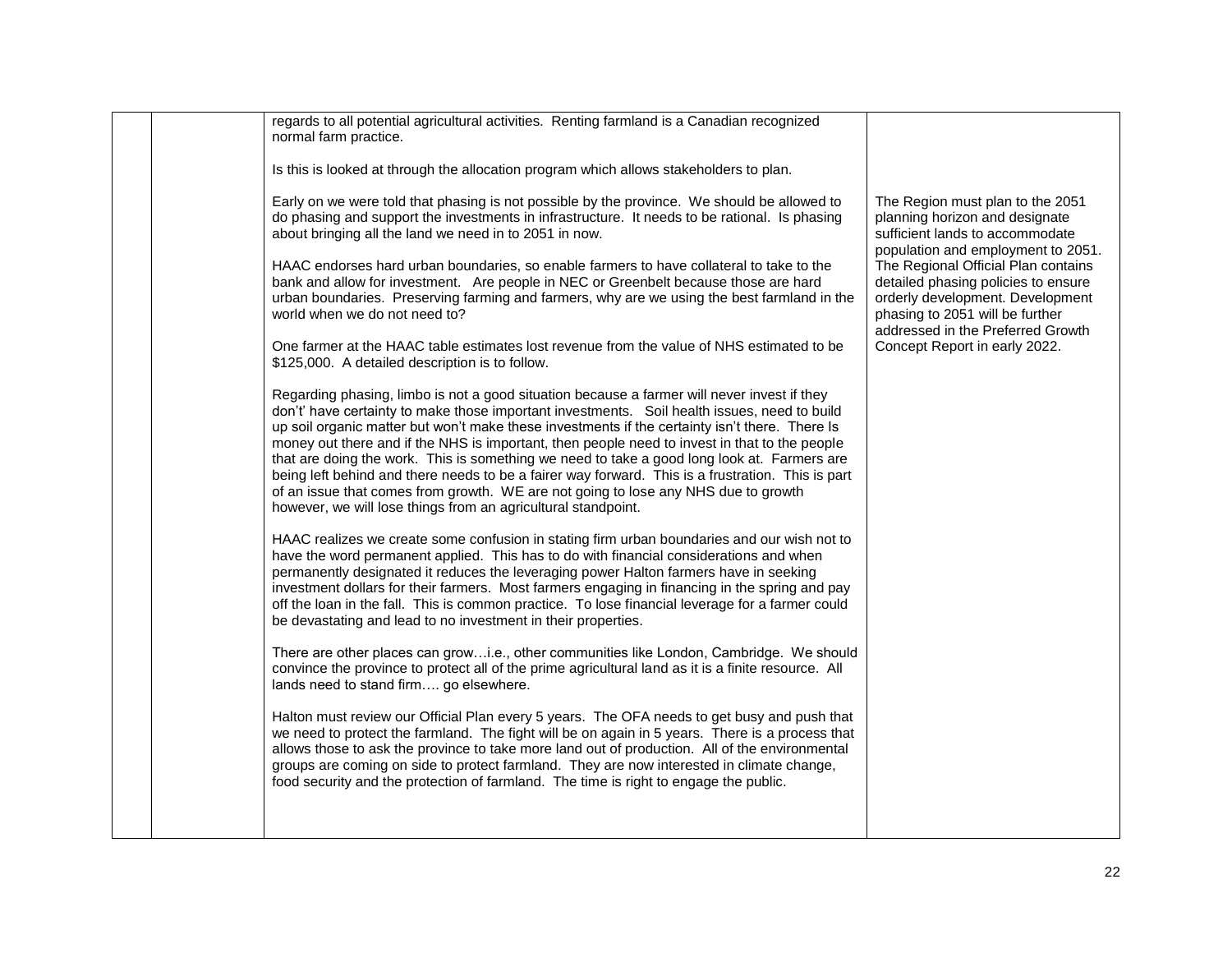|  | regards to all potential agricultural activities. Renting farmland is a Canadian recognized<br>normal farm practice.                                                                                                                                                                                                                                                                                                                                                                                                                                                                                                                                                                                                                                      |                                                                                                                                                                                        |
|--|-----------------------------------------------------------------------------------------------------------------------------------------------------------------------------------------------------------------------------------------------------------------------------------------------------------------------------------------------------------------------------------------------------------------------------------------------------------------------------------------------------------------------------------------------------------------------------------------------------------------------------------------------------------------------------------------------------------------------------------------------------------|----------------------------------------------------------------------------------------------------------------------------------------------------------------------------------------|
|  | Is this is looked at through the allocation program which allows stakeholders to plan.                                                                                                                                                                                                                                                                                                                                                                                                                                                                                                                                                                                                                                                                    |                                                                                                                                                                                        |
|  | Early on we were told that phasing is not possible by the province. We should be allowed to<br>do phasing and support the investments in infrastructure. It needs to be rational. Is phasing<br>about bringing all the land we need in to 2051 in now.                                                                                                                                                                                                                                                                                                                                                                                                                                                                                                    | The Region must plan to the 2051<br>planning horizon and designate<br>sufficient lands to accommodate<br>population and employment to 2051.                                            |
|  | HAAC endorses hard urban boundaries, so enable farmers to have collateral to take to the<br>bank and allow for investment. Are people in NEC or Greenbelt because those are hard<br>urban boundaries. Preserving farming and farmers, why are we using the best farmland in the<br>world when we do not need to?                                                                                                                                                                                                                                                                                                                                                                                                                                          | The Regional Official Plan contains<br>detailed phasing policies to ensure<br>orderly development. Development<br>phasing to 2051 will be further<br>addressed in the Preferred Growth |
|  | One farmer at the HAAC table estimates lost revenue from the value of NHS estimated to be<br>\$125,000. A detailed description is to follow.                                                                                                                                                                                                                                                                                                                                                                                                                                                                                                                                                                                                              | Concept Report in early 2022.                                                                                                                                                          |
|  | Regarding phasing, limbo is not a good situation because a farmer will never invest if they<br>don't' have certainty to make those important investments. Soil health issues, need to build<br>up soil organic matter but won't make these investments if the certainty isn't there. There Is<br>money out there and if the NHS is important, then people need to invest in that to the people<br>that are doing the work. This is something we need to take a good long look at. Farmers are<br>being left behind and there needs to be a fairer way forward. This is a frustration. This is part<br>of an issue that comes from growth. WE are not going to lose any NHS due to growth<br>however, we will lose things from an agricultural standpoint. |                                                                                                                                                                                        |
|  | HAAC realizes we create some confusion in stating firm urban boundaries and our wish not to<br>have the word permanent applied. This has to do with financial considerations and when<br>permanently designated it reduces the leveraging power Halton farmers have in seeking<br>investment dollars for their farmers. Most farmers engaging in financing in the spring and pay<br>off the loan in the fall. This is common practice. To lose financial leverage for a farmer could<br>be devastating and lead to no investment in their properties.                                                                                                                                                                                                     |                                                                                                                                                                                        |
|  | There are other places can growi.e., other communities like London, Cambridge. We should<br>convince the province to protect all of the prime agricultural land as it is a finite resource. All<br>lands need to stand firm go elsewhere.                                                                                                                                                                                                                                                                                                                                                                                                                                                                                                                 |                                                                                                                                                                                        |
|  | Halton must review our Official Plan every 5 years. The OFA needs to get busy and push that<br>we need to protect the farmland. The fight will be on again in 5 years. There is a process that<br>allows those to ask the province to take more land out of production. All of the environmental<br>groups are coming on side to protect farmland. They are now interested in climate change,<br>food security and the protection of farmland. The time is right to engage the public.                                                                                                                                                                                                                                                                    |                                                                                                                                                                                        |
|  |                                                                                                                                                                                                                                                                                                                                                                                                                                                                                                                                                                                                                                                                                                                                                           |                                                                                                                                                                                        |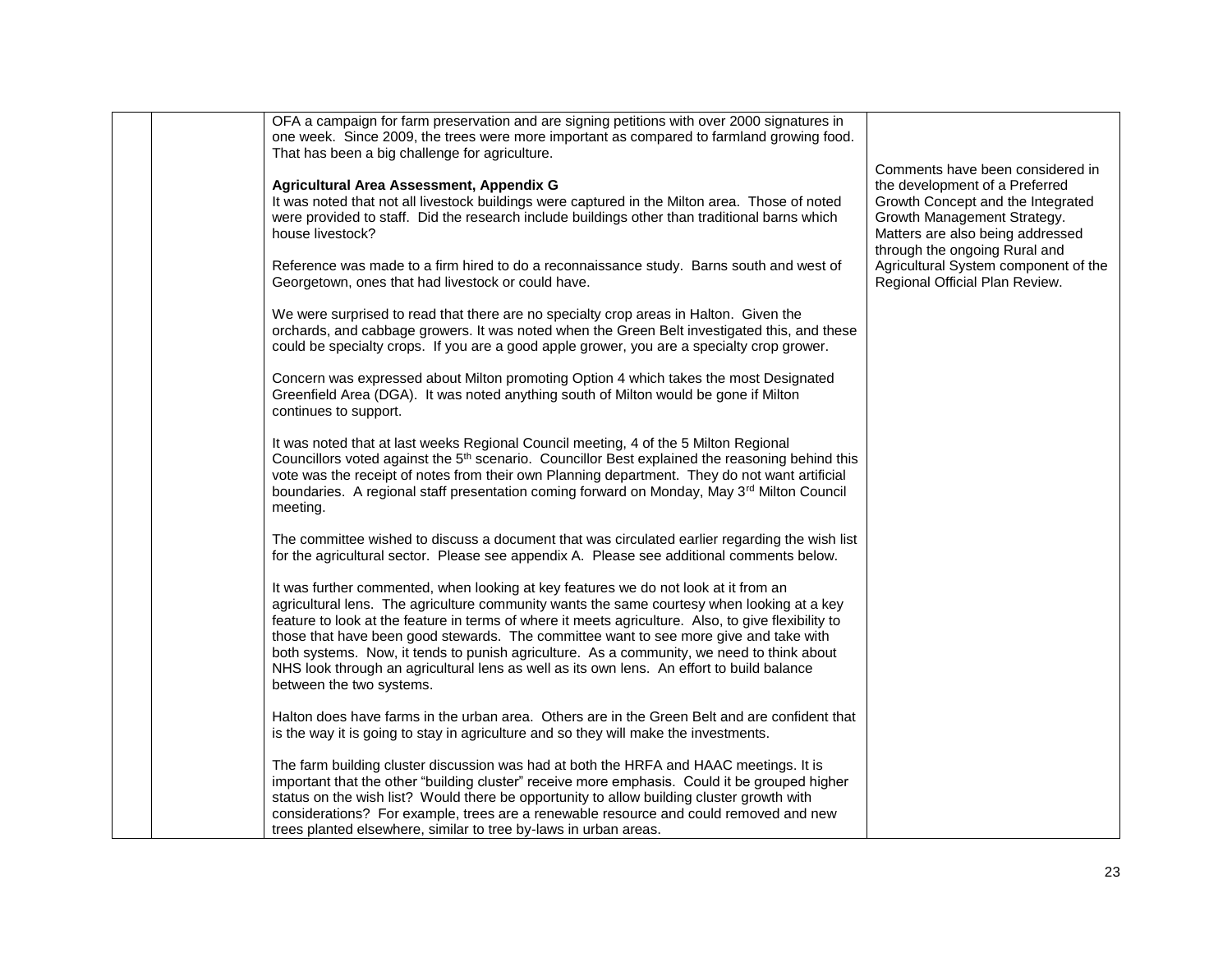| OFA a campaign for farm preservation and are signing petitions with over 2000 signatures in<br>one week. Since 2009, the trees were more important as compared to farmland growing food.<br>That has been a big challenge for agriculture.                                                                                                                                                                                                                                                                                                                                                              |                                                                                                                                                                                                             |
|---------------------------------------------------------------------------------------------------------------------------------------------------------------------------------------------------------------------------------------------------------------------------------------------------------------------------------------------------------------------------------------------------------------------------------------------------------------------------------------------------------------------------------------------------------------------------------------------------------|-------------------------------------------------------------------------------------------------------------------------------------------------------------------------------------------------------------|
| Agricultural Area Assessment, Appendix G<br>It was noted that not all livestock buildings were captured in the Milton area. Those of noted<br>were provided to staff. Did the research include buildings other than traditional barns which<br>house livestock?                                                                                                                                                                                                                                                                                                                                         | Comments have been considered in<br>the development of a Preferred<br>Growth Concept and the Integrated<br>Growth Management Strategy.<br>Matters are also being addressed<br>through the ongoing Rural and |
| Reference was made to a firm hired to do a reconnaissance study. Barns south and west of<br>Georgetown, ones that had livestock or could have.                                                                                                                                                                                                                                                                                                                                                                                                                                                          | Agricultural System component of the<br>Regional Official Plan Review.                                                                                                                                      |
| We were surprised to read that there are no specialty crop areas in Halton. Given the<br>orchards, and cabbage growers. It was noted when the Green Belt investigated this, and these<br>could be specialty crops. If you are a good apple grower, you are a specialty crop grower.                                                                                                                                                                                                                                                                                                                     |                                                                                                                                                                                                             |
| Concern was expressed about Milton promoting Option 4 which takes the most Designated<br>Greenfield Area (DGA). It was noted anything south of Milton would be gone if Milton<br>continues to support.                                                                                                                                                                                                                                                                                                                                                                                                  |                                                                                                                                                                                                             |
| It was noted that at last weeks Regional Council meeting, 4 of the 5 Milton Regional<br>Councillors voted against the 5 <sup>th</sup> scenario. Councillor Best explained the reasoning behind this<br>vote was the receipt of notes from their own Planning department. They do not want artificial<br>boundaries. A regional staff presentation coming forward on Monday, May 3rd Milton Council<br>meeting.                                                                                                                                                                                          |                                                                                                                                                                                                             |
| The committee wished to discuss a document that was circulated earlier regarding the wish list<br>for the agricultural sector. Please see appendix A. Please see additional comments below.                                                                                                                                                                                                                                                                                                                                                                                                             |                                                                                                                                                                                                             |
| It was further commented, when looking at key features we do not look at it from an<br>agricultural lens. The agriculture community wants the same courtesy when looking at a key<br>feature to look at the feature in terms of where it meets agriculture. Also, to give flexibility to<br>those that have been good stewards. The committee want to see more give and take with<br>both systems. Now, it tends to punish agriculture. As a community, we need to think about<br>NHS look through an agricultural lens as well as its own lens. An effort to build balance<br>between the two systems. |                                                                                                                                                                                                             |
| Halton does have farms in the urban area. Others are in the Green Belt and are confident that<br>is the way it is going to stay in agriculture and so they will make the investments.                                                                                                                                                                                                                                                                                                                                                                                                                   |                                                                                                                                                                                                             |
| The farm building cluster discussion was had at both the HRFA and HAAC meetings. It is<br>important that the other "building cluster" receive more emphasis. Could it be grouped higher<br>status on the wish list? Would there be opportunity to allow building cluster growth with<br>considerations? For example, trees are a renewable resource and could removed and new<br>trees planted elsewhere, similar to tree by-laws in urban areas.                                                                                                                                                       |                                                                                                                                                                                                             |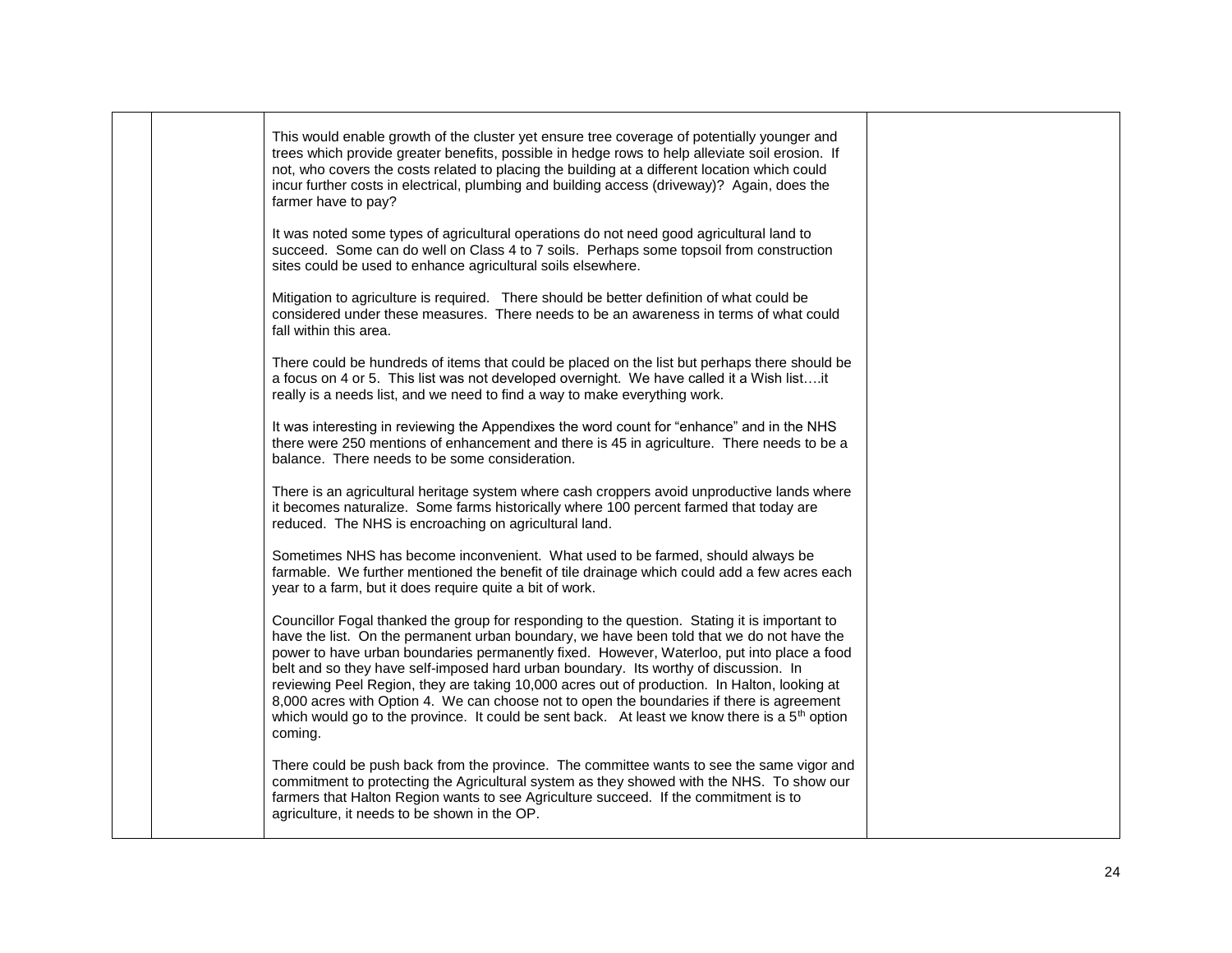|  | This would enable growth of the cluster yet ensure tree coverage of potentially younger and<br>trees which provide greater benefits, possible in hedge rows to help alleviate soil erosion. If<br>not, who covers the costs related to placing the building at a different location which could<br>incur further costs in electrical, plumbing and building access (driveway)? Again, does the<br>farmer have to pay?                                                                                                                                                                                                                                                                       |  |
|--|---------------------------------------------------------------------------------------------------------------------------------------------------------------------------------------------------------------------------------------------------------------------------------------------------------------------------------------------------------------------------------------------------------------------------------------------------------------------------------------------------------------------------------------------------------------------------------------------------------------------------------------------------------------------------------------------|--|
|  | It was noted some types of agricultural operations do not need good agricultural land to<br>succeed. Some can do well on Class 4 to 7 soils. Perhaps some topsoil from construction<br>sites could be used to enhance agricultural soils elsewhere.                                                                                                                                                                                                                                                                                                                                                                                                                                         |  |
|  | Mitigation to agriculture is required. There should be better definition of what could be<br>considered under these measures. There needs to be an awareness in terms of what could<br>fall within this area.                                                                                                                                                                                                                                                                                                                                                                                                                                                                               |  |
|  | There could be hundreds of items that could be placed on the list but perhaps there should be<br>a focus on 4 or 5. This list was not developed overnight. We have called it a Wish listit<br>really is a needs list, and we need to find a way to make everything work.                                                                                                                                                                                                                                                                                                                                                                                                                    |  |
|  | It was interesting in reviewing the Appendixes the word count for "enhance" and in the NHS<br>there were 250 mentions of enhancement and there is 45 in agriculture. There needs to be a<br>balance. There needs to be some consideration.                                                                                                                                                                                                                                                                                                                                                                                                                                                  |  |
|  | There is an agricultural heritage system where cash croppers avoid unproductive lands where<br>it becomes naturalize. Some farms historically where 100 percent farmed that today are<br>reduced. The NHS is encroaching on agricultural land.                                                                                                                                                                                                                                                                                                                                                                                                                                              |  |
|  | Sometimes NHS has become inconvenient. What used to be farmed, should always be<br>farmable. We further mentioned the benefit of tile drainage which could add a few acres each<br>year to a farm, but it does require quite a bit of work.                                                                                                                                                                                                                                                                                                                                                                                                                                                 |  |
|  | Councillor Fogal thanked the group for responding to the question. Stating it is important to<br>have the list. On the permanent urban boundary, we have been told that we do not have the<br>power to have urban boundaries permanently fixed. However, Waterloo, put into place a food<br>belt and so they have self-imposed hard urban boundary. Its worthy of discussion. In<br>reviewing Peel Region, they are taking 10,000 acres out of production. In Halton, looking at<br>8,000 acres with Option 4. We can choose not to open the boundaries if there is agreement<br>which would go to the province. It could be sent back. At least we know there is a $5th$ option<br>coming. |  |
|  | There could be push back from the province. The committee wants to see the same vigor and<br>commitment to protecting the Agricultural system as they showed with the NHS. To show our<br>farmers that Halton Region wants to see Agriculture succeed. If the commitment is to<br>agriculture, it needs to be shown in the OP.                                                                                                                                                                                                                                                                                                                                                              |  |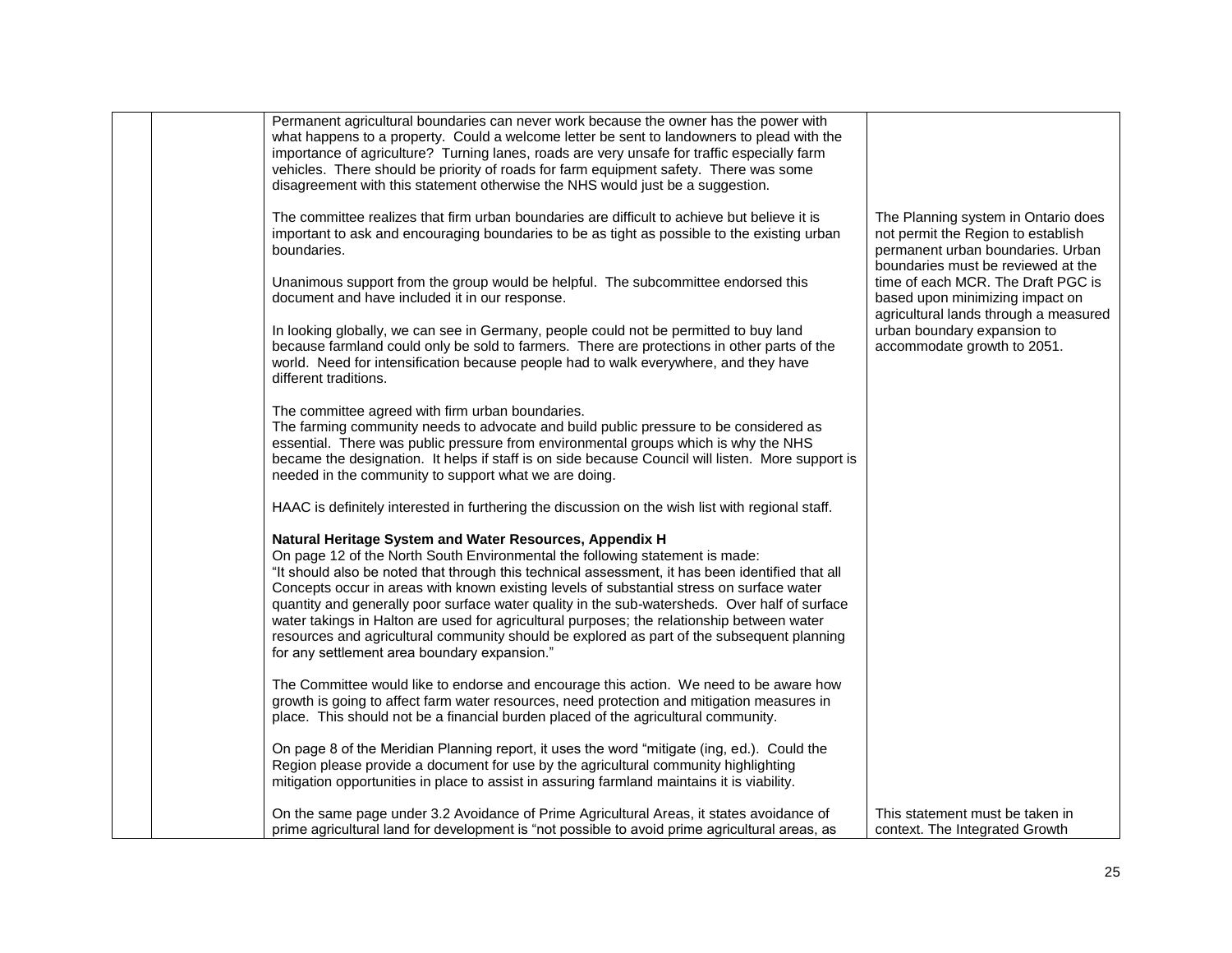|  | Permanent agricultural boundaries can never work because the owner has the power with<br>what happens to a property. Could a welcome letter be sent to landowners to plead with the<br>importance of agriculture? Turning lanes, roads are very unsafe for traffic especially farm<br>vehicles. There should be priority of roads for farm equipment safety. There was some<br>disagreement with this statement otherwise the NHS would just be a suggestion.                                                                                                                                                                                                                         |                                                                                                                                                      |
|--|---------------------------------------------------------------------------------------------------------------------------------------------------------------------------------------------------------------------------------------------------------------------------------------------------------------------------------------------------------------------------------------------------------------------------------------------------------------------------------------------------------------------------------------------------------------------------------------------------------------------------------------------------------------------------------------|------------------------------------------------------------------------------------------------------------------------------------------------------|
|  | The committee realizes that firm urban boundaries are difficult to achieve but believe it is<br>important to ask and encouraging boundaries to be as tight as possible to the existing urban<br>boundaries.                                                                                                                                                                                                                                                                                                                                                                                                                                                                           | The Planning system in Ontario does<br>not permit the Region to establish<br>permanent urban boundaries. Urban<br>boundaries must be reviewed at the |
|  | Unanimous support from the group would be helpful. The subcommittee endorsed this<br>document and have included it in our response.                                                                                                                                                                                                                                                                                                                                                                                                                                                                                                                                                   | time of each MCR. The Draft PGC is<br>based upon minimizing impact on<br>agricultural lands through a measured                                       |
|  | In looking globally, we can see in Germany, people could not be permitted to buy land<br>because farmland could only be sold to farmers. There are protections in other parts of the<br>world. Need for intensification because people had to walk everywhere, and they have<br>different traditions.                                                                                                                                                                                                                                                                                                                                                                                 | urban boundary expansion to<br>accommodate growth to 2051.                                                                                           |
|  | The committee agreed with firm urban boundaries.<br>The farming community needs to advocate and build public pressure to be considered as<br>essential. There was public pressure from environmental groups which is why the NHS<br>became the designation. It helps if staff is on side because Council will listen. More support is<br>needed in the community to support what we are doing.                                                                                                                                                                                                                                                                                        |                                                                                                                                                      |
|  | HAAC is definitely interested in furthering the discussion on the wish list with regional staff.                                                                                                                                                                                                                                                                                                                                                                                                                                                                                                                                                                                      |                                                                                                                                                      |
|  | Natural Heritage System and Water Resources, Appendix H<br>On page 12 of the North South Environmental the following statement is made:<br>"It should also be noted that through this technical assessment, it has been identified that all<br>Concepts occur in areas with known existing levels of substantial stress on surface water<br>quantity and generally poor surface water quality in the sub-watersheds. Over half of surface<br>water takings in Halton are used for agricultural purposes; the relationship between water<br>resources and agricultural community should be explored as part of the subsequent planning<br>for any settlement area boundary expansion." |                                                                                                                                                      |
|  | The Committee would like to endorse and encourage this action. We need to be aware how<br>growth is going to affect farm water resources, need protection and mitigation measures in<br>place. This should not be a financial burden placed of the agricultural community.                                                                                                                                                                                                                                                                                                                                                                                                            |                                                                                                                                                      |
|  | On page 8 of the Meridian Planning report, it uses the word "mitigate (ing, ed.). Could the<br>Region please provide a document for use by the agricultural community highlighting<br>mitigation opportunities in place to assist in assuring farmland maintains it is viability.                                                                                                                                                                                                                                                                                                                                                                                                     |                                                                                                                                                      |
|  | On the same page under 3.2 Avoidance of Prime Agricultural Areas, it states avoidance of<br>prime agricultural land for development is "not possible to avoid prime agricultural areas, as                                                                                                                                                                                                                                                                                                                                                                                                                                                                                            | This statement must be taken in<br>context. The Integrated Growth                                                                                    |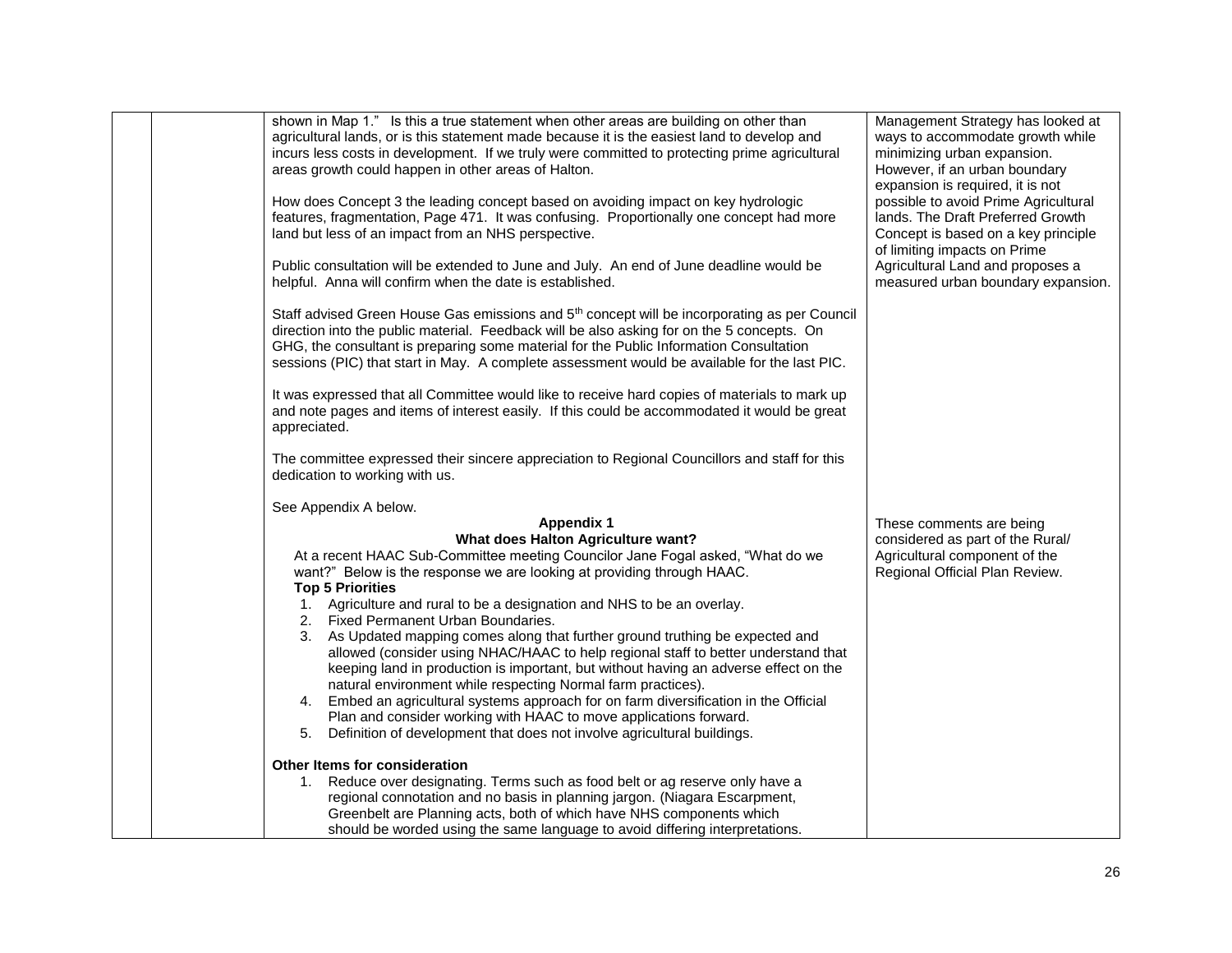| shown in Map 1." Is this a true statement when other areas are building on other than<br>agricultural lands, or is this statement made because it is the easiest land to develop and<br>incurs less costs in development. If we truly were committed to protecting prime agricultural<br>areas growth could happen in other areas of Halton.<br>How does Concept 3 the leading concept based on avoiding impact on key hydrologic<br>features, fragmentation, Page 471. It was confusing. Proportionally one concept had more<br>land but less of an impact from an NHS perspective.<br>Public consultation will be extended to June and July. An end of June deadline would be<br>helpful. Anna will confirm when the date is established.<br>Staff advised Green House Gas emissions and 5 <sup>th</sup> concept will be incorporating as per Council<br>direction into the public material. Feedback will be also asking for on the 5 concepts. On<br>GHG, the consultant is preparing some material for the Public Information Consultation<br>sessions (PIC) that start in May. A complete assessment would be available for the last PIC.<br>It was expressed that all Committee would like to receive hard copies of materials to mark up<br>and note pages and items of interest easily. If this could be accommodated it would be great<br>appreciated.<br>The committee expressed their sincere appreciation to Regional Councillors and staff for this<br>dedication to working with us. | Management Strategy has looked at<br>ways to accommodate growth while<br>minimizing urban expansion.<br>However, if an urban boundary<br>expansion is required, it is not<br>possible to avoid Prime Agricultural<br>lands. The Draft Preferred Growth<br>Concept is based on a key principle<br>of limiting impacts on Prime<br>Agricultural Land and proposes a<br>measured urban boundary expansion. |
|-----------------------------------------------------------------------------------------------------------------------------------------------------------------------------------------------------------------------------------------------------------------------------------------------------------------------------------------------------------------------------------------------------------------------------------------------------------------------------------------------------------------------------------------------------------------------------------------------------------------------------------------------------------------------------------------------------------------------------------------------------------------------------------------------------------------------------------------------------------------------------------------------------------------------------------------------------------------------------------------------------------------------------------------------------------------------------------------------------------------------------------------------------------------------------------------------------------------------------------------------------------------------------------------------------------------------------------------------------------------------------------------------------------------------------------------------------------------------------------------------------|---------------------------------------------------------------------------------------------------------------------------------------------------------------------------------------------------------------------------------------------------------------------------------------------------------------------------------------------------------------------------------------------------------|
| See Appendix A below.                                                                                                                                                                                                                                                                                                                                                                                                                                                                                                                                                                                                                                                                                                                                                                                                                                                                                                                                                                                                                                                                                                                                                                                                                                                                                                                                                                                                                                                                               |                                                                                                                                                                                                                                                                                                                                                                                                         |
| <b>Appendix 1</b>                                                                                                                                                                                                                                                                                                                                                                                                                                                                                                                                                                                                                                                                                                                                                                                                                                                                                                                                                                                                                                                                                                                                                                                                                                                                                                                                                                                                                                                                                   | These comments are being                                                                                                                                                                                                                                                                                                                                                                                |
| What does Halton Agriculture want?                                                                                                                                                                                                                                                                                                                                                                                                                                                                                                                                                                                                                                                                                                                                                                                                                                                                                                                                                                                                                                                                                                                                                                                                                                                                                                                                                                                                                                                                  | considered as part of the Rural/                                                                                                                                                                                                                                                                                                                                                                        |
| At a recent HAAC Sub-Committee meeting Councilor Jane Fogal asked, "What do we                                                                                                                                                                                                                                                                                                                                                                                                                                                                                                                                                                                                                                                                                                                                                                                                                                                                                                                                                                                                                                                                                                                                                                                                                                                                                                                                                                                                                      | Agricultural component of the                                                                                                                                                                                                                                                                                                                                                                           |
| want?" Below is the response we are looking at providing through HAAC.                                                                                                                                                                                                                                                                                                                                                                                                                                                                                                                                                                                                                                                                                                                                                                                                                                                                                                                                                                                                                                                                                                                                                                                                                                                                                                                                                                                                                              | Regional Official Plan Review.                                                                                                                                                                                                                                                                                                                                                                          |
| <b>Top 5 Priorities</b>                                                                                                                                                                                                                                                                                                                                                                                                                                                                                                                                                                                                                                                                                                                                                                                                                                                                                                                                                                                                                                                                                                                                                                                                                                                                                                                                                                                                                                                                             |                                                                                                                                                                                                                                                                                                                                                                                                         |
| 1. Agriculture and rural to be a designation and NHS to be an overlay.                                                                                                                                                                                                                                                                                                                                                                                                                                                                                                                                                                                                                                                                                                                                                                                                                                                                                                                                                                                                                                                                                                                                                                                                                                                                                                                                                                                                                              |                                                                                                                                                                                                                                                                                                                                                                                                         |
| 2. Fixed Permanent Urban Boundaries.<br>3. As Updated mapping comes along that further ground truthing be expected and                                                                                                                                                                                                                                                                                                                                                                                                                                                                                                                                                                                                                                                                                                                                                                                                                                                                                                                                                                                                                                                                                                                                                                                                                                                                                                                                                                              |                                                                                                                                                                                                                                                                                                                                                                                                         |
| allowed (consider using NHAC/HAAC to help regional staff to better understand that                                                                                                                                                                                                                                                                                                                                                                                                                                                                                                                                                                                                                                                                                                                                                                                                                                                                                                                                                                                                                                                                                                                                                                                                                                                                                                                                                                                                                  |                                                                                                                                                                                                                                                                                                                                                                                                         |
| keeping land in production is important, but without having an adverse effect on the                                                                                                                                                                                                                                                                                                                                                                                                                                                                                                                                                                                                                                                                                                                                                                                                                                                                                                                                                                                                                                                                                                                                                                                                                                                                                                                                                                                                                |                                                                                                                                                                                                                                                                                                                                                                                                         |
| natural environment while respecting Normal farm practices).                                                                                                                                                                                                                                                                                                                                                                                                                                                                                                                                                                                                                                                                                                                                                                                                                                                                                                                                                                                                                                                                                                                                                                                                                                                                                                                                                                                                                                        |                                                                                                                                                                                                                                                                                                                                                                                                         |
| Embed an agricultural systems approach for on farm diversification in the Official<br>4.                                                                                                                                                                                                                                                                                                                                                                                                                                                                                                                                                                                                                                                                                                                                                                                                                                                                                                                                                                                                                                                                                                                                                                                                                                                                                                                                                                                                            |                                                                                                                                                                                                                                                                                                                                                                                                         |
| Plan and consider working with HAAC to move applications forward.                                                                                                                                                                                                                                                                                                                                                                                                                                                                                                                                                                                                                                                                                                                                                                                                                                                                                                                                                                                                                                                                                                                                                                                                                                                                                                                                                                                                                                   |                                                                                                                                                                                                                                                                                                                                                                                                         |
| 5. Definition of development that does not involve agricultural buildings.                                                                                                                                                                                                                                                                                                                                                                                                                                                                                                                                                                                                                                                                                                                                                                                                                                                                                                                                                                                                                                                                                                                                                                                                                                                                                                                                                                                                                          |                                                                                                                                                                                                                                                                                                                                                                                                         |
| Other Items for consideration                                                                                                                                                                                                                                                                                                                                                                                                                                                                                                                                                                                                                                                                                                                                                                                                                                                                                                                                                                                                                                                                                                                                                                                                                                                                                                                                                                                                                                                                       |                                                                                                                                                                                                                                                                                                                                                                                                         |
| 1. Reduce over designating. Terms such as food belt or ag reserve only have a                                                                                                                                                                                                                                                                                                                                                                                                                                                                                                                                                                                                                                                                                                                                                                                                                                                                                                                                                                                                                                                                                                                                                                                                                                                                                                                                                                                                                       |                                                                                                                                                                                                                                                                                                                                                                                                         |
| regional connotation and no basis in planning jargon. (Niagara Escarpment,                                                                                                                                                                                                                                                                                                                                                                                                                                                                                                                                                                                                                                                                                                                                                                                                                                                                                                                                                                                                                                                                                                                                                                                                                                                                                                                                                                                                                          |                                                                                                                                                                                                                                                                                                                                                                                                         |
| Greenbelt are Planning acts, both of which have NHS components which<br>should be worded using the same language to avoid differing interpretations.                                                                                                                                                                                                                                                                                                                                                                                                                                                                                                                                                                                                                                                                                                                                                                                                                                                                                                                                                                                                                                                                                                                                                                                                                                                                                                                                                |                                                                                                                                                                                                                                                                                                                                                                                                         |
|                                                                                                                                                                                                                                                                                                                                                                                                                                                                                                                                                                                                                                                                                                                                                                                                                                                                                                                                                                                                                                                                                                                                                                                                                                                                                                                                                                                                                                                                                                     |                                                                                                                                                                                                                                                                                                                                                                                                         |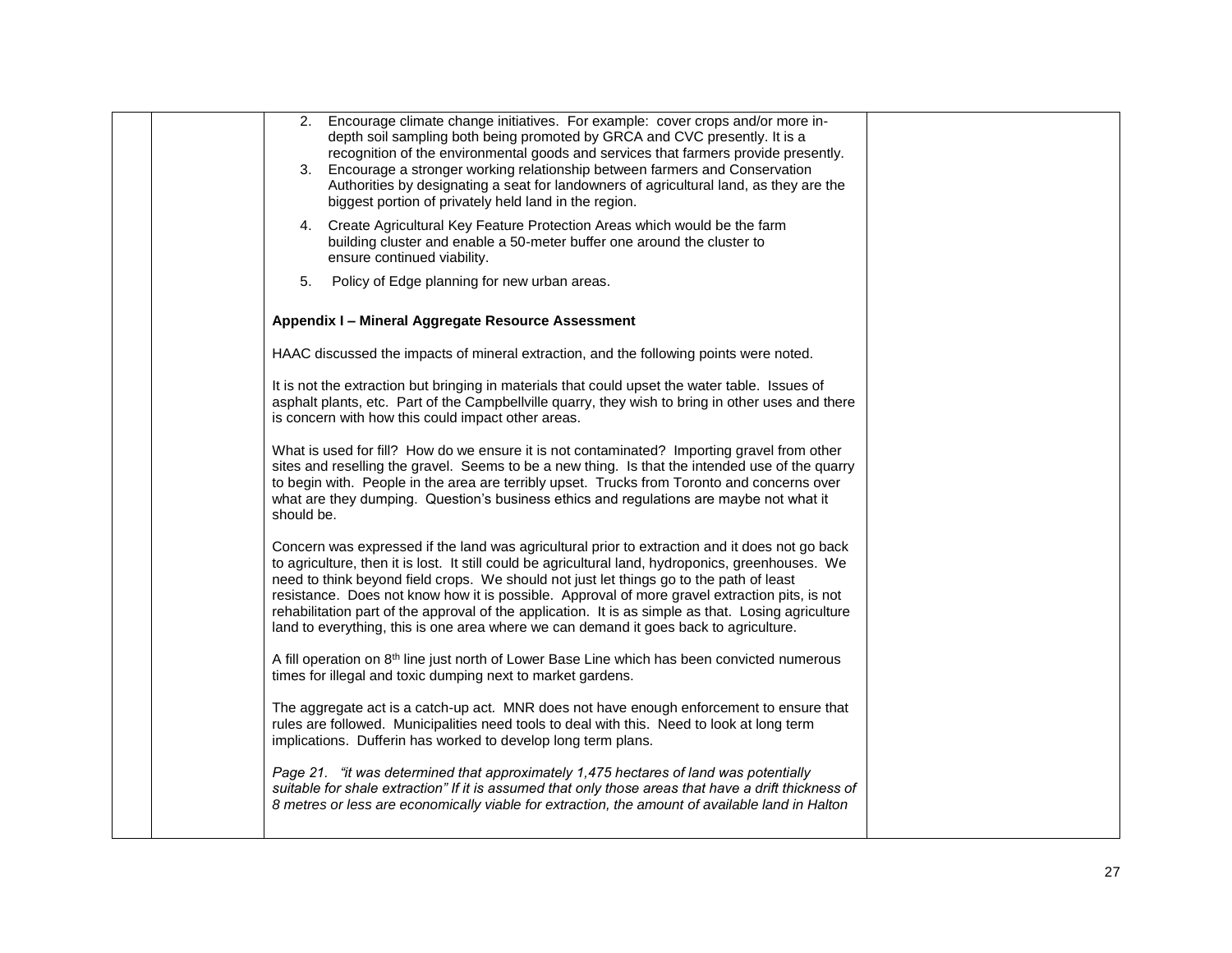|  | 2. Encourage climate change initiatives. For example: cover crops and/or more in-<br>depth soil sampling both being promoted by GRCA and CVC presently. It is a<br>recognition of the environmental goods and services that farmers provide presently.<br>3. Encourage a stronger working relationship between farmers and Conservation<br>Authorities by designating a seat for landowners of agricultural land, as they are the<br>biggest portion of privately held land in the region.<br>4. Create Agricultural Key Feature Protection Areas which would be the farm<br>building cluster and enable a 50-meter buffer one around the cluster to<br>ensure continued viability. |  |
|--|-------------------------------------------------------------------------------------------------------------------------------------------------------------------------------------------------------------------------------------------------------------------------------------------------------------------------------------------------------------------------------------------------------------------------------------------------------------------------------------------------------------------------------------------------------------------------------------------------------------------------------------------------------------------------------------|--|
|  | 5.<br>Policy of Edge planning for new urban areas.<br>Appendix I - Mineral Aggregate Resource Assessment                                                                                                                                                                                                                                                                                                                                                                                                                                                                                                                                                                            |  |
|  |                                                                                                                                                                                                                                                                                                                                                                                                                                                                                                                                                                                                                                                                                     |  |
|  | HAAC discussed the impacts of mineral extraction, and the following points were noted.                                                                                                                                                                                                                                                                                                                                                                                                                                                                                                                                                                                              |  |
|  | It is not the extraction but bringing in materials that could upset the water table. Issues of<br>asphalt plants, etc. Part of the Campbellville quarry, they wish to bring in other uses and there<br>is concern with how this could impact other areas.                                                                                                                                                                                                                                                                                                                                                                                                                           |  |
|  | What is used for fill? How do we ensure it is not contaminated? Importing gravel from other<br>sites and reselling the gravel. Seems to be a new thing. Is that the intended use of the quarry<br>to begin with. People in the area are terribly upset. Trucks from Toronto and concerns over<br>what are they dumping. Question's business ethics and regulations are maybe not what it<br>should be.                                                                                                                                                                                                                                                                              |  |
|  | Concern was expressed if the land was agricultural prior to extraction and it does not go back<br>to agriculture, then it is lost. It still could be agricultural land, hydroponics, greenhouses. We<br>need to think beyond field crops. We should not just let things go to the path of least<br>resistance. Does not know how it is possible. Approval of more gravel extraction pits, is not<br>rehabilitation part of the approval of the application. It is as simple as that. Losing agriculture<br>land to everything, this is one area where we can demand it goes back to agriculture.                                                                                    |  |
|  | A fill operation on 8 <sup>th</sup> line just north of Lower Base Line which has been convicted numerous<br>times for illegal and toxic dumping next to market gardens.                                                                                                                                                                                                                                                                                                                                                                                                                                                                                                             |  |
|  | The aggregate act is a catch-up act. MNR does not have enough enforcement to ensure that<br>rules are followed. Municipalities need tools to deal with this. Need to look at long term<br>implications. Dufferin has worked to develop long term plans.                                                                                                                                                                                                                                                                                                                                                                                                                             |  |
|  | Page 21. "it was determined that approximately 1,475 hectares of land was potentially<br>suitable for shale extraction" If it is assumed that only those areas that have a drift thickness of<br>8 metres or less are economically viable for extraction, the amount of available land in Halton                                                                                                                                                                                                                                                                                                                                                                                    |  |
|  |                                                                                                                                                                                                                                                                                                                                                                                                                                                                                                                                                                                                                                                                                     |  |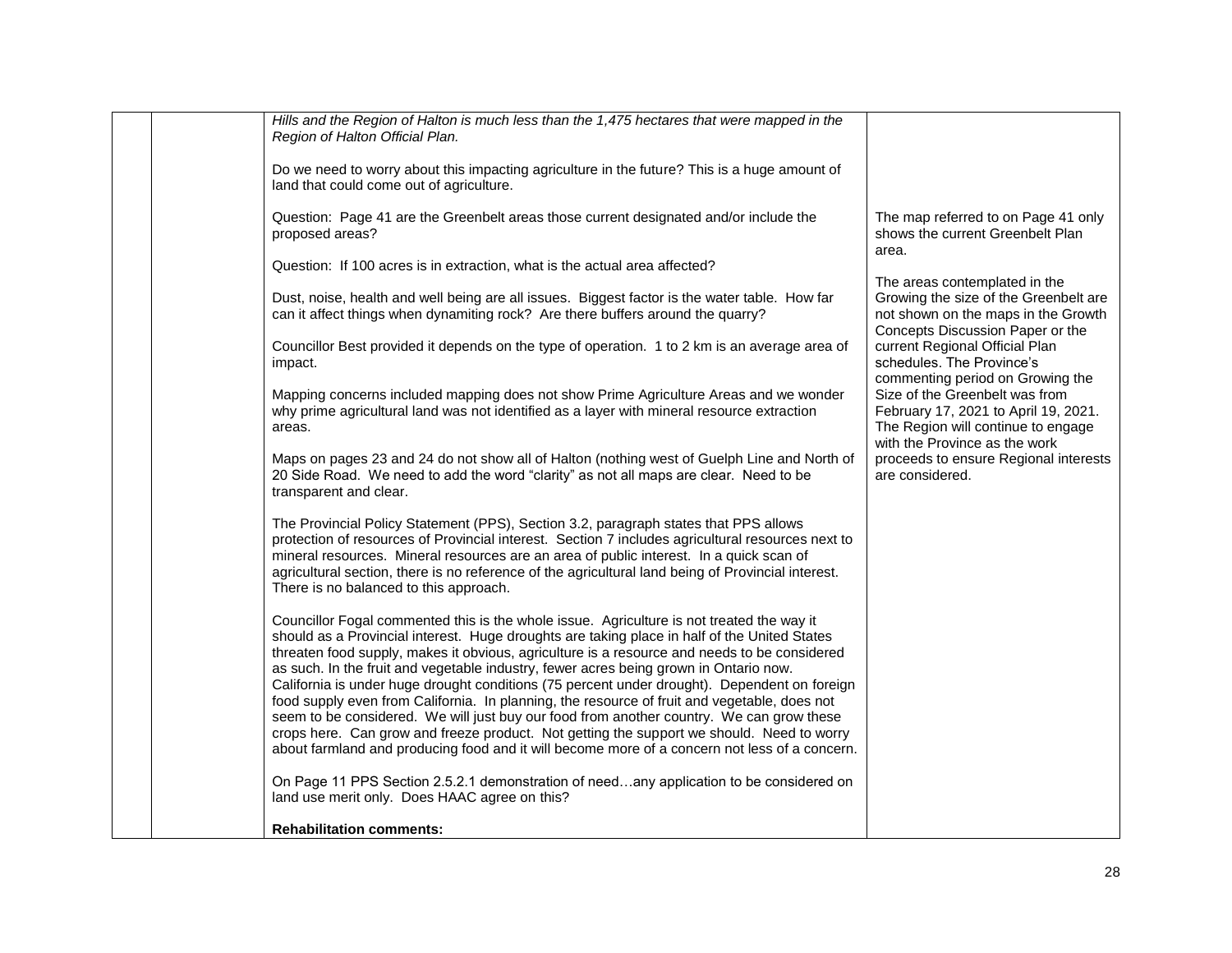|                        | Hills and the Region of Halton is much less than the 1,475 hectares that were mapped in the<br>Region of Halton Official Plan.                                                                                                                                                                                                                                                                                                                                                                                                                                                     |                                                                                                                                                   |
|------------------------|------------------------------------------------------------------------------------------------------------------------------------------------------------------------------------------------------------------------------------------------------------------------------------------------------------------------------------------------------------------------------------------------------------------------------------------------------------------------------------------------------------------------------------------------------------------------------------|---------------------------------------------------------------------------------------------------------------------------------------------------|
|                        | Do we need to worry about this impacting agriculture in the future? This is a huge amount of<br>land that could come out of agriculture.                                                                                                                                                                                                                                                                                                                                                                                                                                           |                                                                                                                                                   |
| proposed areas?        | Question: Page 41 are the Greenbelt areas those current designated and/or include the                                                                                                                                                                                                                                                                                                                                                                                                                                                                                              | The map referred to on Page 41 only<br>shows the current Greenbelt Plan<br>area.                                                                  |
|                        | Question: If 100 acres is in extraction, what is the actual area affected?                                                                                                                                                                                                                                                                                                                                                                                                                                                                                                         |                                                                                                                                                   |
|                        | Dust, noise, health and well being are all issues. Biggest factor is the water table. How far<br>can it affect things when dynamiting rock? Are there buffers around the quarry?                                                                                                                                                                                                                                                                                                                                                                                                   | The areas contemplated in the<br>Growing the size of the Greenbelt are<br>not shown on the maps in the Growth<br>Concepts Discussion Paper or the |
| impact.                | Councillor Best provided it depends on the type of operation. 1 to 2 km is an average area of                                                                                                                                                                                                                                                                                                                                                                                                                                                                                      | current Regional Official Plan<br>schedules. The Province's<br>commenting period on Growing the                                                   |
| areas.                 | Mapping concerns included mapping does not show Prime Agriculture Areas and we wonder<br>why prime agricultural land was not identified as a layer with mineral resource extraction                                                                                                                                                                                                                                                                                                                                                                                                | Size of the Greenbelt was from<br>February 17, 2021 to April 19, 2021.<br>The Region will continue to engage<br>with the Province as the work     |
| transparent and clear. | Maps on pages 23 and 24 do not show all of Halton (nothing west of Guelph Line and North of<br>20 Side Road. We need to add the word "clarity" as not all maps are clear. Need to be                                                                                                                                                                                                                                                                                                                                                                                               | proceeds to ensure Regional interests<br>are considered.                                                                                          |
|                        | The Provincial Policy Statement (PPS), Section 3.2, paragraph states that PPS allows<br>protection of resources of Provincial interest. Section 7 includes agricultural resources next to<br>mineral resources. Mineral resources are an area of public interest. In a quick scan of<br>agricultural section, there is no reference of the agricultural land being of Provincial interest.<br>There is no balanced to this approach.                                                                                                                                               |                                                                                                                                                   |
|                        | Councillor Fogal commented this is the whole issue. Agriculture is not treated the way it<br>should as a Provincial interest. Huge droughts are taking place in half of the United States<br>threaten food supply, makes it obvious, agriculture is a resource and needs to be considered<br>as such. In the fruit and vegetable industry, fewer acres being grown in Ontario now.<br>California is under huge drought conditions (75 percent under drought). Dependent on foreign<br>food supply even from California. In planning, the resource of fruit and vegetable, does not |                                                                                                                                                   |
|                        | seem to be considered. We will just buy our food from another country. We can grow these<br>crops here. Can grow and freeze product. Not getting the support we should. Need to worry<br>about farmland and producing food and it will become more of a concern not less of a concern.                                                                                                                                                                                                                                                                                             |                                                                                                                                                   |
|                        | On Page 11 PPS Section 2.5.2.1 demonstration of needany application to be considered on<br>land use merit only. Does HAAC agree on this?                                                                                                                                                                                                                                                                                                                                                                                                                                           |                                                                                                                                                   |
|                        | <b>Rehabilitation comments:</b>                                                                                                                                                                                                                                                                                                                                                                                                                                                                                                                                                    |                                                                                                                                                   |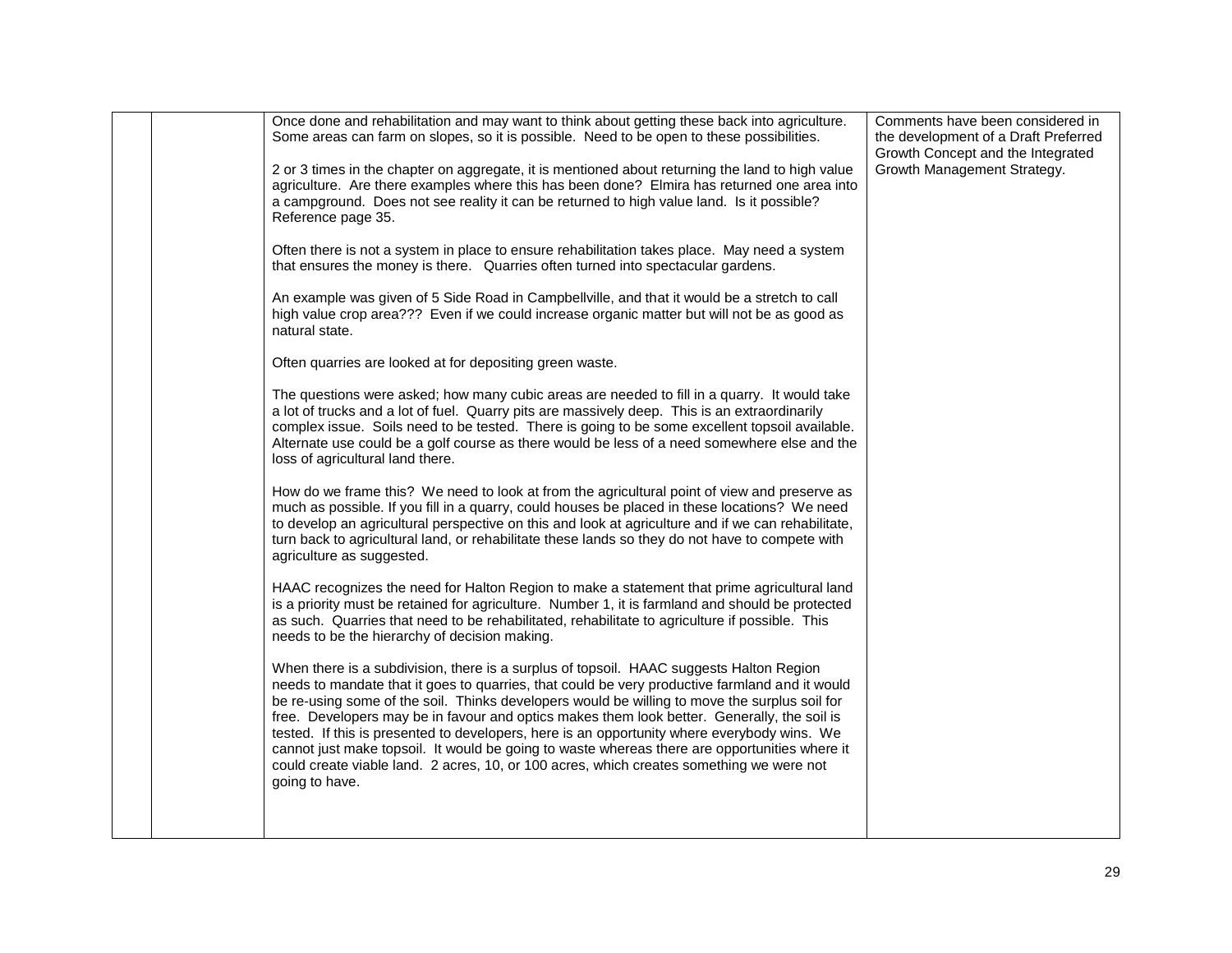|  | Once done and rehabilitation and may want to think about getting these back into agriculture.<br>Some areas can farm on slopes, so it is possible. Need to be open to these possibilities.                                                                                                                                                                                                                                                                                                                                                                                                                                                                                                              | Comments have been considered in<br>the development of a Draft Preferred<br>Growth Concept and the Integrated |
|--|---------------------------------------------------------------------------------------------------------------------------------------------------------------------------------------------------------------------------------------------------------------------------------------------------------------------------------------------------------------------------------------------------------------------------------------------------------------------------------------------------------------------------------------------------------------------------------------------------------------------------------------------------------------------------------------------------------|---------------------------------------------------------------------------------------------------------------|
|  | 2 or 3 times in the chapter on aggregate, it is mentioned about returning the land to high value<br>agriculture. Are there examples where this has been done? Elmira has returned one area into<br>a campground. Does not see reality it can be returned to high value land. Is it possible?<br>Reference page 35.                                                                                                                                                                                                                                                                                                                                                                                      | Growth Management Strategy.                                                                                   |
|  | Often there is not a system in place to ensure rehabilitation takes place. May need a system<br>that ensures the money is there. Quarries often turned into spectacular gardens.                                                                                                                                                                                                                                                                                                                                                                                                                                                                                                                        |                                                                                                               |
|  | An example was given of 5 Side Road in Campbellville, and that it would be a stretch to call<br>high value crop area??? Even if we could increase organic matter but will not be as good as<br>natural state.                                                                                                                                                                                                                                                                                                                                                                                                                                                                                           |                                                                                                               |
|  | Often quarries are looked at for depositing green waste.                                                                                                                                                                                                                                                                                                                                                                                                                                                                                                                                                                                                                                                |                                                                                                               |
|  | The questions were asked; how many cubic areas are needed to fill in a quarry. It would take<br>a lot of trucks and a lot of fuel. Quarry pits are massively deep. This is an extraordinarily<br>complex issue. Soils need to be tested. There is going to be some excellent topsoil available.<br>Alternate use could be a golf course as there would be less of a need somewhere else and the<br>loss of agricultural land there.                                                                                                                                                                                                                                                                     |                                                                                                               |
|  | How do we frame this? We need to look at from the agricultural point of view and preserve as<br>much as possible. If you fill in a quarry, could houses be placed in these locations? We need<br>to develop an agricultural perspective on this and look at agriculture and if we can rehabilitate,<br>turn back to agricultural land, or rehabilitate these lands so they do not have to compete with<br>agriculture as suggested.                                                                                                                                                                                                                                                                     |                                                                                                               |
|  | HAAC recognizes the need for Halton Region to make a statement that prime agricultural land<br>is a priority must be retained for agriculture. Number 1, it is farmland and should be protected<br>as such. Quarries that need to be rehabilitated, rehabilitate to agriculture if possible. This<br>needs to be the hierarchy of decision making.                                                                                                                                                                                                                                                                                                                                                      |                                                                                                               |
|  | When there is a subdivision, there is a surplus of topsoil. HAAC suggests Halton Region<br>needs to mandate that it goes to quarries, that could be very productive farmland and it would<br>be re-using some of the soil. Thinks developers would be willing to move the surplus soil for<br>free. Developers may be in favour and optics makes them look better. Generally, the soil is<br>tested. If this is presented to developers, here is an opportunity where everybody wins. We<br>cannot just make topsoil. It would be going to waste whereas there are opportunities where it<br>could create viable land. 2 acres, 10, or 100 acres, which creates something we were not<br>going to have. |                                                                                                               |
|  |                                                                                                                                                                                                                                                                                                                                                                                                                                                                                                                                                                                                                                                                                                         |                                                                                                               |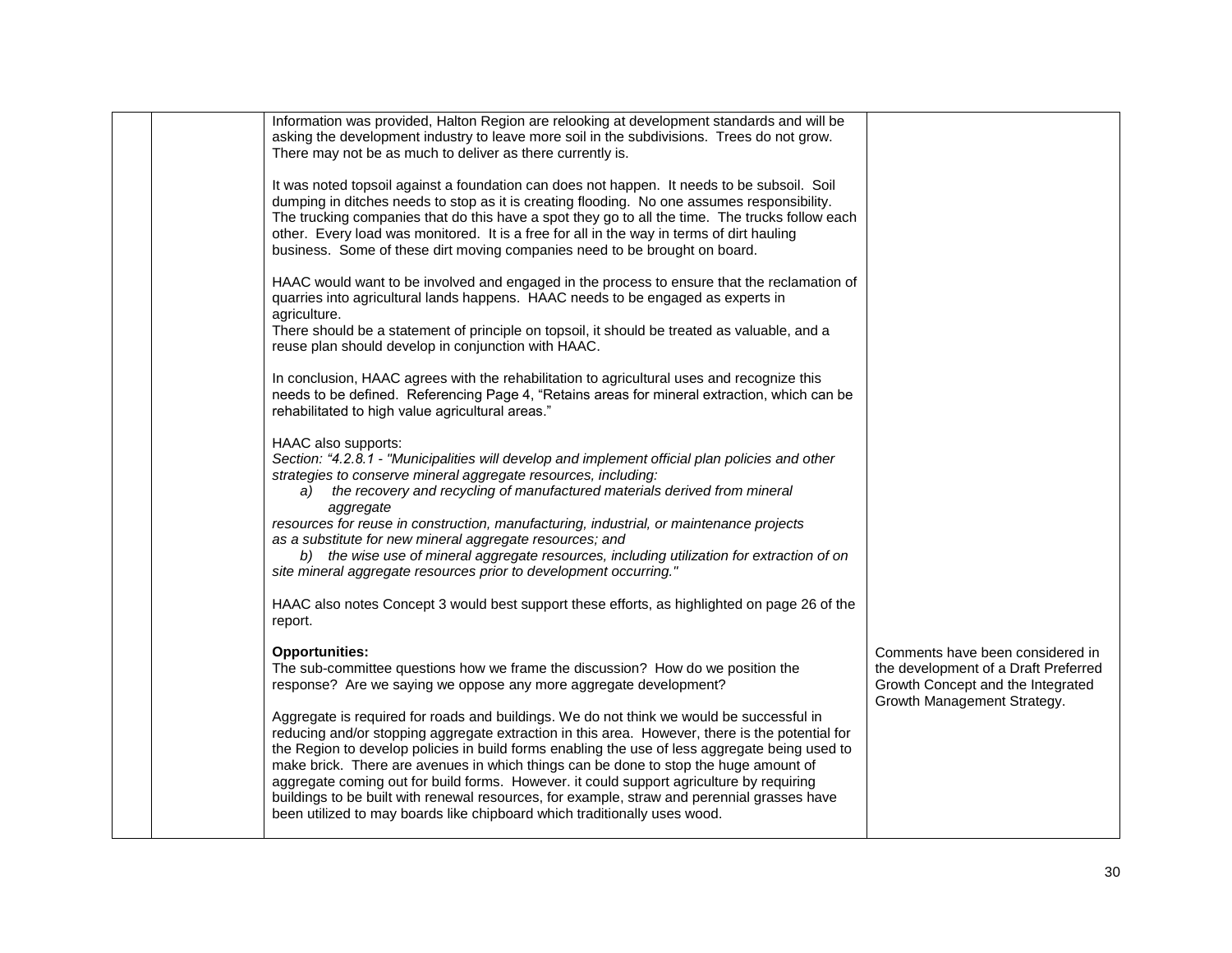|  | Information was provided, Halton Region are relooking at development standards and will be<br>asking the development industry to leave more soil in the subdivisions. Trees do not grow.<br>There may not be as much to deliver as there currently is.                                                                                                                                                                                                                                                                                                                                                                                                        |                                                                                                                                              |
|--|---------------------------------------------------------------------------------------------------------------------------------------------------------------------------------------------------------------------------------------------------------------------------------------------------------------------------------------------------------------------------------------------------------------------------------------------------------------------------------------------------------------------------------------------------------------------------------------------------------------------------------------------------------------|----------------------------------------------------------------------------------------------------------------------------------------------|
|  | It was noted topsoil against a foundation can does not happen. It needs to be subsoil. Soil<br>dumping in ditches needs to stop as it is creating flooding. No one assumes responsibility.<br>The trucking companies that do this have a spot they go to all the time. The trucks follow each<br>other. Every load was monitored. It is a free for all in the way in terms of dirt hauling<br>business. Some of these dirt moving companies need to be brought on board.                                                                                                                                                                                      |                                                                                                                                              |
|  | HAAC would want to be involved and engaged in the process to ensure that the reclamation of<br>quarries into agricultural lands happens. HAAC needs to be engaged as experts in<br>agriculture.                                                                                                                                                                                                                                                                                                                                                                                                                                                               |                                                                                                                                              |
|  | There should be a statement of principle on topsoil, it should be treated as valuable, and a<br>reuse plan should develop in conjunction with HAAC.                                                                                                                                                                                                                                                                                                                                                                                                                                                                                                           |                                                                                                                                              |
|  | In conclusion, HAAC agrees with the rehabilitation to agricultural uses and recognize this<br>needs to be defined. Referencing Page 4, "Retains areas for mineral extraction, which can be<br>rehabilitated to high value agricultural areas."                                                                                                                                                                                                                                                                                                                                                                                                                |                                                                                                                                              |
|  | HAAC also supports:<br>Section: "4.2.8.1 - "Municipalities will develop and implement official plan policies and other<br>strategies to conserve mineral aggregate resources, including:<br>the recovery and recycling of manufactured materials derived from mineral<br>a)<br>aggregate<br>resources for reuse in construction, manufacturing, industrial, or maintenance projects                                                                                                                                                                                                                                                                           |                                                                                                                                              |
|  | as a substitute for new mineral aggregate resources; and<br>b) the wise use of mineral aggregate resources, including utilization for extraction of on<br>site mineral aggregate resources prior to development occurring."                                                                                                                                                                                                                                                                                                                                                                                                                                   |                                                                                                                                              |
|  | HAAC also notes Concept 3 would best support these efforts, as highlighted on page 26 of the<br>report.                                                                                                                                                                                                                                                                                                                                                                                                                                                                                                                                                       |                                                                                                                                              |
|  | <b>Opportunities:</b><br>The sub-committee questions how we frame the discussion? How do we position the<br>response? Are we saying we oppose any more aggregate development?                                                                                                                                                                                                                                                                                                                                                                                                                                                                                 | Comments have been considered in<br>the development of a Draft Preferred<br>Growth Concept and the Integrated<br>Growth Management Strategy. |
|  | Aggregate is required for roads and buildings. We do not think we would be successful in<br>reducing and/or stopping aggregate extraction in this area. However, there is the potential for<br>the Region to develop policies in build forms enabling the use of less aggregate being used to<br>make brick. There are avenues in which things can be done to stop the huge amount of<br>aggregate coming out for build forms. However. it could support agriculture by requiring<br>buildings to be built with renewal resources, for example, straw and perennial grasses have<br>been utilized to may boards like chipboard which traditionally uses wood. |                                                                                                                                              |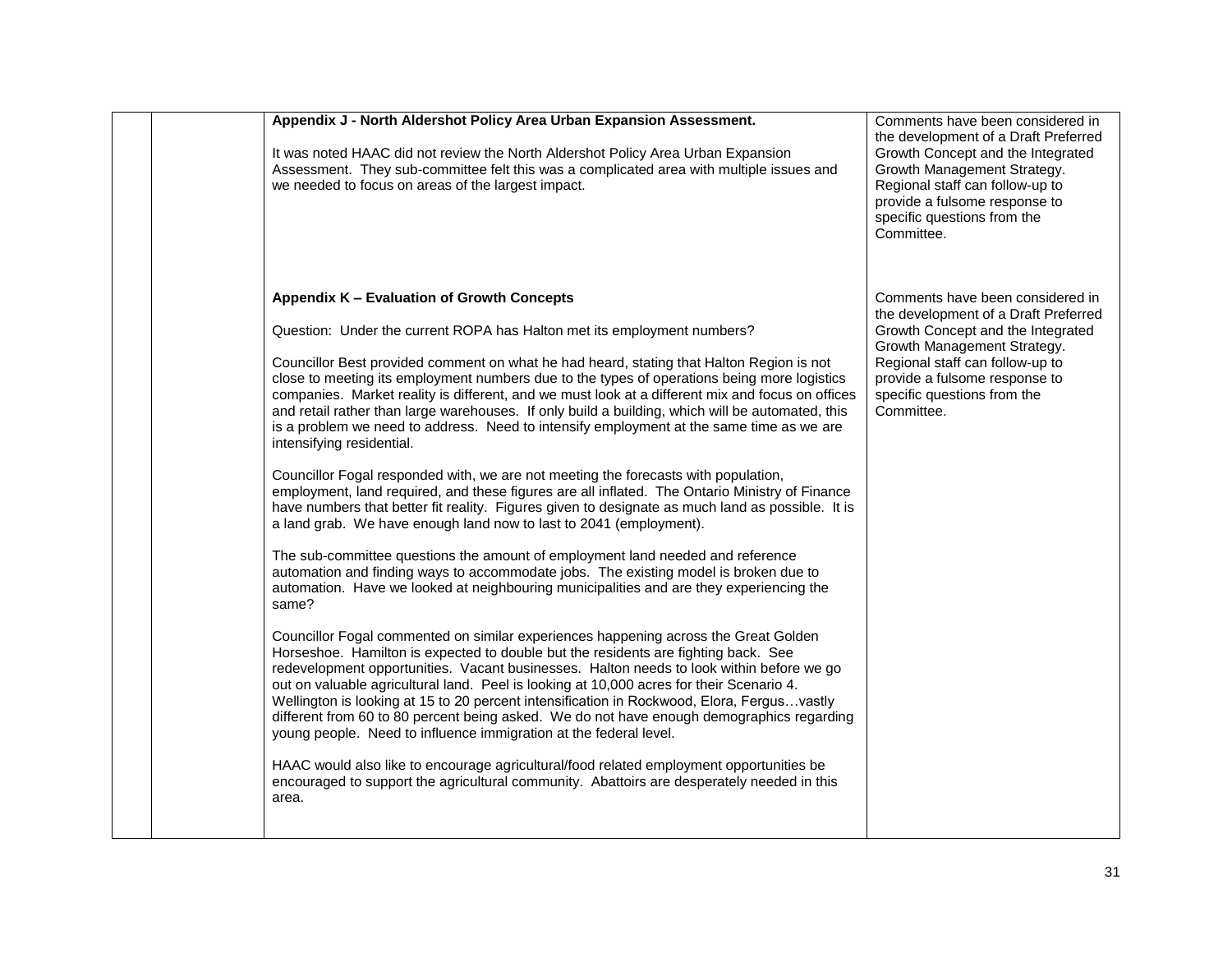| Appendix J - North Aldershot Policy Area Urban Expansion Assessment.<br>It was noted HAAC did not review the North Aldershot Policy Area Urban Expansion<br>Assessment. They sub-committee felt this was a complicated area with multiple issues and<br>we needed to focus on areas of the largest impact.                                                                                                                                                                                                                                                                                                                                                                                                                                                                                                                                                                                                                                                                                                                                                                                                                                                                                                                                                                                                                                                                                                                                                                                                                                                                                                                                                                                                                                                                                                                                                                                                                                                                                                                                                                                                                               | Comments have been considered in<br>the development of a Draft Preferred<br>Growth Concept and the Integrated<br>Growth Management Strategy.<br>Regional staff can follow-up to<br>provide a fulsome response to<br>specific questions from the<br>Committee. |
|------------------------------------------------------------------------------------------------------------------------------------------------------------------------------------------------------------------------------------------------------------------------------------------------------------------------------------------------------------------------------------------------------------------------------------------------------------------------------------------------------------------------------------------------------------------------------------------------------------------------------------------------------------------------------------------------------------------------------------------------------------------------------------------------------------------------------------------------------------------------------------------------------------------------------------------------------------------------------------------------------------------------------------------------------------------------------------------------------------------------------------------------------------------------------------------------------------------------------------------------------------------------------------------------------------------------------------------------------------------------------------------------------------------------------------------------------------------------------------------------------------------------------------------------------------------------------------------------------------------------------------------------------------------------------------------------------------------------------------------------------------------------------------------------------------------------------------------------------------------------------------------------------------------------------------------------------------------------------------------------------------------------------------------------------------------------------------------------------------------------------------------|---------------------------------------------------------------------------------------------------------------------------------------------------------------------------------------------------------------------------------------------------------------|
| Appendix K - Evaluation of Growth Concepts<br>Question: Under the current ROPA has Halton met its employment numbers?<br>Councillor Best provided comment on what he had heard, stating that Halton Region is not<br>close to meeting its employment numbers due to the types of operations being more logistics<br>companies. Market reality is different, and we must look at a different mix and focus on offices<br>and retail rather than large warehouses. If only build a building, which will be automated, this<br>is a problem we need to address. Need to intensify employment at the same time as we are<br>intensifying residential.<br>Councillor Fogal responded with, we are not meeting the forecasts with population,<br>employment, land required, and these figures are all inflated. The Ontario Ministry of Finance<br>have numbers that better fit reality. Figures given to designate as much land as possible. It is<br>a land grab. We have enough land now to last to 2041 (employment).<br>The sub-committee questions the amount of employment land needed and reference<br>automation and finding ways to accommodate jobs. The existing model is broken due to<br>automation. Have we looked at neighbouring municipalities and are they experiencing the<br>same?<br>Councillor Fogal commented on similar experiences happening across the Great Golden<br>Horseshoe. Hamilton is expected to double but the residents are fighting back. See<br>redevelopment opportunities. Vacant businesses. Halton needs to look within before we go<br>out on valuable agricultural land. Peel is looking at 10,000 acres for their Scenario 4.<br>Wellington is looking at 15 to 20 percent intensification in Rockwood, Elora, Fergusvastly<br>different from 60 to 80 percent being asked. We do not have enough demographics regarding<br>young people. Need to influence immigration at the federal level.<br>HAAC would also like to encourage agricultural/food related employment opportunities be<br>encouraged to support the agricultural community. Abattoirs are desperately needed in this<br>area. | Comments have been considered in<br>the development of a Draft Preferred<br>Growth Concept and the Integrated<br>Growth Management Strategy.<br>Regional staff can follow-up to<br>provide a fulsome response to<br>specific questions from the<br>Committee. |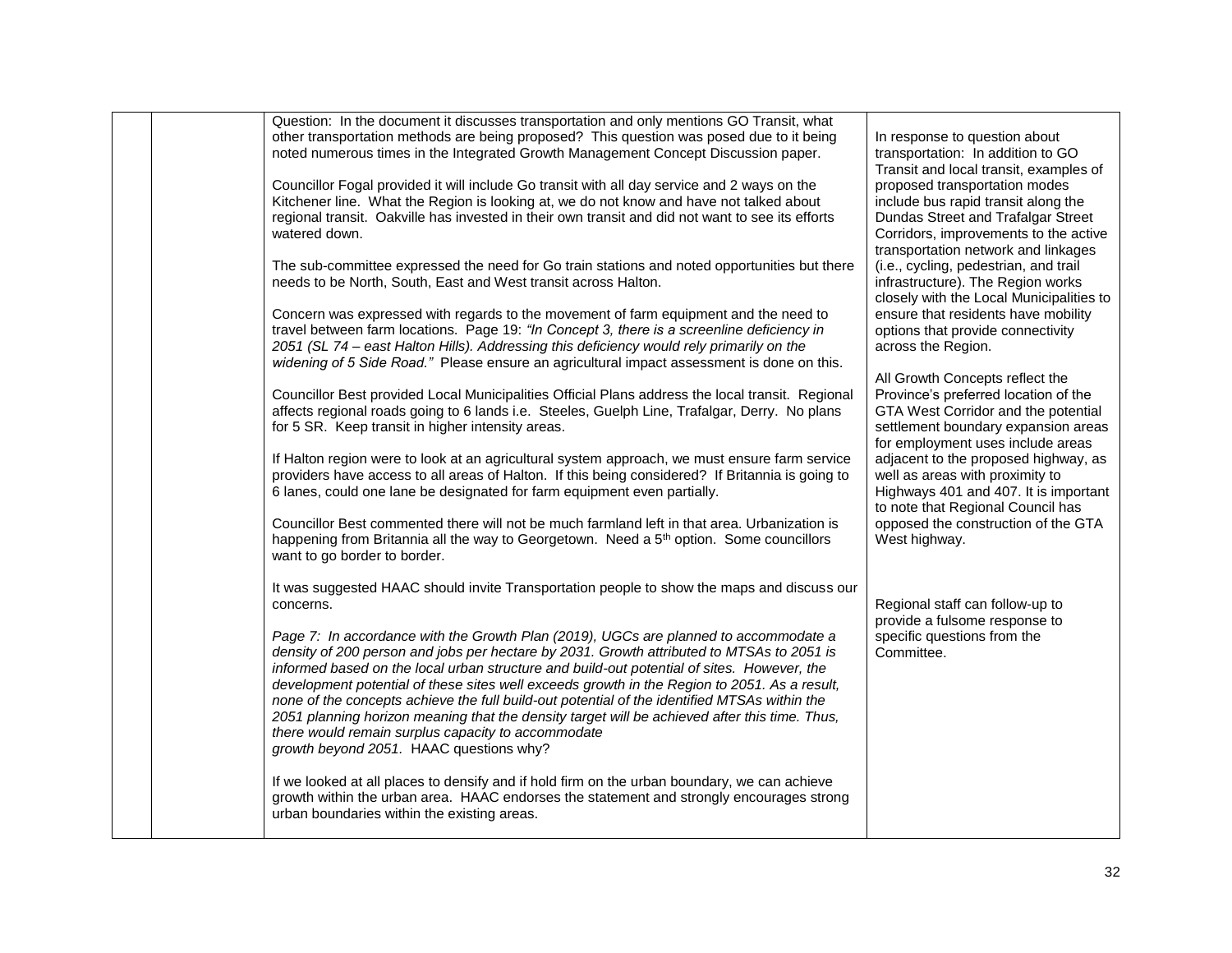|  | Question: In the document it discusses transportation and only mentions GO Transit, what<br>other transportation methods are being proposed? This question was posed due to it being<br>noted numerous times in the Integrated Growth Management Concept Discussion paper.<br>Councillor Fogal provided it will include Go transit with all day service and 2 ways on the<br>Kitchener line. What the Region is looking at, we do not know and have not talked about<br>regional transit. Oakville has invested in their own transit and did not want to see its efforts<br>watered down.<br>The sub-committee expressed the need for Go train stations and noted opportunities but there<br>needs to be North, South, East and West transit across Halton.<br>Concern was expressed with regards to the movement of farm equipment and the need to<br>travel between farm locations. Page 19: "In Concept 3, there is a screenline deficiency in<br>2051 (SL 74 – east Halton Hills). Addressing this deficiency would rely primarily on the<br>widening of 5 Side Road." Please ensure an agricultural impact assessment is done on this.<br>Councillor Best provided Local Municipalities Official Plans address the local transit. Regional<br>affects regional roads going to 6 lands i.e. Steeles, Guelph Line, Trafalgar, Derry. No plans<br>for 5 SR. Keep transit in higher intensity areas.<br>If Halton region were to look at an agricultural system approach, we must ensure farm service<br>providers have access to all areas of Halton. If this being considered? If Britannia is going to<br>6 lanes, could one lane be designated for farm equipment even partially.<br>Councillor Best commented there will not be much farmland left in that area. Urbanization is<br>happening from Britannia all the way to Georgetown. Need a 5 <sup>th</sup> option. Some councillors<br>want to go border to border. | In response to question about<br>transportation: In addition to GO<br>Transit and local transit, examples of<br>proposed transportation modes<br>include bus rapid transit along the<br>Dundas Street and Trafalgar Street<br>Corridors, improvements to the active<br>transportation network and linkages<br>(i.e., cycling, pedestrian, and trail<br>infrastructure). The Region works<br>closely with the Local Municipalities to<br>ensure that residents have mobility<br>options that provide connectivity<br>across the Region.<br>All Growth Concepts reflect the<br>Province's preferred location of the<br>GTA West Corridor and the potential<br>settlement boundary expansion areas<br>for employment uses include areas<br>adjacent to the proposed highway, as<br>well as areas with proximity to<br>Highways 401 and 407. It is important<br>to note that Regional Council has<br>opposed the construction of the GTA<br>West highway. |
|--|-------------------------------------------------------------------------------------------------------------------------------------------------------------------------------------------------------------------------------------------------------------------------------------------------------------------------------------------------------------------------------------------------------------------------------------------------------------------------------------------------------------------------------------------------------------------------------------------------------------------------------------------------------------------------------------------------------------------------------------------------------------------------------------------------------------------------------------------------------------------------------------------------------------------------------------------------------------------------------------------------------------------------------------------------------------------------------------------------------------------------------------------------------------------------------------------------------------------------------------------------------------------------------------------------------------------------------------------------------------------------------------------------------------------------------------------------------------------------------------------------------------------------------------------------------------------------------------------------------------------------------------------------------------------------------------------------------------------------------------------------------------------------------------------------------------------------------------------------------------------------------------------------------------------------------|-------------------------------------------------------------------------------------------------------------------------------------------------------------------------------------------------------------------------------------------------------------------------------------------------------------------------------------------------------------------------------------------------------------------------------------------------------------------------------------------------------------------------------------------------------------------------------------------------------------------------------------------------------------------------------------------------------------------------------------------------------------------------------------------------------------------------------------------------------------------------------------------------------------------------------------------------------|
|  | It was suggested HAAC should invite Transportation people to show the maps and discuss our<br>concerns.<br>Page 7: In accordance with the Growth Plan (2019), UGCs are planned to accommodate a<br>density of 200 person and jobs per hectare by 2031. Growth attributed to MTSAs to 2051 is<br>informed based on the local urban structure and build-out potential of sites. However, the<br>development potential of these sites well exceeds growth in the Region to 2051. As a result,<br>none of the concepts achieve the full build-out potential of the identified MTSAs within the<br>2051 planning horizon meaning that the density target will be achieved after this time. Thus,<br>there would remain surplus capacity to accommodate<br>growth beyond 2051. HAAC questions why?<br>If we looked at all places to densify and if hold firm on the urban boundary, we can achieve<br>growth within the urban area. HAAC endorses the statement and strongly encourages strong<br>urban boundaries within the existing areas.                                                                                                                                                                                                                                                                                                                                                                                                                                                                                                                                                                                                                                                                                                                                                                                                                                                                                       | Regional staff can follow-up to<br>provide a fulsome response to<br>specific questions from the<br>Committee.                                                                                                                                                                                                                                                                                                                                                                                                                                                                                                                                                                                                                                                                                                                                                                                                                                         |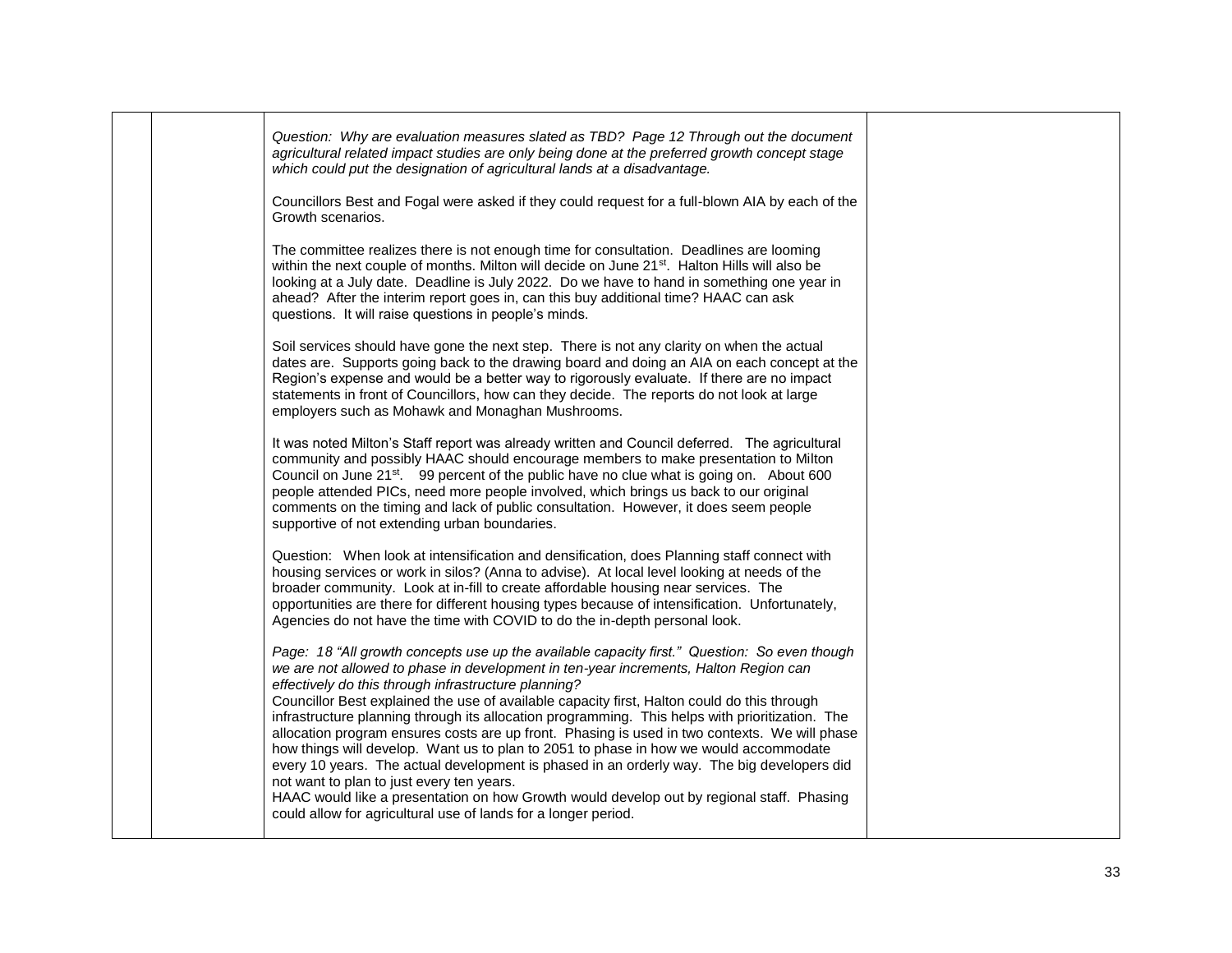| Question: Why are evaluation measures slated as TBD? Page 12 Through out the document<br>agricultural related impact studies are only being done at the preferred growth concept stage<br>which could put the designation of agricultural lands at a disadvantage.                                                                                                                                                                                                                                                             |                                                                                                                                                                                                  |
|--------------------------------------------------------------------------------------------------------------------------------------------------------------------------------------------------------------------------------------------------------------------------------------------------------------------------------------------------------------------------------------------------------------------------------------------------------------------------------------------------------------------------------|--------------------------------------------------------------------------------------------------------------------------------------------------------------------------------------------------|
| Growth scenarios.                                                                                                                                                                                                                                                                                                                                                                                                                                                                                                              |                                                                                                                                                                                                  |
| The committee realizes there is not enough time for consultation. Deadlines are looming<br>within the next couple of months. Milton will decide on June 21 <sup>st</sup> . Halton Hills will also be<br>looking at a July date. Deadline is July 2022. Do we have to hand in something one year in<br>ahead? After the interim report goes in, can this buy additional time? HAAC can ask<br>questions. It will raise questions in people's minds.                                                                             |                                                                                                                                                                                                  |
| Soil services should have gone the next step. There is not any clarity on when the actual<br>dates are. Supports going back to the drawing board and doing an AIA on each concept at the<br>Region's expense and would be a better way to rigorously evaluate. If there are no impact<br>statements in front of Councillors, how can they decide. The reports do not look at large<br>employers such as Mohawk and Monaghan Mushrooms.                                                                                         |                                                                                                                                                                                                  |
| It was noted Milton's Staff report was already written and Council deferred. The agricultural<br>community and possibly HAAC should encourage members to make presentation to Milton<br>Council on June 21 <sup>st</sup> . 99 percent of the public have no clue what is going on. About 600<br>people attended PICs, need more people involved, which brings us back to our original<br>comments on the timing and lack of public consultation. However, it does seem people<br>supportive of not extending urban boundaries. |                                                                                                                                                                                                  |
| Question: When look at intensification and densification, does Planning staff connect with<br>housing services or work in silos? (Anna to advise). At local level looking at needs of the<br>broader community. Look at in-fill to create affordable housing near services. The<br>opportunities are there for different housing types because of intensification. Unfortunately,<br>Agencies do not have the time with COVID to do the in-depth personal look.                                                                |                                                                                                                                                                                                  |
| Page: 18 "All growth concepts use up the available capacity first." Question: So even though<br>we are not allowed to phase in development in ten-year increments, Halton Region can<br>effectively do this through infrastructure planning?<br>Councillor Best explained the use of available capacity first, Halton could do this through<br>infrastructure planning through its allocation programming. This helps with prioritization. The                                                                                 |                                                                                                                                                                                                  |
| how things will develop. Want us to plan to 2051 to phase in how we would accommodate<br>every 10 years. The actual development is phased in an orderly way. The big developers did<br>not want to plan to just every ten years.<br>HAAC would like a presentation on how Growth would develop out by regional staff. Phasing<br>could allow for agricultural use of lands for a longer period.                                                                                                                                |                                                                                                                                                                                                  |
|                                                                                                                                                                                                                                                                                                                                                                                                                                                                                                                                | Councillors Best and Fogal were asked if they could request for a full-blown AIA by each of the<br>allocation program ensures costs are up front. Phasing is used in two contexts. We will phase |